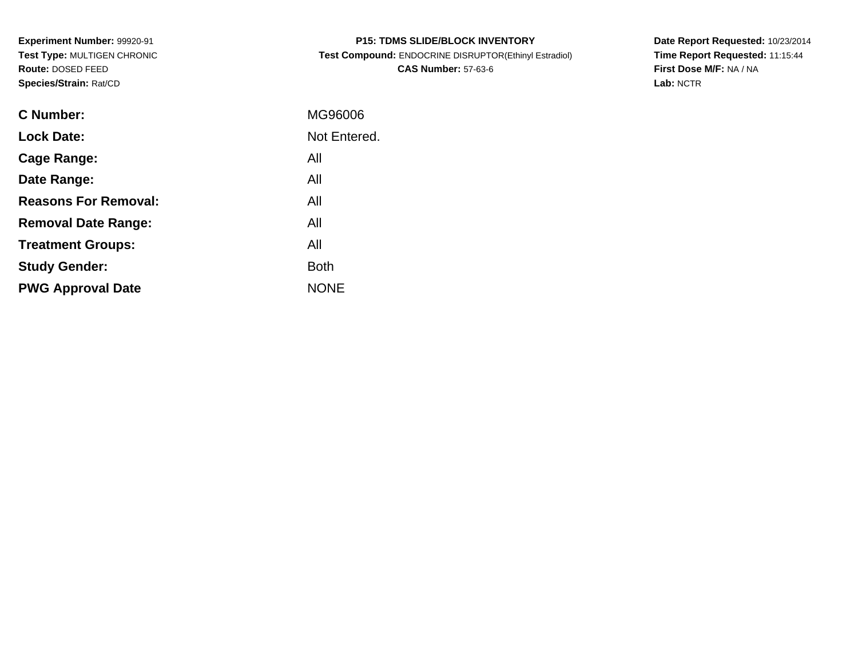**Experiment Number:** 99920-91 **Test Type:** MULTIGEN CHRONIC**Route:** DOSED FEED**Species/Strain:** Rat/CD

| <b>P15: TDMS SLIDE/BLOCK INVENTORY</b>                |
|-------------------------------------------------------|
| Test Compound: ENDOCRINE DISRUPTOR(Ethinyl Estradiol) |
| <b>CAS Number: 57-63-6</b>                            |

**Date Report Requested:** 10/23/2014 **Time Report Requested:** 11:15:44**First Dose M/F:** NA / NA**Lab:** NCTR

| C Number:                   | MG96006      |
|-----------------------------|--------------|
| <b>Lock Date:</b>           | Not Entered. |
| Cage Range:                 | All          |
| Date Range:                 | All          |
| <b>Reasons For Removal:</b> | All          |
| <b>Removal Date Range:</b>  | All          |
| <b>Treatment Groups:</b>    | All          |
| <b>Study Gender:</b>        | <b>Both</b>  |
| <b>PWG Approval Date</b>    | <b>NONE</b>  |
|                             |              |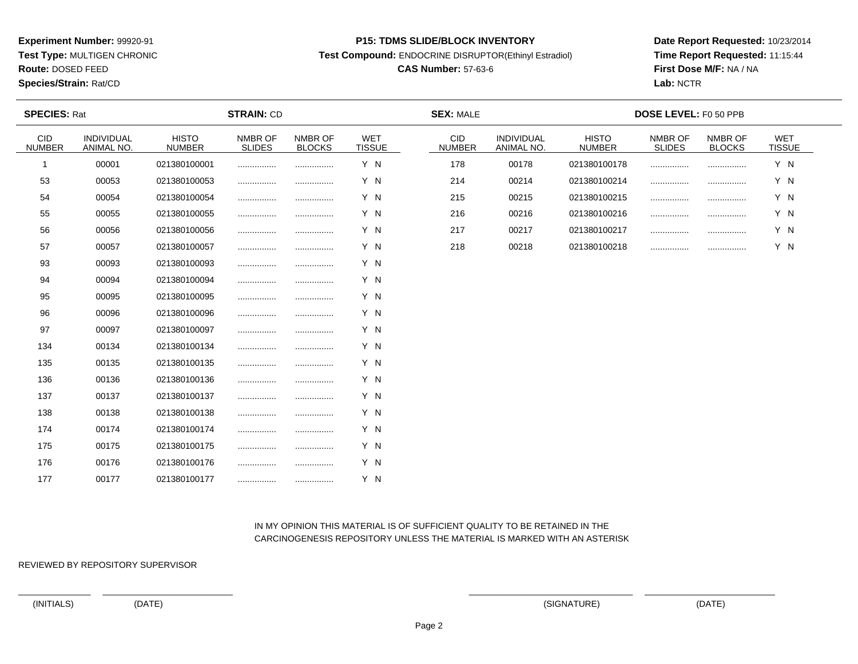**Test Type:** MULTIGEN CHRONIC

**Route:** DOSED FEED

**Species/Strain:** Rat/CD

#### **P15: TDMS SLIDE/BLOCK INVENTORY**

**Test Compound:** ENDOCRINE DISRUPTOR(Ethinyl Estradiol)

# **CAS Number:** 57-63-6

**Date Report Requested:** 10/23/2014**Time Report Requested:** 11:15:44**First Dose M/F:** NA / NA**Lab:** NCTR

| <b>SPECIES: Rat</b>         |                          |                               | <b>STRAIN: CD</b> |                          |                             | <b>SEX: MALE</b>            |                          |                               | DOSE LEVEL: F0 50 PPB |                          |                      |  |
|-----------------------------|--------------------------|-------------------------------|-------------------|--------------------------|-----------------------------|-----------------------------|--------------------------|-------------------------------|-----------------------|--------------------------|----------------------|--|
| <b>CID</b><br><b>NUMBER</b> | INDIVIDUAL<br>ANIMAL NO. | <b>HISTO</b><br><b>NUMBER</b> | NMBR OF<br>SLIDES | NMBR OF<br><b>BLOCKS</b> | <b>WET</b><br><b>TISSUE</b> | <b>CID</b><br><b>NUMBER</b> | INDIVIDUAL<br>ANIMAL NO. | <b>HISTO</b><br><b>NUMBER</b> | NMBR OF<br>SLIDES     | NMBR OF<br><b>BLOCKS</b> | WET<br><b>TISSUE</b> |  |
| $\mathbf 1$                 | 00001                    | 021380100001                  |                   |                          | Y N                         | 178                         | 00178                    | 021380100178                  |                       |                          | Y N                  |  |
| 53                          | 00053                    | 021380100053                  |                   |                          | Y N                         | 214                         | 00214                    | 021380100214                  |                       |                          | Y N                  |  |
| 54                          | 00054                    | 021380100054                  |                   |                          | Y N                         | 215                         | 00215                    | 021380100215                  |                       | .                        | Y N                  |  |
| 55                          | 00055                    | 021380100055                  |                   |                          | Y N                         | 216                         | 00216                    | 021380100216                  |                       | .                        | Y N                  |  |
| 56                          | 00056                    | 021380100056                  |                   | .                        | Y N                         | 217                         | 00217                    | 021380100217                  |                       |                          | Y N                  |  |
| 57                          | 00057                    | 021380100057                  |                   | .                        | Y N                         | 218                         | 00218                    | 021380100218                  |                       | .                        | Y N                  |  |
| 93                          | 00093                    | 021380100093                  |                   |                          | Y N                         |                             |                          |                               |                       |                          |                      |  |
| 94                          | 00094                    | 021380100094                  |                   |                          | Y N                         |                             |                          |                               |                       |                          |                      |  |
| 95                          | 00095                    | 021380100095                  |                   |                          | Y N                         |                             |                          |                               |                       |                          |                      |  |
| 96                          | 00096                    | 021380100096                  |                   |                          | Y N                         |                             |                          |                               |                       |                          |                      |  |
| 97                          | 00097                    | 021380100097                  |                   |                          | Y N                         |                             |                          |                               |                       |                          |                      |  |
| 134                         | 00134                    | 021380100134                  |                   |                          | Y N                         |                             |                          |                               |                       |                          |                      |  |
| 135                         | 00135                    | 021380100135                  | .                 |                          | Y N                         |                             |                          |                               |                       |                          |                      |  |
| 136                         | 00136                    | 021380100136                  |                   |                          | Y N                         |                             |                          |                               |                       |                          |                      |  |
| 137                         | 00137                    | 021380100137                  |                   | .                        | Y N                         |                             |                          |                               |                       |                          |                      |  |
| 138                         | 00138                    | 021380100138                  |                   | .                        | Y N                         |                             |                          |                               |                       |                          |                      |  |
| 174                         | 00174                    | 021380100174                  |                   |                          | Y N                         |                             |                          |                               |                       |                          |                      |  |
| 175                         | 00175                    | 021380100175                  |                   |                          | Y N                         |                             |                          |                               |                       |                          |                      |  |
| 176                         | 00176                    | 021380100176                  |                   |                          | Y N                         |                             |                          |                               |                       |                          |                      |  |
| 177                         | 00177                    | 021380100177                  |                   |                          | Y N                         |                             |                          |                               |                       |                          |                      |  |

# IN MY OPINION THIS MATERIAL IS OF SUFFICIENT QUALITY TO BE RETAINED IN THECARCINOGENESIS REPOSITORY UNLESS THE MATERIAL IS MARKED WITH AN ASTERISK

REVIEWED BY REPOSITORY SUPERVISOR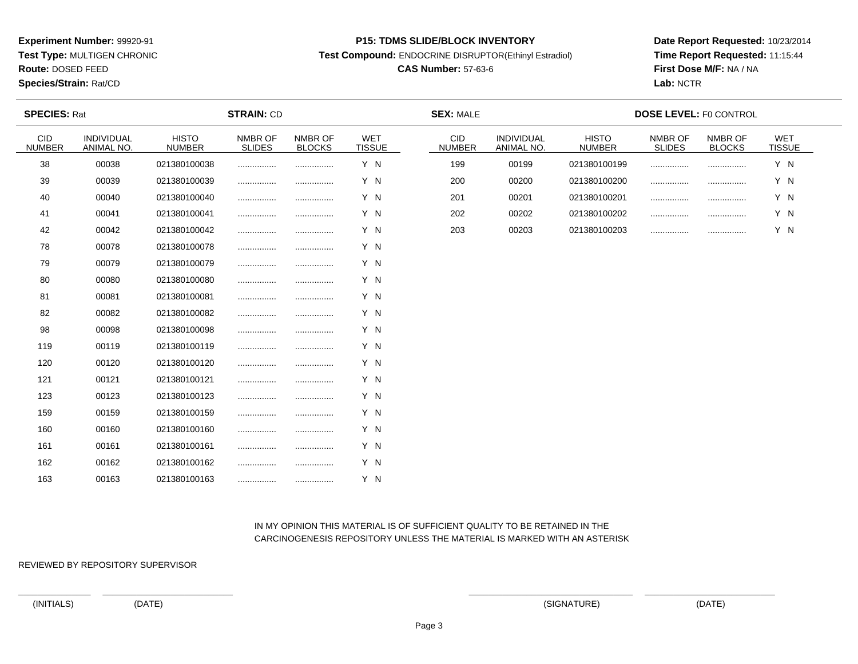**Test Type:** MULTIGEN CHRONIC

**Route:** DOSED FEED

**Species/Strain:** Rat/CD

#### **P15: TDMS SLIDE/BLOCK INVENTORY**

**Test Compound:** ENDOCRINE DISRUPTOR(Ethinyl Estradiol)

# **CAS Number:** 57-63-6

**Date Report Requested:** 10/23/2014**Time Report Requested:** 11:15:44**First Dose M/F:** NA / NA**Lab:** NCTR

| <b>SPECIES: Rat</b>         |                          |                               | <b>STRAIN: CD</b>        |                          |                             | <b>SEX: MALE</b>            |                          |                               | <b>DOSE LEVEL: F0 CONTROL</b> |                          |                             |
|-----------------------------|--------------------------|-------------------------------|--------------------------|--------------------------|-----------------------------|-----------------------------|--------------------------|-------------------------------|-------------------------------|--------------------------|-----------------------------|
| <b>CID</b><br><b>NUMBER</b> | INDIVIDUAL<br>ANIMAL NO. | <b>HISTO</b><br><b>NUMBER</b> | NMBR OF<br><b>SLIDES</b> | NMBR OF<br><b>BLOCKS</b> | <b>WET</b><br><b>TISSUE</b> | <b>CID</b><br><b>NUMBER</b> | INDIVIDUAL<br>ANIMAL NO. | <b>HISTO</b><br><b>NUMBER</b> | NMBR OF<br><b>SLIDES</b>      | NMBR OF<br><b>BLOCKS</b> | <b>WET</b><br><b>TISSUE</b> |
| 38                          | 00038                    | 021380100038                  |                          |                          | Y N                         | 199                         | 00199                    | 021380100199                  |                               |                          | Y N                         |
| 39                          | 00039                    | 021380100039                  |                          |                          | Y N                         | 200                         | 00200                    | 021380100200                  |                               |                          | Y N                         |
| 40                          | 00040                    | 021380100040                  | .                        |                          | Y N                         | 201                         | 00201                    | 021380100201                  |                               | .                        | Y N                         |
| 41                          | 00041                    | 021380100041                  | .                        |                          | Y N                         | 202                         | 00202                    | 021380100202                  |                               | .                        | Y N                         |
| 42                          | 00042                    | 021380100042                  | .                        |                          | Y N                         | 203                         | 00203                    | 021380100203                  |                               |                          | Y N                         |
| 78                          | 00078                    | 021380100078                  | .                        |                          | Y N                         |                             |                          |                               |                               |                          |                             |
| 79                          | 00079                    | 021380100079                  | .                        |                          | Y N                         |                             |                          |                               |                               |                          |                             |
| 80                          | 00080                    | 021380100080                  | .                        |                          | Y N                         |                             |                          |                               |                               |                          |                             |
| 81                          | 00081                    | 021380100081                  | .                        |                          | Y N                         |                             |                          |                               |                               |                          |                             |
| 82                          | 00082                    | 021380100082                  | .                        |                          | Y N                         |                             |                          |                               |                               |                          |                             |
| 98                          | 00098                    | 021380100098                  | .                        |                          | Y N                         |                             |                          |                               |                               |                          |                             |
| 119                         | 00119                    | 021380100119                  |                          |                          | Y N                         |                             |                          |                               |                               |                          |                             |
| 120                         | 00120                    | 021380100120                  | .                        |                          | Y N                         |                             |                          |                               |                               |                          |                             |
| 121                         | 00121                    | 021380100121                  |                          |                          | Y N                         |                             |                          |                               |                               |                          |                             |
| 123                         | 00123                    | 021380100123                  | .                        |                          | Y N                         |                             |                          |                               |                               |                          |                             |
| 159                         | 00159                    | 021380100159                  | .                        |                          | Y N                         |                             |                          |                               |                               |                          |                             |
| 160                         | 00160                    | 021380100160                  | .                        |                          | Y N                         |                             |                          |                               |                               |                          |                             |
| 161                         | 00161                    | 021380100161                  | .                        |                          | Y N                         |                             |                          |                               |                               |                          |                             |
| 162                         | 00162                    | 021380100162                  | .                        |                          | Y N                         |                             |                          |                               |                               |                          |                             |
| 163                         | 00163                    | 021380100163                  |                          | .                        | Y N                         |                             |                          |                               |                               |                          |                             |

# IN MY OPINION THIS MATERIAL IS OF SUFFICIENT QUALITY TO BE RETAINED IN THECARCINOGENESIS REPOSITORY UNLESS THE MATERIAL IS MARKED WITH AN ASTERISK

REVIEWED BY REPOSITORY SUPERVISOR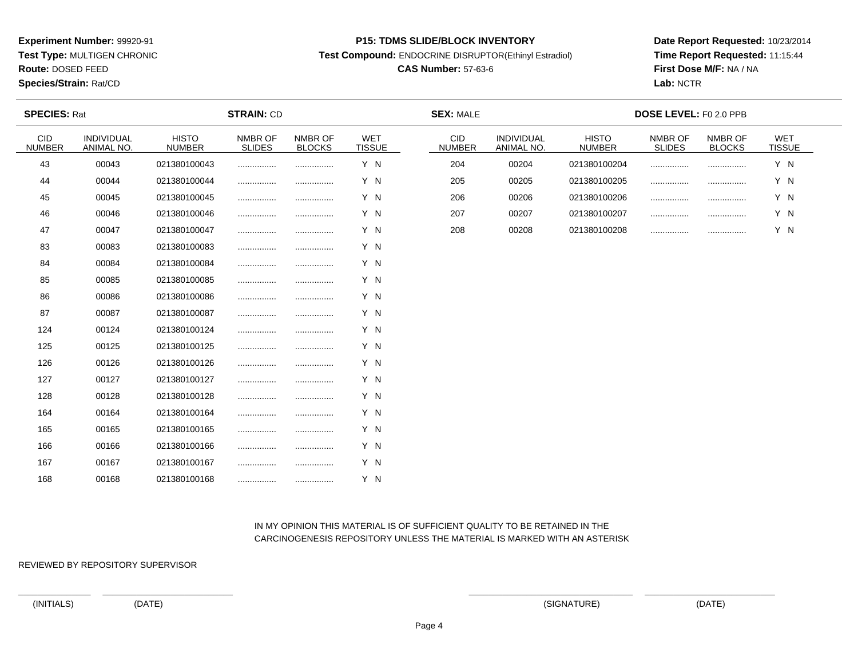**Test Type:** MULTIGEN CHRONIC

**Route:** DOSED FEED

**Species/Strain:** Rat/CD

#### **P15: TDMS SLIDE/BLOCK INVENTORY**

**Test Compound:** ENDOCRINE DISRUPTOR(Ethinyl Estradiol)

# **CAS Number:** 57-63-6

**Date Report Requested:** 10/23/2014**Time Report Requested:** 11:15:44**First Dose M/F:** NA / NA**Lab:** NCTR

| <b>SPECIES: Rat</b>         |                          |                               | <b>STRAIN: CD</b> |                          |                             | <b>SEX: MALE</b>      |                          |                               | DOSE LEVEL: F0 2.0 PPB   |                          |                      |  |
|-----------------------------|--------------------------|-------------------------------|-------------------|--------------------------|-----------------------------|-----------------------|--------------------------|-------------------------------|--------------------------|--------------------------|----------------------|--|
| <b>CID</b><br><b>NUMBER</b> | INDIVIDUAL<br>ANIMAL NO. | <b>HISTO</b><br><b>NUMBER</b> | NMBR OF<br>SLIDES | NMBR OF<br><b>BLOCKS</b> | <b>WET</b><br><b>TISSUE</b> | CID.<br><b>NUMBER</b> | INDIVIDUAL<br>ANIMAL NO. | <b>HISTO</b><br><b>NUMBER</b> | NMBR OF<br><b>SLIDES</b> | NMBR OF<br><b>BLOCKS</b> | WET<br><b>TISSUE</b> |  |
| 43                          | 00043                    | 021380100043                  |                   |                          | Y N                         | 204                   | 00204                    | 021380100204                  | .                        |                          | Y N                  |  |
| 44                          | 00044                    | 021380100044                  |                   |                          | Y N                         | 205                   | 00205                    | 021380100205                  | .                        |                          | Y N                  |  |
| 45                          | 00045                    | 021380100045                  |                   |                          | Y N                         | 206                   | 00206                    | 021380100206                  |                          |                          | Y N                  |  |
| 46                          | 00046                    | 021380100046                  |                   |                          | Y N                         | 207                   | 00207                    | 021380100207                  |                          |                          | Y N                  |  |
| 47                          | 00047                    | 021380100047                  |                   |                          | Y N                         | 208                   | 00208                    | 021380100208                  | .                        |                          | Y N                  |  |
| 83                          | 00083                    | 021380100083                  |                   |                          | Y N                         |                       |                          |                               |                          |                          |                      |  |
| 84                          | 00084                    | 021380100084                  |                   |                          | Y N                         |                       |                          |                               |                          |                          |                      |  |
| 85                          | 00085                    | 021380100085                  |                   |                          | Y N                         |                       |                          |                               |                          |                          |                      |  |
| 86                          | 00086                    | 021380100086                  |                   |                          | Y N                         |                       |                          |                               |                          |                          |                      |  |
| 87                          | 00087                    | 021380100087                  |                   |                          | Y N                         |                       |                          |                               |                          |                          |                      |  |
| 124                         | 00124                    | 021380100124                  |                   |                          | Y N                         |                       |                          |                               |                          |                          |                      |  |
| 125                         | 00125                    | 021380100125                  |                   |                          | Y N                         |                       |                          |                               |                          |                          |                      |  |
| 126                         | 00126                    | 021380100126                  | .                 |                          | Y N                         |                       |                          |                               |                          |                          |                      |  |
| 127                         | 00127                    | 021380100127                  |                   |                          | Y N                         |                       |                          |                               |                          |                          |                      |  |
| 128                         | 00128                    | 021380100128                  | .                 |                          | Y N                         |                       |                          |                               |                          |                          |                      |  |
| 164                         | 00164                    | 021380100164                  |                   |                          | Y N                         |                       |                          |                               |                          |                          |                      |  |
| 165                         | 00165                    | 021380100165                  |                   |                          | Y N                         |                       |                          |                               |                          |                          |                      |  |
| 166                         | 00166                    | 021380100166                  |                   |                          | Y N                         |                       |                          |                               |                          |                          |                      |  |
| 167                         | 00167                    | 021380100167                  | .                 |                          | Y N                         |                       |                          |                               |                          |                          |                      |  |
| 168                         | 00168                    | 021380100168                  |                   | .                        | Y N                         |                       |                          |                               |                          |                          |                      |  |

# IN MY OPINION THIS MATERIAL IS OF SUFFICIENT QUALITY TO BE RETAINED IN THECARCINOGENESIS REPOSITORY UNLESS THE MATERIAL IS MARKED WITH AN ASTERISK

REVIEWED BY REPOSITORY SUPERVISOR

(INITIALS) (DATE) (SIGNATURE) (DATE)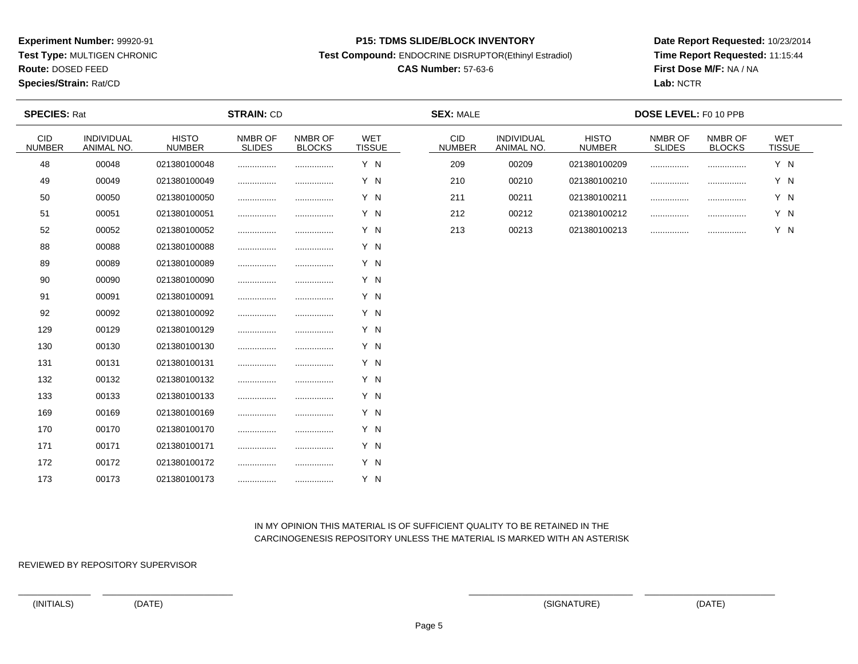**Test Type:** MULTIGEN CHRONIC

**Route:** DOSED FEED

**Species/Strain:** Rat/CD

#### **P15: TDMS SLIDE/BLOCK INVENTORY**

**Test Compound:** ENDOCRINE DISRUPTOR(Ethinyl Estradiol)

# **CAS Number:** 57-63-6

**Date Report Requested:** 10/23/2014**Time Report Requested:** 11:15:44**First Dose M/F:** NA / NA**Lab:** NCTR

| <b>SPECIES: Rat</b>         |                          |                               | <b>STRAIN: CD</b>        |                          |                      | <b>SEX: MALE</b>            |                          |                               | DOSE LEVEL: F0 10 PPB    |                          |                      |  |
|-----------------------------|--------------------------|-------------------------------|--------------------------|--------------------------|----------------------|-----------------------------|--------------------------|-------------------------------|--------------------------|--------------------------|----------------------|--|
| <b>CID</b><br><b>NUMBER</b> | INDIVIDUAL<br>ANIMAL NO. | <b>HISTO</b><br><b>NUMBER</b> | NMBR OF<br><b>SLIDES</b> | NMBR OF<br><b>BLOCKS</b> | WET<br><b>TISSUE</b> | <b>CID</b><br><b>NUMBER</b> | INDIVIDUAL<br>ANIMAL NO. | <b>HISTO</b><br><b>NUMBER</b> | NMBR OF<br><b>SLIDES</b> | NMBR OF<br><b>BLOCKS</b> | WET<br><b>TISSUE</b> |  |
| 48                          | 00048                    | 021380100048                  |                          |                          | Y N                  | 209                         | 00209                    | 021380100209                  |                          |                          | Y N                  |  |
| 49                          | 00049                    | 021380100049                  |                          |                          | Y N                  | 210                         | 00210                    | 021380100210                  |                          |                          | Y N                  |  |
| 50                          | 00050                    | 021380100050                  |                          |                          | Y N                  | 211                         | 00211                    | 021380100211                  |                          | .                        | Y N                  |  |
| 51                          | 00051                    | 021380100051                  |                          |                          | Y N                  | 212                         | 00212                    | 021380100212                  |                          |                          | Y N                  |  |
| 52                          | 00052                    | 021380100052                  |                          |                          | Y N                  | 213                         | 00213                    | 021380100213                  |                          |                          | Y N                  |  |
| 88                          | 00088                    | 021380100088                  |                          |                          | Y N                  |                             |                          |                               |                          |                          |                      |  |
| 89                          | 00089                    | 021380100089                  |                          |                          | Y N                  |                             |                          |                               |                          |                          |                      |  |
| 90                          | 00090                    | 021380100090                  |                          |                          | Y N                  |                             |                          |                               |                          |                          |                      |  |
| 91                          | 00091                    | 021380100091                  |                          | .                        | Y N                  |                             |                          |                               |                          |                          |                      |  |
| 92                          | 00092                    | 021380100092                  |                          |                          | Y N                  |                             |                          |                               |                          |                          |                      |  |
| 129                         | 00129                    | 021380100129                  |                          |                          | Y N                  |                             |                          |                               |                          |                          |                      |  |
| 130                         | 00130                    | 021380100130                  |                          |                          | Y N                  |                             |                          |                               |                          |                          |                      |  |
| 131                         | 00131                    | 021380100131                  |                          |                          | Y N                  |                             |                          |                               |                          |                          |                      |  |
| 132                         | 00132                    | 021380100132                  |                          |                          | Y N                  |                             |                          |                               |                          |                          |                      |  |
| 133                         | 00133                    | 021380100133                  |                          |                          | Y N                  |                             |                          |                               |                          |                          |                      |  |
| 169                         | 00169                    | 021380100169                  |                          |                          | Y N                  |                             |                          |                               |                          |                          |                      |  |
| 170                         | 00170                    | 021380100170                  |                          |                          | Y N                  |                             |                          |                               |                          |                          |                      |  |
| 171                         | 00171                    | 021380100171                  |                          |                          | Y N                  |                             |                          |                               |                          |                          |                      |  |
| 172                         | 00172                    | 021380100172                  |                          |                          | Y N                  |                             |                          |                               |                          |                          |                      |  |
| 173                         | 00173                    | 021380100173                  |                          | .                        | Y N                  |                             |                          |                               |                          |                          |                      |  |

# IN MY OPINION THIS MATERIAL IS OF SUFFICIENT QUALITY TO BE RETAINED IN THECARCINOGENESIS REPOSITORY UNLESS THE MATERIAL IS MARKED WITH AN ASTERISK

REVIEWED BY REPOSITORY SUPERVISOR

(INITIALS) (DATE) (SIGNATURE) (DATE)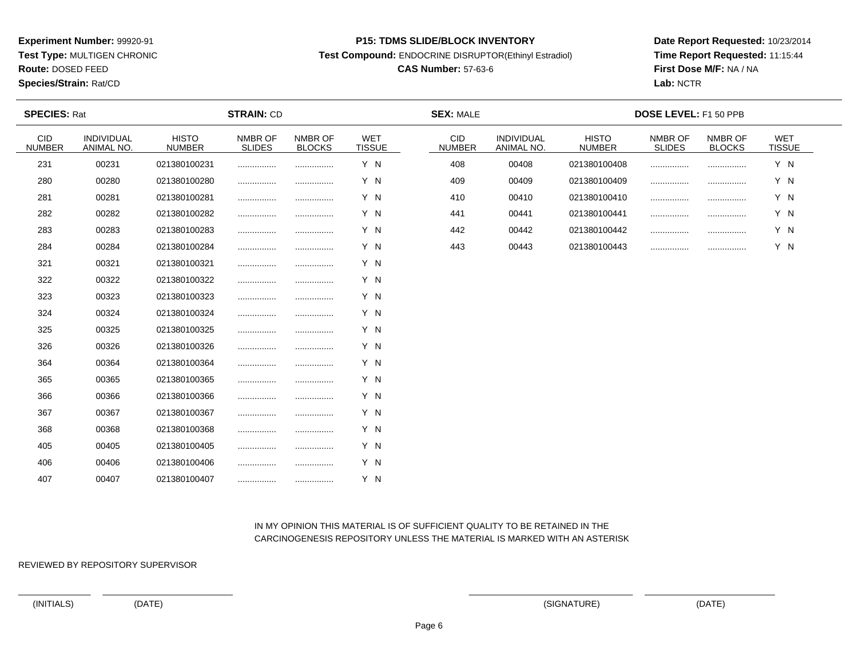**Test Type:** MULTIGEN CHRONIC

**Route:** DOSED FEED

**Species/Strain:** Rat/CD

#### **P15: TDMS SLIDE/BLOCK INVENTORY**

**Test Compound:** ENDOCRINE DISRUPTOR(Ethinyl Estradiol)

# **CAS Number:** 57-63-6

**Date Report Requested:** 10/23/2014**Time Report Requested:** 11:15:44**First Dose M/F:** NA / NA**Lab:** NCTR

| <b>SPECIES: Rat</b>         |                                 |                               | <b>STRAIN: CD</b>        |                          |                             | <b>SEX: MALE</b>            |                          |                               | DOSE LEVEL: F1 50 PPB    |                          |                             |  |
|-----------------------------|---------------------------------|-------------------------------|--------------------------|--------------------------|-----------------------------|-----------------------------|--------------------------|-------------------------------|--------------------------|--------------------------|-----------------------------|--|
| <b>CID</b><br><b>NUMBER</b> | <b>INDIVIDUAL</b><br>ANIMAL NO. | <b>HISTO</b><br><b>NUMBER</b> | NMBR OF<br><b>SLIDES</b> | NMBR OF<br><b>BLOCKS</b> | <b>WET</b><br><b>TISSUE</b> | <b>CID</b><br><b>NUMBER</b> | INDIVIDUAL<br>ANIMAL NO. | <b>HISTO</b><br><b>NUMBER</b> | NMBR OF<br><b>SLIDES</b> | NMBR OF<br><b>BLOCKS</b> | <b>WET</b><br><b>TISSUE</b> |  |
| 231                         | 00231                           | 021380100231                  |                          |                          | Y N                         | 408                         | 00408                    | 021380100408                  |                          |                          | Y N                         |  |
| 280                         | 00280                           | 021380100280                  |                          |                          | Y N                         | 409                         | 00409                    | 021380100409                  |                          | .                        | Y N                         |  |
| 281                         | 00281                           | 021380100281                  |                          |                          | Y N                         | 410                         | 00410                    | 021380100410                  |                          | .                        | Y N                         |  |
| 282                         | 00282                           | 021380100282                  |                          |                          | Y N                         | 441                         | 00441                    | 021380100441                  |                          |                          | Y N                         |  |
| 283                         | 00283                           | 021380100283                  |                          |                          | Y N                         | 442                         | 00442                    | 021380100442                  |                          |                          | Y N                         |  |
| 284                         | 00284                           | 021380100284                  |                          |                          | Y N                         | 443                         | 00443                    | 021380100443                  |                          |                          | Y N                         |  |
| 321                         | 00321                           | 021380100321                  | .                        |                          | Y N                         |                             |                          |                               |                          |                          |                             |  |
| 322                         | 00322                           | 021380100322                  |                          |                          | Y N                         |                             |                          |                               |                          |                          |                             |  |
| 323                         | 00323                           | 021380100323                  |                          |                          | Y N                         |                             |                          |                               |                          |                          |                             |  |
| 324                         | 00324                           | 021380100324                  |                          |                          | Y N                         |                             |                          |                               |                          |                          |                             |  |
| 325                         | 00325                           | 021380100325                  |                          |                          | Y N                         |                             |                          |                               |                          |                          |                             |  |
| 326                         | 00326                           | 021380100326                  |                          |                          | Y N                         |                             |                          |                               |                          |                          |                             |  |
| 364                         | 00364                           | 021380100364                  |                          |                          | Y N                         |                             |                          |                               |                          |                          |                             |  |
| 365                         | 00365                           | 021380100365                  | .                        |                          | Y N                         |                             |                          |                               |                          |                          |                             |  |
| 366                         | 00366                           | 021380100366                  |                          |                          | Y N                         |                             |                          |                               |                          |                          |                             |  |
| 367                         | 00367                           | 021380100367                  |                          |                          | Y N                         |                             |                          |                               |                          |                          |                             |  |
| 368                         | 00368                           | 021380100368                  |                          |                          | Y N                         |                             |                          |                               |                          |                          |                             |  |
| 405                         | 00405                           | 021380100405                  |                          |                          | Y N                         |                             |                          |                               |                          |                          |                             |  |
| 406                         | 00406                           | 021380100406                  |                          |                          | Y N                         |                             |                          |                               |                          |                          |                             |  |
| 407                         | 00407                           | 021380100407                  |                          |                          | Y N                         |                             |                          |                               |                          |                          |                             |  |

# IN MY OPINION THIS MATERIAL IS OF SUFFICIENT QUALITY TO BE RETAINED IN THECARCINOGENESIS REPOSITORY UNLESS THE MATERIAL IS MARKED WITH AN ASTERISK

REVIEWED BY REPOSITORY SUPERVISOR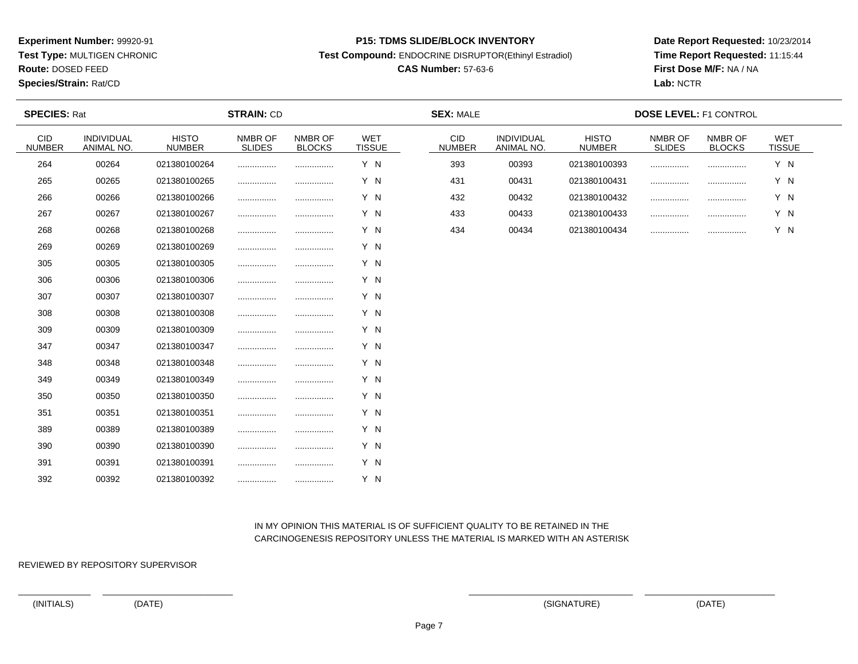**Test Type:** MULTIGEN CHRONIC

**Route:** DOSED FEED

**Species/Strain:** Rat/CD

#### **P15: TDMS SLIDE/BLOCK INVENTORY**

**Test Compound:** ENDOCRINE DISRUPTOR(Ethinyl Estradiol)

# **CAS Number:** 57-63-6

**Date Report Requested:** 10/23/2014**Time Report Requested:** 11:15:44**First Dose M/F:** NA / NA**Lab:** NCTR

| <b>STRAIN: CD</b><br><b>SPECIES: Rat</b> |                          | <b>SEX: MALE</b>              |                          |                          | <b>DOSE LEVEL: F1 CONTROL</b> |                      |                          |                               |                          |                          |                             |
|------------------------------------------|--------------------------|-------------------------------|--------------------------|--------------------------|-------------------------------|----------------------|--------------------------|-------------------------------|--------------------------|--------------------------|-----------------------------|
| <b>CID</b><br><b>NUMBER</b>              | INDIVIDUAL<br>ANIMAL NO. | <b>HISTO</b><br><b>NUMBER</b> | NMBR OF<br><b>SLIDES</b> | NMBR OF<br><b>BLOCKS</b> | <b>WET</b><br><b>TISSUE</b>   | CID<br><b>NUMBER</b> | INDIVIDUAL<br>ANIMAL NO. | <b>HISTO</b><br><b>NUMBER</b> | NMBR OF<br><b>SLIDES</b> | NMBR OF<br><b>BLOCKS</b> | <b>WET</b><br><b>TISSUE</b> |
| 264                                      | 00264                    | 021380100264                  |                          |                          | Y N                           | 393                  | 00393                    | 021380100393                  |                          |                          | Y N                         |
| 265                                      | 00265                    | 021380100265                  |                          |                          | Y N                           | 431                  | 00431                    | 021380100431                  |                          |                          | Y N                         |
| 266                                      | 00266                    | 021380100266                  |                          |                          | Y N                           | 432                  | 00432                    | 021380100432                  |                          | .                        | Y N                         |
| 267                                      | 00267                    | 021380100267                  |                          |                          | Y N                           | 433                  | 00433                    | 021380100433                  |                          |                          | Y N                         |
| 268                                      | 00268                    | 021380100268                  | .                        |                          | Y N                           | 434                  | 00434                    | 021380100434                  |                          |                          | Y N                         |
| 269                                      | 00269                    | 021380100269                  |                          |                          | Y N                           |                      |                          |                               |                          |                          |                             |
| 305                                      | 00305                    | 021380100305                  |                          |                          | Y N                           |                      |                          |                               |                          |                          |                             |
| 306                                      | 00306                    | 021380100306                  |                          |                          | Y N                           |                      |                          |                               |                          |                          |                             |
| 307                                      | 00307                    | 021380100307                  |                          |                          | Y N                           |                      |                          |                               |                          |                          |                             |
| 308                                      | 00308                    | 021380100308                  | .                        |                          | Y N                           |                      |                          |                               |                          |                          |                             |
| 309                                      | 00309                    | 021380100309                  |                          |                          | Y N                           |                      |                          |                               |                          |                          |                             |
| 347                                      | 00347                    | 021380100347                  |                          |                          | Y N                           |                      |                          |                               |                          |                          |                             |
| 348                                      | 00348                    | 021380100348                  |                          |                          | Y N                           |                      |                          |                               |                          |                          |                             |
| 349                                      | 00349                    | 021380100349                  |                          |                          | Y N                           |                      |                          |                               |                          |                          |                             |
| 350                                      | 00350                    | 021380100350                  |                          |                          | Y N                           |                      |                          |                               |                          |                          |                             |
| 351                                      | 00351                    | 021380100351                  |                          | .                        | Y N                           |                      |                          |                               |                          |                          |                             |
| 389                                      | 00389                    | 021380100389                  | .                        |                          | Y N                           |                      |                          |                               |                          |                          |                             |
| 390                                      | 00390                    | 021380100390                  | .                        |                          | Y N                           |                      |                          |                               |                          |                          |                             |
| 391                                      | 00391                    | 021380100391                  |                          |                          | Y N                           |                      |                          |                               |                          |                          |                             |
| 392                                      | 00392                    | 021380100392                  |                          |                          | Y N                           |                      |                          |                               |                          |                          |                             |

# IN MY OPINION THIS MATERIAL IS OF SUFFICIENT QUALITY TO BE RETAINED IN THECARCINOGENESIS REPOSITORY UNLESS THE MATERIAL IS MARKED WITH AN ASTERISK

REVIEWED BY REPOSITORY SUPERVISOR

(INITIALS) (DATE) (SIGNATURE) (DATE)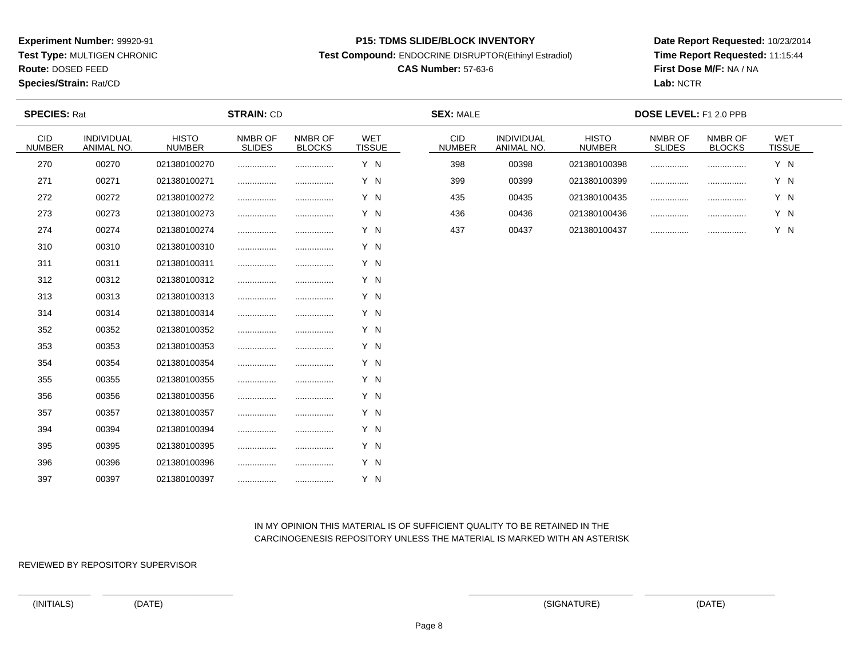**Test Type:** MULTIGEN CHRONIC

**Route:** DOSED FEED

**Species/Strain:** Rat/CD

#### **P15: TDMS SLIDE/BLOCK INVENTORY**

**Test Compound:** ENDOCRINE DISRUPTOR(Ethinyl Estradiol)

# **CAS Number:** 57-63-6

**Date Report Requested:** 10/23/2014**Time Report Requested:** 11:15:44**First Dose M/F:** NA / NA**Lab:** NCTR

| <b>SPECIES: Rat</b>         | <b>STRAIN: CD</b>        |                               |                          | <b>SEX: MALE</b>         |                             |                             | DOSE LEVEL: F1 2.0 PPB   |                               |                          |                          |                             |
|-----------------------------|--------------------------|-------------------------------|--------------------------|--------------------------|-----------------------------|-----------------------------|--------------------------|-------------------------------|--------------------------|--------------------------|-----------------------------|
| <b>CID</b><br><b>NUMBER</b> | INDIVIDUAL<br>ANIMAL NO. | <b>HISTO</b><br><b>NUMBER</b> | NMBR OF<br><b>SLIDES</b> | NMBR OF<br><b>BLOCKS</b> | <b>WET</b><br><b>TISSUE</b> | <b>CID</b><br><b>NUMBER</b> | INDIVIDUAL<br>ANIMAL NO. | <b>HISTO</b><br><b>NUMBER</b> | NMBR OF<br><b>SLIDES</b> | NMBR OF<br><b>BLOCKS</b> | <b>WET</b><br><b>TISSUE</b> |
| 270                         | 00270                    | 021380100270                  |                          |                          | Y N                         | 398                         | 00398                    | 021380100398                  |                          |                          | Y N                         |
| 271                         | 00271                    | 021380100271                  |                          |                          | Y N                         | 399                         | 00399                    | 021380100399                  |                          | .                        | Y N                         |
| 272                         | 00272                    | 021380100272                  |                          |                          | Y N                         | 435                         | 00435                    | 021380100435                  |                          | .                        | Y N                         |
| 273                         | 00273                    | 021380100273                  |                          |                          | Y N                         | 436                         | 00436                    | 021380100436                  |                          |                          | Y N                         |
| 274                         | 00274                    | 021380100274                  |                          |                          | Y N                         | 437                         | 00437                    | 021380100437                  |                          |                          | Y N                         |
| 310                         | 00310                    | 021380100310                  |                          |                          | Y N                         |                             |                          |                               |                          |                          |                             |
| 311                         | 00311                    | 021380100311                  |                          |                          | Y N                         |                             |                          |                               |                          |                          |                             |
| 312                         | 00312                    | 021380100312                  |                          |                          | Y N                         |                             |                          |                               |                          |                          |                             |
| 313                         | 00313                    | 021380100313                  |                          |                          | Y N                         |                             |                          |                               |                          |                          |                             |
| 314                         | 00314                    | 021380100314                  |                          |                          | Y N                         |                             |                          |                               |                          |                          |                             |
| 352                         | 00352                    | 021380100352                  |                          |                          | Y N                         |                             |                          |                               |                          |                          |                             |
| 353                         | 00353                    | 021380100353                  |                          |                          | Y N                         |                             |                          |                               |                          |                          |                             |
| 354                         | 00354                    | 021380100354                  |                          |                          | Y N                         |                             |                          |                               |                          |                          |                             |
| 355                         | 00355                    | 021380100355                  |                          |                          | Y N                         |                             |                          |                               |                          |                          |                             |
| 356                         | 00356                    | 021380100356                  |                          |                          | Y N                         |                             |                          |                               |                          |                          |                             |
| 357                         | 00357                    | 021380100357                  |                          |                          | Y N                         |                             |                          |                               |                          |                          |                             |
| 394                         | 00394                    | 021380100394                  |                          | .                        | Y N                         |                             |                          |                               |                          |                          |                             |
| 395                         | 00395                    | 021380100395                  |                          |                          | Y N                         |                             |                          |                               |                          |                          |                             |
| 396                         | 00396                    | 021380100396                  |                          |                          | Y N                         |                             |                          |                               |                          |                          |                             |
| 397                         | 00397                    | 021380100397                  |                          | .                        | Y N                         |                             |                          |                               |                          |                          |                             |

# IN MY OPINION THIS MATERIAL IS OF SUFFICIENT QUALITY TO BE RETAINED IN THECARCINOGENESIS REPOSITORY UNLESS THE MATERIAL IS MARKED WITH AN ASTERISK

REVIEWED BY REPOSITORY SUPERVISOR

(INITIALS) (DATE) (SIGNATURE) (DATE)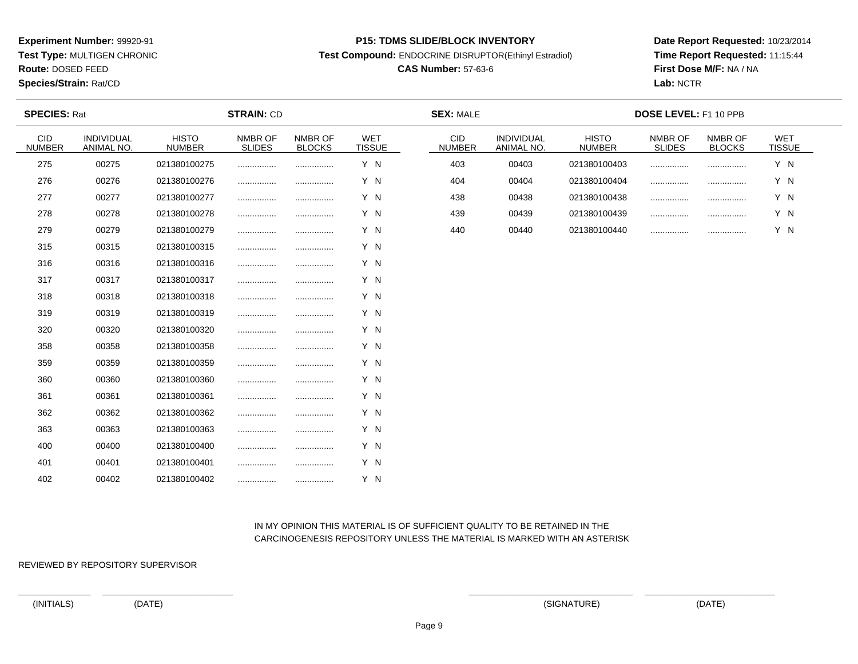**Test Type:** MULTIGEN CHRONIC

**Route:** DOSED FEED

**Species/Strain:** Rat/CD

#### **P15: TDMS SLIDE/BLOCK INVENTORY**

**Test Compound:** ENDOCRINE DISRUPTOR(Ethinyl Estradiol)

# **CAS Number:** 57-63-6

**Date Report Requested:** 10/23/2014**Time Report Requested:** 11:15:44**First Dose M/F:** NA / NA**Lab:** NCTR

| <b>SPECIES: Rat</b>         |                          |                               | <b>STRAIN: CD</b>        |                          |                             | <b>SEX: MALE</b>            |                          |                               | DOSE LEVEL: F1 10 PPB    |                          |                      |  |
|-----------------------------|--------------------------|-------------------------------|--------------------------|--------------------------|-----------------------------|-----------------------------|--------------------------|-------------------------------|--------------------------|--------------------------|----------------------|--|
| <b>CID</b><br><b>NUMBER</b> | INDIVIDUAL<br>ANIMAL NO. | <b>HISTO</b><br><b>NUMBER</b> | NMBR OF<br><b>SLIDES</b> | NMBR OF<br><b>BLOCKS</b> | <b>WET</b><br><b>TISSUE</b> | <b>CID</b><br><b>NUMBER</b> | INDIVIDUAL<br>ANIMAL NO. | <b>HISTO</b><br><b>NUMBER</b> | NMBR OF<br><b>SLIDES</b> | NMBR OF<br><b>BLOCKS</b> | WET<br><b>TISSUE</b> |  |
| 275                         | 00275                    | 021380100275                  |                          |                          | Y N                         | 403                         | 00403                    | 021380100403                  |                          |                          | Y N                  |  |
| 276                         | 00276                    | 021380100276                  |                          |                          | Y N                         | 404                         | 00404                    | 021380100404                  |                          |                          | Y N                  |  |
| 277                         | 00277                    | 021380100277                  |                          | .                        | Y N                         | 438                         | 00438                    | 021380100438                  | .                        |                          | Y N                  |  |
| 278                         | 00278                    | 021380100278                  |                          |                          | Y N                         | 439                         | 00439                    | 021380100439                  |                          |                          | Y N                  |  |
| 279                         | 00279                    | 021380100279                  |                          |                          | Y N                         | 440                         | 00440                    | 021380100440                  |                          |                          | Y N                  |  |
| 315                         | 00315                    | 021380100315                  |                          |                          | Y N                         |                             |                          |                               |                          |                          |                      |  |
| 316                         | 00316                    | 021380100316                  |                          |                          | Y N                         |                             |                          |                               |                          |                          |                      |  |
| 317                         | 00317                    | 021380100317                  |                          |                          | Y N                         |                             |                          |                               |                          |                          |                      |  |
| 318                         | 00318                    | 021380100318                  |                          |                          | Y N                         |                             |                          |                               |                          |                          |                      |  |
| 319                         | 00319                    | 021380100319                  |                          |                          | Y N                         |                             |                          |                               |                          |                          |                      |  |
| 320                         | 00320                    | 021380100320                  |                          |                          | Y N                         |                             |                          |                               |                          |                          |                      |  |
| 358                         | 00358                    | 021380100358                  |                          |                          | Y N                         |                             |                          |                               |                          |                          |                      |  |
| 359                         | 00359                    | 021380100359                  |                          |                          | Y N                         |                             |                          |                               |                          |                          |                      |  |
| 360                         | 00360                    | 021380100360                  |                          |                          | Y N                         |                             |                          |                               |                          |                          |                      |  |
| 361                         | 00361                    | 021380100361                  |                          |                          | Y N                         |                             |                          |                               |                          |                          |                      |  |
| 362                         | 00362                    | 021380100362                  |                          |                          | Y N                         |                             |                          |                               |                          |                          |                      |  |
| 363                         | 00363                    | 021380100363                  |                          |                          | Y N                         |                             |                          |                               |                          |                          |                      |  |
| 400                         | 00400                    | 021380100400                  |                          |                          | Y N                         |                             |                          |                               |                          |                          |                      |  |
| 401                         | 00401                    | 021380100401                  |                          |                          | Y N                         |                             |                          |                               |                          |                          |                      |  |
| 402                         | 00402                    | 021380100402                  |                          |                          | Y N                         |                             |                          |                               |                          |                          |                      |  |

# IN MY OPINION THIS MATERIAL IS OF SUFFICIENT QUALITY TO BE RETAINED IN THECARCINOGENESIS REPOSITORY UNLESS THE MATERIAL IS MARKED WITH AN ASTERISK

REVIEWED BY REPOSITORY SUPERVISOR

(INITIALS) (DATE) (SIGNATURE) (DATE)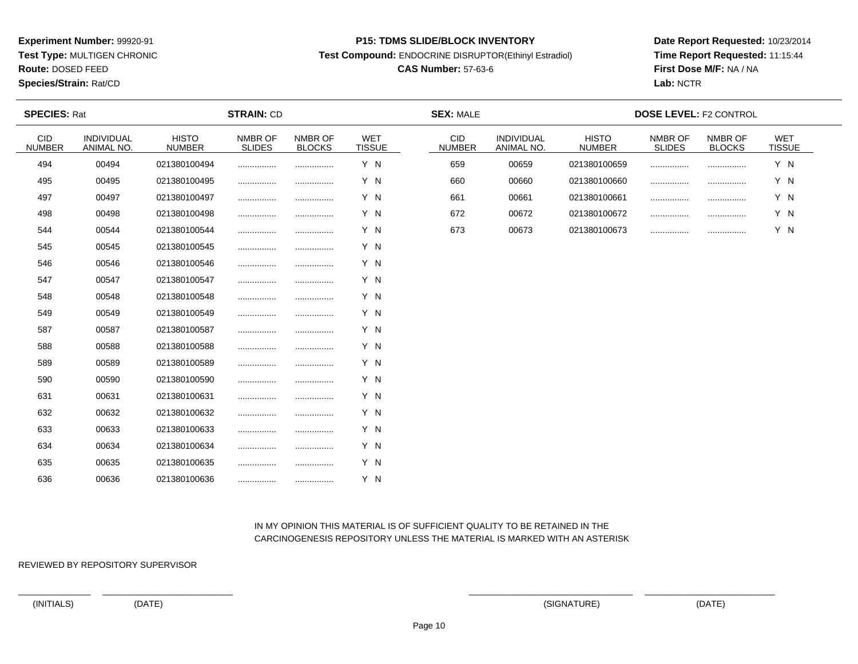**Test Type:** MULTIGEN CHRONIC

**Route:** DOSED FEED

**Species/Strain:** Rat/CD

#### **P15: TDMS SLIDE/BLOCK INVENTORY**

**Test Compound:** ENDOCRINE DISRUPTOR(Ethinyl Estradiol)

# **CAS Number:** 57-63-6

**Date Report Requested:** 10/23/2014**Time Report Requested:** 11:15:44**First Dose M/F:** NA / NA**Lab:** NCTR

| <b>SPECIES: Rat</b>         |                          |                               | <b>STRAIN: CD</b>        |                          |                             | <b>SEX: MALE</b>            |                          |                               | <b>DOSE LEVEL: F2 CONTROL</b> |                          |                      |  |
|-----------------------------|--------------------------|-------------------------------|--------------------------|--------------------------|-----------------------------|-----------------------------|--------------------------|-------------------------------|-------------------------------|--------------------------|----------------------|--|
| <b>CID</b><br><b>NUMBER</b> | INDIVIDUAL<br>ANIMAL NO. | <b>HISTO</b><br><b>NUMBER</b> | NMBR OF<br><b>SLIDES</b> | NMBR OF<br><b>BLOCKS</b> | <b>WET</b><br><b>TISSUE</b> | <b>CID</b><br><b>NUMBER</b> | INDIVIDUAL<br>ANIMAL NO. | <b>HISTO</b><br><b>NUMBER</b> | NMBR OF<br><b>SLIDES</b>      | NMBR OF<br><b>BLOCKS</b> | WET<br><b>TISSUE</b> |  |
| 494                         | 00494                    | 021380100494                  |                          |                          | Y N                         | 659                         | 00659                    | 021380100659                  |                               |                          | Y N                  |  |
| 495                         | 00495                    | 021380100495                  |                          |                          | Y N                         | 660                         | 00660                    | 021380100660                  |                               |                          | Y N                  |  |
| 497                         | 00497                    | 021380100497                  |                          | .                        | Y N                         | 661                         | 00661                    | 021380100661                  |                               |                          | Y N                  |  |
| 498                         | 00498                    | 021380100498                  |                          |                          | Y N                         | 672                         | 00672                    | 021380100672                  |                               |                          | Y N                  |  |
| 544                         | 00544                    | 021380100544                  |                          |                          | Y N                         | 673                         | 00673                    | 021380100673                  |                               |                          | Y N                  |  |
| 545                         | 00545                    | 021380100545                  |                          |                          | Y N                         |                             |                          |                               |                               |                          |                      |  |
| 546                         | 00546                    | 021380100546                  |                          |                          | Y N                         |                             |                          |                               |                               |                          |                      |  |
| 547                         | 00547                    | 021380100547                  |                          |                          | Y N                         |                             |                          |                               |                               |                          |                      |  |
| 548                         | 00548                    | 021380100548                  |                          |                          | Y N                         |                             |                          |                               |                               |                          |                      |  |
| 549                         | 00549                    | 021380100549                  |                          |                          | Y N                         |                             |                          |                               |                               |                          |                      |  |
| 587                         | 00587                    | 021380100587                  |                          |                          | Y N                         |                             |                          |                               |                               |                          |                      |  |
| 588                         | 00588                    | 021380100588                  |                          |                          | Y N                         |                             |                          |                               |                               |                          |                      |  |
| 589                         | 00589                    | 021380100589                  |                          |                          | Y N                         |                             |                          |                               |                               |                          |                      |  |
| 590                         | 00590                    | 021380100590                  |                          |                          | Y N                         |                             |                          |                               |                               |                          |                      |  |
| 631                         | 00631                    | 021380100631                  |                          |                          | Y N                         |                             |                          |                               |                               |                          |                      |  |
| 632                         | 00632                    | 021380100632                  |                          |                          | Y N                         |                             |                          |                               |                               |                          |                      |  |
| 633                         | 00633                    | 021380100633                  |                          |                          | Y N                         |                             |                          |                               |                               |                          |                      |  |
| 634                         | 00634                    | 021380100634                  |                          |                          | Y N                         |                             |                          |                               |                               |                          |                      |  |
| 635                         | 00635                    | 021380100635                  |                          |                          | Y N                         |                             |                          |                               |                               |                          |                      |  |
| 636                         | 00636                    | 021380100636                  |                          |                          | Y N                         |                             |                          |                               |                               |                          |                      |  |

# IN MY OPINION THIS MATERIAL IS OF SUFFICIENT QUALITY TO BE RETAINED IN THECARCINOGENESIS REPOSITORY UNLESS THE MATERIAL IS MARKED WITH AN ASTERISK

REVIEWED BY REPOSITORY SUPERVISOR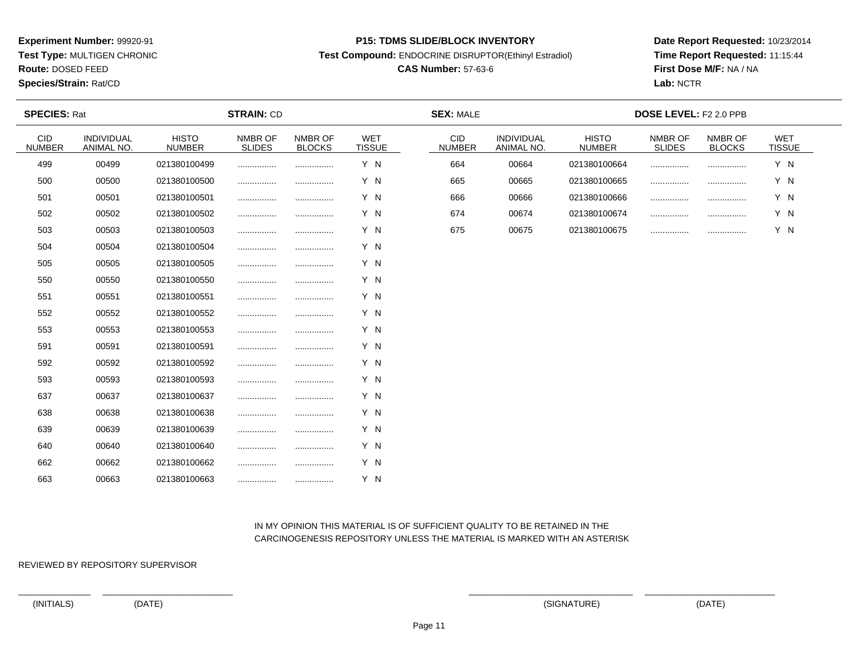**Test Type:** MULTIGEN CHRONIC

**Route:** DOSED FEED

**Species/Strain:** Rat/CD

#### **P15: TDMS SLIDE/BLOCK INVENTORY**

**Test Compound:** ENDOCRINE DISRUPTOR(Ethinyl Estradiol)

# **CAS Number:** 57-63-6

**Date Report Requested:** 10/23/2014**Time Report Requested:** 11:15:44**First Dose M/F:** NA / NA**Lab:** NCTR

| <b>SPECIES: Rat</b>         |                          | <b>STRAIN: CD</b>             |                          |                          | <b>SEX: MALE</b>            |                             |                          | DOSE LEVEL: F2 2.0 PPB        |                   |                          |               |
|-----------------------------|--------------------------|-------------------------------|--------------------------|--------------------------|-----------------------------|-----------------------------|--------------------------|-------------------------------|-------------------|--------------------------|---------------|
| <b>CID</b><br><b>NUMBER</b> | INDIVIDUAL<br>ANIMAL NO. | <b>HISTO</b><br><b>NUMBER</b> | NMBR OF<br><b>SLIDES</b> | NMBR OF<br><b>BLOCKS</b> | <b>WET</b><br><b>TISSUE</b> | <b>CID</b><br><b>NUMBER</b> | INDIVIDUAL<br>ANIMAL NO. | <b>HISTO</b><br><b>NUMBER</b> | NMBR OF<br>SLIDES | NMBR OF<br><b>BLOCKS</b> | WET<br>TISSUE |
| 499                         | 00499                    | 021380100499                  |                          |                          | Y N                         | 664                         | 00664                    | 021380100664                  |                   |                          | Y N           |
| 500                         | 00500                    | 021380100500                  |                          |                          | Y N                         | 665                         | 00665                    | 021380100665                  |                   |                          | Y N           |
| 501                         | 00501                    | 021380100501                  |                          |                          | Y N                         | 666                         | 00666                    | 021380100666                  |                   |                          | Y N           |
| 502                         | 00502                    | 021380100502                  |                          |                          | Y N                         | 674                         | 00674                    | 021380100674                  |                   |                          | Y N           |
| 503                         | 00503                    | 021380100503                  |                          |                          | Y N                         | 675                         | 00675                    | 021380100675                  |                   |                          | Y N           |
| 504                         | 00504                    | 021380100504                  |                          |                          | Y N                         |                             |                          |                               |                   |                          |               |
| 505                         | 00505                    | 021380100505                  |                          |                          | Y N                         |                             |                          |                               |                   |                          |               |
| 550                         | 00550                    | 021380100550                  |                          |                          | Y N                         |                             |                          |                               |                   |                          |               |
| 551                         | 00551                    | 021380100551                  |                          |                          | Y N                         |                             |                          |                               |                   |                          |               |
| 552                         | 00552                    | 021380100552                  |                          |                          | Y N                         |                             |                          |                               |                   |                          |               |
| 553                         | 00553                    | 021380100553                  |                          |                          | Y N                         |                             |                          |                               |                   |                          |               |
| 591                         | 00591                    | 021380100591                  |                          |                          | Y N                         |                             |                          |                               |                   |                          |               |
| 592                         | 00592                    | 021380100592                  | .                        |                          | Y N                         |                             |                          |                               |                   |                          |               |
| 593                         | 00593                    | 021380100593                  |                          |                          | Y N                         |                             |                          |                               |                   |                          |               |
| 637                         | 00637                    | 021380100637                  |                          |                          | Y N                         |                             |                          |                               |                   |                          |               |
| 638                         | 00638                    | 021380100638                  |                          |                          | Y N                         |                             |                          |                               |                   |                          |               |
| 639                         | 00639                    | 021380100639                  |                          |                          | Y N                         |                             |                          |                               |                   |                          |               |
| 640                         | 00640                    | 021380100640                  | .                        |                          | Y N                         |                             |                          |                               |                   |                          |               |
| 662                         | 00662                    | 021380100662                  |                          |                          | Y N                         |                             |                          |                               |                   |                          |               |
| 663                         | 00663                    | 021380100663                  |                          | .                        | Y N                         |                             |                          |                               |                   |                          |               |

# IN MY OPINION THIS MATERIAL IS OF SUFFICIENT QUALITY TO BE RETAINED IN THECARCINOGENESIS REPOSITORY UNLESS THE MATERIAL IS MARKED WITH AN ASTERISK

REVIEWED BY REPOSITORY SUPERVISOR

(INITIALS) (DATE) (SIGNATURE) (DATE)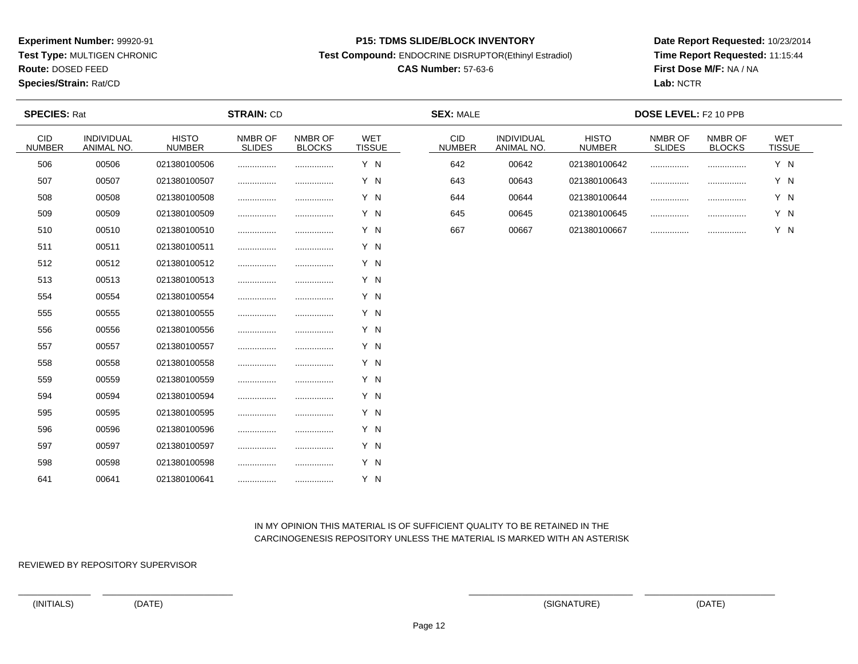**Test Type:** MULTIGEN CHRONIC

**Route:** DOSED FEED

**Species/Strain:** Rat/CD

#### **P15: TDMS SLIDE/BLOCK INVENTORY**

**Test Compound:** ENDOCRINE DISRUPTOR(Ethinyl Estradiol)

# **CAS Number:** 57-63-6

**Date Report Requested:** 10/23/2014**Time Report Requested:** 11:15:44**First Dose M/F:** NA / NA**Lab:** NCTR

| <b>SPECIES: Rat</b>         |                          |                               | <b>STRAIN: CD</b>        |                          |                             | <b>SEX: MALE</b>            |                          |                               | DOSE LEVEL: F2 10 PPB    |                          |                             |  |
|-----------------------------|--------------------------|-------------------------------|--------------------------|--------------------------|-----------------------------|-----------------------------|--------------------------|-------------------------------|--------------------------|--------------------------|-----------------------------|--|
| <b>CID</b><br><b>NUMBER</b> | INDIVIDUAL<br>ANIMAL NO. | <b>HISTO</b><br><b>NUMBER</b> | NMBR OF<br><b>SLIDES</b> | NMBR OF<br><b>BLOCKS</b> | <b>WET</b><br><b>TISSUE</b> | <b>CID</b><br><b>NUMBER</b> | INDIVIDUAL<br>ANIMAL NO. | <b>HISTO</b><br><b>NUMBER</b> | NMBR OF<br><b>SLIDES</b> | NMBR OF<br><b>BLOCKS</b> | <b>WET</b><br><b>TISSUE</b> |  |
| 506                         | 00506                    | 021380100506                  |                          |                          | Y N                         | 642                         | 00642                    | 021380100642                  |                          |                          | Y N                         |  |
| 507                         | 00507                    | 021380100507                  | .                        |                          | Y N                         | 643                         | 00643                    | 021380100643                  |                          |                          | Y N                         |  |
| 508                         | 00508                    | 021380100508                  |                          |                          | Y N                         | 644                         | 00644                    | 021380100644                  |                          | .                        | Y N                         |  |
| 509                         | 00509                    | 021380100509                  |                          |                          | Y N                         | 645                         | 00645                    | 021380100645                  |                          |                          | Y N                         |  |
| 510                         | 00510                    | 021380100510                  |                          |                          | Y N                         | 667                         | 00667                    | 021380100667                  |                          |                          | Y N                         |  |
| 511                         | 00511                    | 021380100511                  |                          |                          | Y N                         |                             |                          |                               |                          |                          |                             |  |
| 512                         | 00512                    | 021380100512                  |                          |                          | Y N                         |                             |                          |                               |                          |                          |                             |  |
| 513                         | 00513                    | 021380100513                  |                          |                          | Y N                         |                             |                          |                               |                          |                          |                             |  |
| 554                         | 00554                    | 021380100554                  |                          | .                        | Y N                         |                             |                          |                               |                          |                          |                             |  |
| 555                         | 00555                    | 021380100555                  |                          |                          | Y N                         |                             |                          |                               |                          |                          |                             |  |
| 556                         | 00556                    | 021380100556                  |                          |                          | Y N                         |                             |                          |                               |                          |                          |                             |  |
| 557                         | 00557                    | 021380100557                  | .                        |                          | Y N                         |                             |                          |                               |                          |                          |                             |  |
| 558                         | 00558                    | 021380100558                  |                          |                          | Y N                         |                             |                          |                               |                          |                          |                             |  |
| 559                         | 00559                    | 021380100559                  |                          |                          | Y N                         |                             |                          |                               |                          |                          |                             |  |
| 594                         | 00594                    | 021380100594                  |                          |                          | Y N                         |                             |                          |                               |                          |                          |                             |  |
| 595                         | 00595                    | 021380100595                  |                          |                          | Y N                         |                             |                          |                               |                          |                          |                             |  |
| 596                         | 00596                    | 021380100596                  |                          |                          | Y N                         |                             |                          |                               |                          |                          |                             |  |
| 597                         | 00597                    | 021380100597                  |                          |                          | Y N                         |                             |                          |                               |                          |                          |                             |  |
| 598                         | 00598                    | 021380100598                  |                          |                          | Y N                         |                             |                          |                               |                          |                          |                             |  |
| 641                         | 00641                    | 021380100641                  |                          |                          | Y N                         |                             |                          |                               |                          |                          |                             |  |

# IN MY OPINION THIS MATERIAL IS OF SUFFICIENT QUALITY TO BE RETAINED IN THECARCINOGENESIS REPOSITORY UNLESS THE MATERIAL IS MARKED WITH AN ASTERISK

REVIEWED BY REPOSITORY SUPERVISOR

(INITIALS) (DATE) (SIGNATURE) (DATE)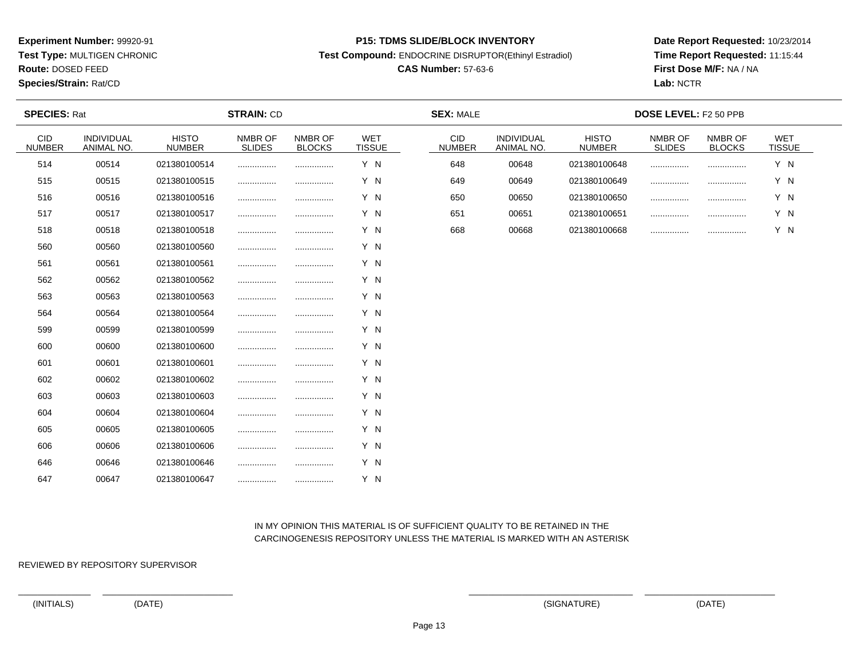**Test Type:** MULTIGEN CHRONIC

**Route:** DOSED FEED

**Species/Strain:** Rat/CD

#### **P15: TDMS SLIDE/BLOCK INVENTORY**

**Test Compound:** ENDOCRINE DISRUPTOR(Ethinyl Estradiol)

# **CAS Number:** 57-63-6

**Date Report Requested:** 10/23/2014**Time Report Requested:** 11:15:44**First Dose M/F:** NA / NA**Lab:** NCTR

| <b>SPECIES: Rat</b>         |                          |                               | <b>STRAIN: CD</b>        |                          |                             | <b>SEX: MALE</b>            |                          |                               | <b>DOSE LEVEL: F2 50 PPB</b> |                          |                      |  |
|-----------------------------|--------------------------|-------------------------------|--------------------------|--------------------------|-----------------------------|-----------------------------|--------------------------|-------------------------------|------------------------------|--------------------------|----------------------|--|
| <b>CID</b><br><b>NUMBER</b> | INDIVIDUAL<br>ANIMAL NO. | <b>HISTO</b><br><b>NUMBER</b> | NMBR OF<br><b>SLIDES</b> | NMBR OF<br><b>BLOCKS</b> | <b>WET</b><br><b>TISSUE</b> | <b>CID</b><br><b>NUMBER</b> | INDIVIDUAL<br>ANIMAL NO. | <b>HISTO</b><br><b>NUMBER</b> | NMBR OF<br><b>SLIDES</b>     | NMBR OF<br><b>BLOCKS</b> | WET<br><b>TISSUE</b> |  |
| 514                         | 00514                    | 021380100514                  |                          |                          | Y N                         | 648                         | 00648                    | 021380100648                  |                              |                          | Y N                  |  |
| 515                         | 00515                    | 021380100515                  |                          |                          | Y N                         | 649                         | 00649                    | 021380100649                  |                              |                          | Y N                  |  |
| 516                         | 00516                    | 021380100516                  |                          | .                        | Y N                         | 650                         | 00650                    | 021380100650                  |                              |                          | Y N                  |  |
| 517                         | 00517                    | 021380100517                  |                          |                          | Y N                         | 651                         | 00651                    | 021380100651                  |                              |                          | Y N                  |  |
| 518                         | 00518                    | 021380100518                  |                          |                          | Y N                         | 668                         | 00668                    | 021380100668                  |                              |                          | Y N                  |  |
| 560                         | 00560                    | 021380100560                  |                          |                          | Y N                         |                             |                          |                               |                              |                          |                      |  |
| 561                         | 00561                    | 021380100561                  |                          |                          | Y N                         |                             |                          |                               |                              |                          |                      |  |
| 562                         | 00562                    | 021380100562                  |                          |                          | Y N                         |                             |                          |                               |                              |                          |                      |  |
| 563                         | 00563                    | 021380100563                  |                          |                          | Y N                         |                             |                          |                               |                              |                          |                      |  |
| 564                         | 00564                    | 021380100564                  |                          |                          | Y N                         |                             |                          |                               |                              |                          |                      |  |
| 599                         | 00599                    | 021380100599                  |                          |                          | Y N                         |                             |                          |                               |                              |                          |                      |  |
| 600                         | 00600                    | 021380100600                  |                          |                          | Y N                         |                             |                          |                               |                              |                          |                      |  |
| 601                         | 00601                    | 021380100601                  |                          |                          | Y N                         |                             |                          |                               |                              |                          |                      |  |
| 602                         | 00602                    | 021380100602                  |                          |                          | Y N                         |                             |                          |                               |                              |                          |                      |  |
| 603                         | 00603                    | 021380100603                  |                          |                          | Y N                         |                             |                          |                               |                              |                          |                      |  |
| 604                         | 00604                    | 021380100604                  |                          |                          | Y N                         |                             |                          |                               |                              |                          |                      |  |
| 605                         | 00605                    | 021380100605                  |                          |                          | Y N                         |                             |                          |                               |                              |                          |                      |  |
| 606                         | 00606                    | 021380100606                  |                          |                          | Y N                         |                             |                          |                               |                              |                          |                      |  |
| 646                         | 00646                    | 021380100646                  |                          |                          | Y N                         |                             |                          |                               |                              |                          |                      |  |
| 647                         | 00647                    | 021380100647                  |                          |                          | Y N                         |                             |                          |                               |                              |                          |                      |  |

# IN MY OPINION THIS MATERIAL IS OF SUFFICIENT QUALITY TO BE RETAINED IN THECARCINOGENESIS REPOSITORY UNLESS THE MATERIAL IS MARKED WITH AN ASTERISK

REVIEWED BY REPOSITORY SUPERVISOR

(INITIALS) (DATE) (SIGNATURE) (DATE)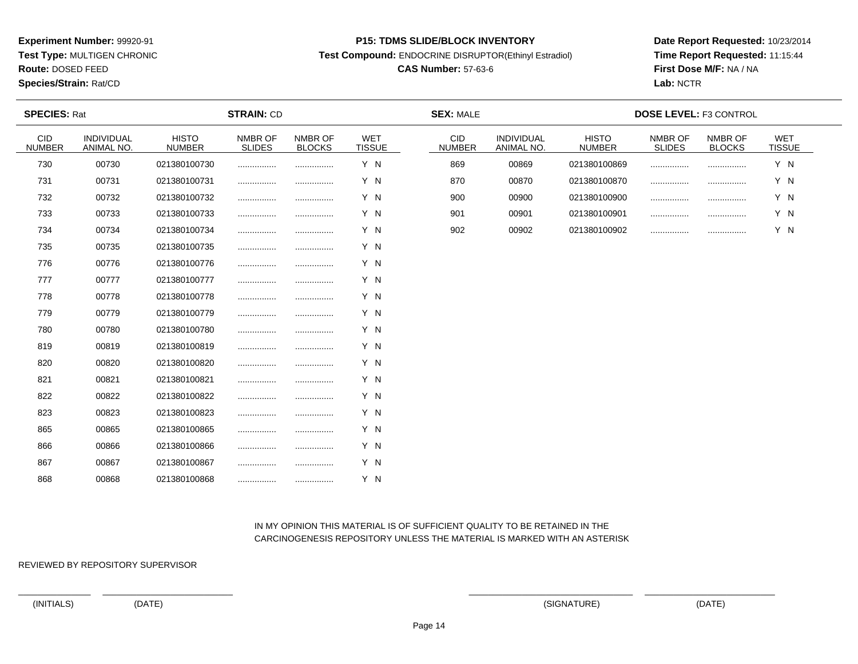**Test Type:** MULTIGEN CHRONIC

**Route:** DOSED FEED

**Species/Strain:** Rat/CD

#### **P15: TDMS SLIDE/BLOCK INVENTORY**

**Test Compound:** ENDOCRINE DISRUPTOR(Ethinyl Estradiol)

# **CAS Number:** 57-63-6

**Date Report Requested:** 10/23/2014**Time Report Requested:** 11:15:44**First Dose M/F:** NA / NA**Lab:** NCTR

| <b>SPECIES: Rat</b>         |                          |                               | <b>STRAIN: CD</b>        |                          |                             | <b>SEX: MALE</b>     |                          |                               | <b>DOSE LEVEL: F3 CONTROL</b> |                          |                             |
|-----------------------------|--------------------------|-------------------------------|--------------------------|--------------------------|-----------------------------|----------------------|--------------------------|-------------------------------|-------------------------------|--------------------------|-----------------------------|
| <b>CID</b><br><b>NUMBER</b> | INDIVIDUAL<br>ANIMAL NO. | <b>HISTO</b><br><b>NUMBER</b> | NMBR OF<br><b>SLIDES</b> | NMBR OF<br><b>BLOCKS</b> | <b>WET</b><br><b>TISSUE</b> | CID<br><b>NUMBER</b> | INDIVIDUAL<br>ANIMAL NO. | <b>HISTO</b><br><b>NUMBER</b> | NMBR OF<br><b>SLIDES</b>      | NMBR OF<br><b>BLOCKS</b> | <b>WET</b><br><b>TISSUE</b> |
| 730                         | 00730                    | 021380100730                  |                          |                          | Y N                         | 869                  | 00869                    | 021380100869                  |                               |                          | Y N                         |
| 731                         | 00731                    | 021380100731                  |                          |                          | Y N                         | 870                  | 00870                    | 021380100870                  |                               |                          | Y N                         |
| 732                         | 00732                    | 021380100732                  |                          |                          | Y N                         | 900                  | 00900                    | 021380100900                  |                               | .                        | Y N                         |
| 733                         | 00733                    | 021380100733                  |                          | .                        | Y N                         | 901                  | 00901                    | 021380100901                  |                               |                          | Y N                         |
| 734                         | 00734                    | 021380100734                  | .                        |                          | Y N                         | 902                  | 00902                    | 021380100902                  |                               |                          | Y N                         |
| 735                         | 00735                    | 021380100735                  |                          |                          | Y N                         |                      |                          |                               |                               |                          |                             |
| 776                         | 00776                    | 021380100776                  |                          |                          | Y N                         |                      |                          |                               |                               |                          |                             |
| 777                         | 00777                    | 021380100777                  |                          |                          | Y N                         |                      |                          |                               |                               |                          |                             |
| 778                         | 00778                    | 021380100778                  |                          |                          | Y N                         |                      |                          |                               |                               |                          |                             |
| 779                         | 00779                    | 021380100779                  | .                        |                          | Y N                         |                      |                          |                               |                               |                          |                             |
| 780                         | 00780                    | 021380100780                  |                          |                          | Y N                         |                      |                          |                               |                               |                          |                             |
| 819                         | 00819                    | 021380100819                  |                          |                          | Y N                         |                      |                          |                               |                               |                          |                             |
| 820                         | 00820                    | 021380100820                  |                          | .                        | Y N                         |                      |                          |                               |                               |                          |                             |
| 821                         | 00821                    | 021380100821                  |                          |                          | Y N                         |                      |                          |                               |                               |                          |                             |
| 822                         | 00822                    | 021380100822                  | .                        | .                        | Y N                         |                      |                          |                               |                               |                          |                             |
| 823                         | 00823                    | 021380100823                  |                          |                          | Y N                         |                      |                          |                               |                               |                          |                             |
| 865                         | 00865                    | 021380100865                  |                          |                          | Y N                         |                      |                          |                               |                               |                          |                             |
| 866                         | 00866                    | 021380100866                  |                          |                          | Y N                         |                      |                          |                               |                               |                          |                             |
| 867                         | 00867                    | 021380100867                  |                          |                          | Y N                         |                      |                          |                               |                               |                          |                             |
| 868                         | 00868                    | 021380100868                  |                          |                          | Y N                         |                      |                          |                               |                               |                          |                             |

# IN MY OPINION THIS MATERIAL IS OF SUFFICIENT QUALITY TO BE RETAINED IN THECARCINOGENESIS REPOSITORY UNLESS THE MATERIAL IS MARKED WITH AN ASTERISK

REVIEWED BY REPOSITORY SUPERVISOR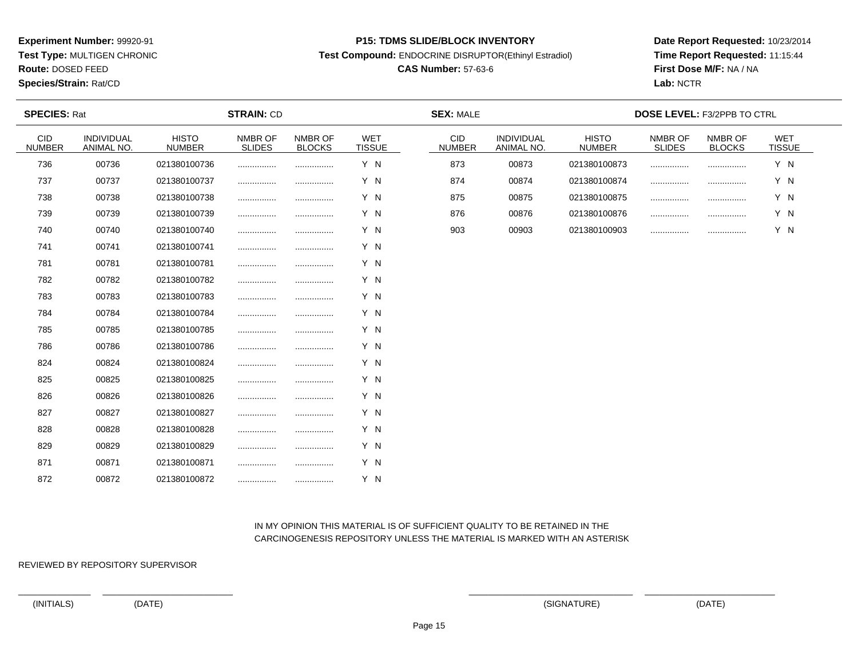**Test Type:** MULTIGEN CHRONIC

**Route:** DOSED FEED

**Species/Strain:** Rat/CD

#### **P15: TDMS SLIDE/BLOCK INVENTORY**

**Test Compound:** ENDOCRINE DISRUPTOR(Ethinyl Estradiol)

# **CAS Number:** 57-63-6

**Date Report Requested:** 10/23/2014**Time Report Requested:** 11:15:44**First Dose M/F:** NA / NA**Lab:** NCTR

| <b>SPECIES: Rat</b>         |                          |                               | <b>STRAIN: CD</b>        |                          |                             | <b>SEX: MALE</b>            |                          |                               |                          | <b>DOSE LEVEL: F3/2PPB TO CTRL</b> |                      |  |
|-----------------------------|--------------------------|-------------------------------|--------------------------|--------------------------|-----------------------------|-----------------------------|--------------------------|-------------------------------|--------------------------|------------------------------------|----------------------|--|
| <b>CID</b><br><b>NUMBER</b> | INDIVIDUAL<br>ANIMAL NO. | <b>HISTO</b><br><b>NUMBER</b> | NMBR OF<br><b>SLIDES</b> | NMBR OF<br><b>BLOCKS</b> | <b>WET</b><br><b>TISSUE</b> | <b>CID</b><br><b>NUMBER</b> | INDIVIDUAL<br>ANIMAL NO. | <b>HISTO</b><br><b>NUMBER</b> | NMBR OF<br><b>SLIDES</b> | NMBR OF<br><b>BLOCKS</b>           | WET<br><b>TISSUE</b> |  |
| 736                         | 00736                    | 021380100736                  |                          |                          | Y N                         | 873                         | 00873                    | 021380100873                  |                          |                                    | Y N                  |  |
| 737                         | 00737                    | 021380100737                  |                          |                          | Y N                         | 874                         | 00874                    | 021380100874                  |                          |                                    | Y N                  |  |
| 738                         | 00738                    | 021380100738                  |                          | .                        | Y N                         | 875                         | 00875                    | 021380100875                  | .                        |                                    | Y N                  |  |
| 739                         | 00739                    | 021380100739                  |                          |                          | Y N                         | 876                         | 00876                    | 021380100876                  |                          |                                    | Y N                  |  |
| 740                         | 00740                    | 021380100740                  |                          |                          | Y N                         | 903                         | 00903                    | 021380100903                  |                          |                                    | Y N                  |  |
| 741                         | 00741                    | 021380100741                  |                          |                          | Y N                         |                             |                          |                               |                          |                                    |                      |  |
| 781                         | 00781                    | 021380100781                  |                          |                          | Y N                         |                             |                          |                               |                          |                                    |                      |  |
| 782                         | 00782                    | 021380100782                  |                          |                          | Y N                         |                             |                          |                               |                          |                                    |                      |  |
| 783                         | 00783                    | 021380100783                  |                          |                          | Y N                         |                             |                          |                               |                          |                                    |                      |  |
| 784                         | 00784                    | 021380100784                  |                          |                          | Y N                         |                             |                          |                               |                          |                                    |                      |  |
| 785                         | 00785                    | 021380100785                  |                          |                          | Y N                         |                             |                          |                               |                          |                                    |                      |  |
| 786                         | 00786                    | 021380100786                  |                          |                          | Y N                         |                             |                          |                               |                          |                                    |                      |  |
| 824                         | 00824                    | 021380100824                  |                          |                          | Y N                         |                             |                          |                               |                          |                                    |                      |  |
| 825                         | 00825                    | 021380100825                  |                          |                          | Y N                         |                             |                          |                               |                          |                                    |                      |  |
| 826                         | 00826                    | 021380100826                  |                          |                          | Y N                         |                             |                          |                               |                          |                                    |                      |  |
| 827                         | 00827                    | 021380100827                  |                          |                          | Y N                         |                             |                          |                               |                          |                                    |                      |  |
| 828                         | 00828                    | 021380100828                  |                          |                          | Y N                         |                             |                          |                               |                          |                                    |                      |  |
| 829                         | 00829                    | 021380100829                  |                          |                          | Y N                         |                             |                          |                               |                          |                                    |                      |  |
| 871                         | 00871                    | 021380100871                  |                          |                          | Y N                         |                             |                          |                               |                          |                                    |                      |  |
| 872                         | 00872                    | 021380100872                  |                          |                          | Y N                         |                             |                          |                               |                          |                                    |                      |  |

# IN MY OPINION THIS MATERIAL IS OF SUFFICIENT QUALITY TO BE RETAINED IN THECARCINOGENESIS REPOSITORY UNLESS THE MATERIAL IS MARKED WITH AN ASTERISK

REVIEWED BY REPOSITORY SUPERVISOR

(INITIALS) (DATE) (SIGNATURE) (DATE)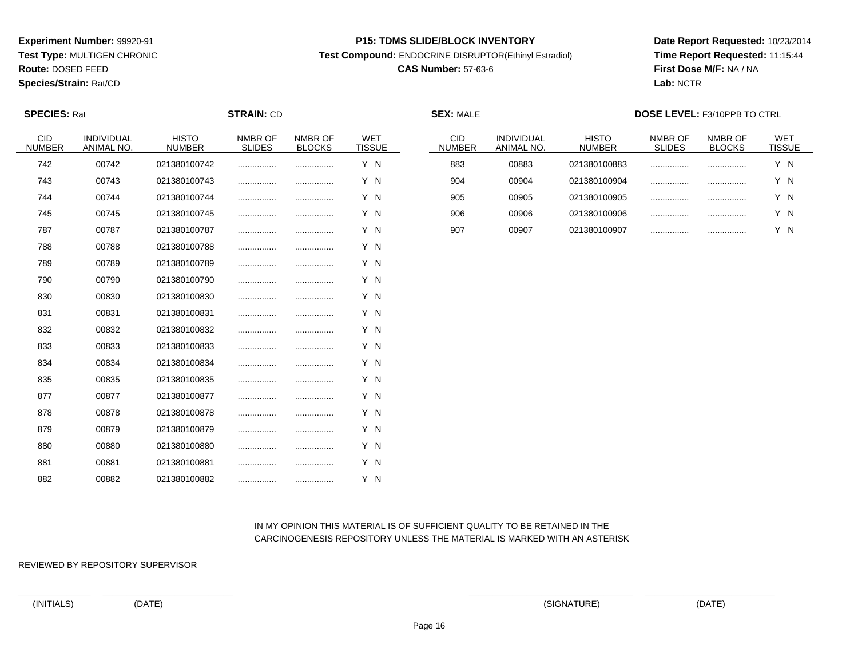**Test Type:** MULTIGEN CHRONIC

**Route:** DOSED FEED

**Species/Strain:** Rat/CD

#### **P15: TDMS SLIDE/BLOCK INVENTORY**

**Test Compound:** ENDOCRINE DISRUPTOR(Ethinyl Estradiol)

# **CAS Number:** 57-63-6

**Date Report Requested:** 10/23/2014**Time Report Requested:** 11:15:44**First Dose M/F:** NA / NA**Lab:** NCTR

| <b>SPECIES: Rat</b>         |                          |                               | <b>STRAIN: CD</b>        |                          |                             | <b>SEX: MALE</b>            |                          |                               | DOSE LEVEL: F3/10PPB TO CTRL |                          |                             |  |
|-----------------------------|--------------------------|-------------------------------|--------------------------|--------------------------|-----------------------------|-----------------------------|--------------------------|-------------------------------|------------------------------|--------------------------|-----------------------------|--|
| <b>CID</b><br><b>NUMBER</b> | INDIVIDUAL<br>ANIMAL NO. | <b>HISTO</b><br><b>NUMBER</b> | NMBR OF<br><b>SLIDES</b> | NMBR OF<br><b>BLOCKS</b> | <b>WET</b><br><b>TISSUE</b> | <b>CID</b><br><b>NUMBER</b> | INDIVIDUAL<br>ANIMAL NO. | <b>HISTO</b><br><b>NUMBER</b> | NMBR OF<br><b>SLIDES</b>     | NMBR OF<br><b>BLOCKS</b> | <b>WET</b><br><b>TISSUE</b> |  |
| 742                         | 00742                    | 021380100742                  |                          |                          | Y N                         | 883                         | 00883                    | 021380100883                  |                              |                          | Y N                         |  |
| 743                         | 00743                    | 021380100743                  |                          |                          | Y N                         | 904                         | 00904                    | 021380100904                  |                              |                          | Y N                         |  |
| 744                         | 00744                    | 021380100744                  |                          |                          | Y N                         | 905                         | 00905                    | 021380100905                  |                              |                          | Y N                         |  |
| 745                         | 00745                    | 021380100745                  |                          |                          | Y N                         | 906                         | 00906                    | 021380100906                  |                              |                          | Y N                         |  |
| 787                         | 00787                    | 021380100787                  |                          |                          | Y N                         | 907                         | 00907                    | 021380100907                  |                              |                          | Y N                         |  |
| 788                         | 00788                    | 021380100788                  |                          |                          | Y N                         |                             |                          |                               |                              |                          |                             |  |
| 789                         | 00789                    | 021380100789                  |                          |                          | Y N                         |                             |                          |                               |                              |                          |                             |  |
| 790                         | 00790                    | 021380100790                  |                          |                          | Y N                         |                             |                          |                               |                              |                          |                             |  |
| 830                         | 00830                    | 021380100830                  |                          |                          | Y N                         |                             |                          |                               |                              |                          |                             |  |
| 831                         | 00831                    | 021380100831                  |                          |                          | Y N                         |                             |                          |                               |                              |                          |                             |  |
| 832                         | 00832                    | 021380100832                  |                          |                          | Y N                         |                             |                          |                               |                              |                          |                             |  |
| 833                         | 00833                    | 021380100833                  |                          |                          | Y N                         |                             |                          |                               |                              |                          |                             |  |
| 834                         | 00834                    | 021380100834                  |                          |                          | Y N                         |                             |                          |                               |                              |                          |                             |  |
| 835                         | 00835                    | 021380100835                  |                          |                          | Y N                         |                             |                          |                               |                              |                          |                             |  |
| 877                         | 00877                    | 021380100877                  |                          |                          | Y N                         |                             |                          |                               |                              |                          |                             |  |
| 878                         | 00878                    | 021380100878                  |                          |                          | Y N                         |                             |                          |                               |                              |                          |                             |  |
| 879                         | 00879                    | 021380100879                  |                          |                          | Y N                         |                             |                          |                               |                              |                          |                             |  |
| 880                         | 00880                    | 021380100880                  |                          |                          | Y N                         |                             |                          |                               |                              |                          |                             |  |
| 881                         | 00881                    | 021380100881                  |                          |                          | Y N                         |                             |                          |                               |                              |                          |                             |  |
| 882                         | 00882                    | 021380100882                  |                          |                          | Y N                         |                             |                          |                               |                              |                          |                             |  |

# IN MY OPINION THIS MATERIAL IS OF SUFFICIENT QUALITY TO BE RETAINED IN THECARCINOGENESIS REPOSITORY UNLESS THE MATERIAL IS MARKED WITH AN ASTERISK

REVIEWED BY REPOSITORY SUPERVISOR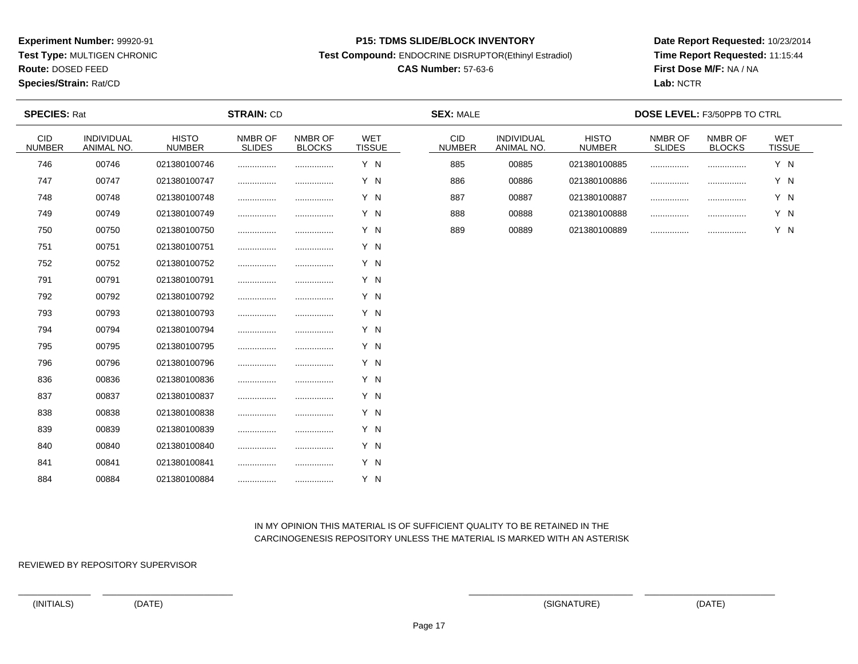**Test Type:** MULTIGEN CHRONIC

**Route:** DOSED FEED

**Species/Strain:** Rat/CD

#### **P15: TDMS SLIDE/BLOCK INVENTORY**

**Test Compound:** ENDOCRINE DISRUPTOR(Ethinyl Estradiol)

# **CAS Number:** 57-63-6

**Date Report Requested:** 10/23/2014**Time Report Requested:** 11:15:44**First Dose M/F:** NA / NA**Lab:** NCTR

| <b>SPECIES: Rat</b>  |                          |                               | <b>STRAIN: CD</b>        |                          |                             | <b>SEX: MALE</b>            |                          |                               | DOSE LEVEL: F3/50PPB TO CTRL |                          |                             |  |
|----------------------|--------------------------|-------------------------------|--------------------------|--------------------------|-----------------------------|-----------------------------|--------------------------|-------------------------------|------------------------------|--------------------------|-----------------------------|--|
| CID<br><b>NUMBER</b> | INDIVIDUAL<br>ANIMAL NO. | <b>HISTO</b><br><b>NUMBER</b> | NMBR OF<br><b>SLIDES</b> | NMBR OF<br><b>BLOCKS</b> | <b>WET</b><br><b>TISSUE</b> | <b>CID</b><br><b>NUMBER</b> | INDIVIDUAL<br>ANIMAL NO. | <b>HISTO</b><br><b>NUMBER</b> | NMBR OF<br><b>SLIDES</b>     | NMBR OF<br><b>BLOCKS</b> | <b>WET</b><br><b>TISSUE</b> |  |
| 746                  | 00746                    | 021380100746                  |                          |                          | Y N                         | 885                         | 00885                    | 021380100885                  |                              |                          | Y N                         |  |
| 747                  | 00747                    | 021380100747                  |                          |                          | Y N                         | 886                         | 00886                    | 021380100886                  |                              |                          | Y N                         |  |
| 748                  | 00748                    | 021380100748                  |                          |                          | Y N                         | 887                         | 00887                    | 021380100887                  |                              |                          | Y N                         |  |
| 749                  | 00749                    | 021380100749                  |                          |                          | Y N                         | 888                         | 00888                    | 021380100888                  |                              |                          | Y N                         |  |
| 750                  | 00750                    | 021380100750                  |                          |                          | Y N                         | 889                         | 00889                    | 021380100889                  |                              |                          | Y N                         |  |
| 751                  | 00751                    | 021380100751                  |                          |                          | Y N                         |                             |                          |                               |                              |                          |                             |  |
| 752                  | 00752                    | 021380100752                  |                          |                          | Y N                         |                             |                          |                               |                              |                          |                             |  |
| 791                  | 00791                    | 021380100791                  |                          |                          | Y N                         |                             |                          |                               |                              |                          |                             |  |
| 792                  | 00792                    | 021380100792                  |                          |                          | Y N                         |                             |                          |                               |                              |                          |                             |  |
| 793                  | 00793                    | 021380100793                  |                          |                          | Y N                         |                             |                          |                               |                              |                          |                             |  |
| 794                  | 00794                    | 021380100794                  |                          |                          | Y N                         |                             |                          |                               |                              |                          |                             |  |
| 795                  | 00795                    | 021380100795                  |                          |                          | Y N                         |                             |                          |                               |                              |                          |                             |  |
| 796                  | 00796                    | 021380100796                  |                          |                          | Y N                         |                             |                          |                               |                              |                          |                             |  |
| 836                  | 00836                    | 021380100836                  |                          |                          | Y N                         |                             |                          |                               |                              |                          |                             |  |
| 837                  | 00837                    | 021380100837                  |                          |                          | Y N                         |                             |                          |                               |                              |                          |                             |  |
| 838                  | 00838                    | 021380100838                  |                          |                          | Y N                         |                             |                          |                               |                              |                          |                             |  |
| 839                  | 00839                    | 021380100839                  |                          |                          | Y N                         |                             |                          |                               |                              |                          |                             |  |
| 840                  | 00840                    | 021380100840                  |                          |                          | Y N                         |                             |                          |                               |                              |                          |                             |  |
| 841                  | 00841                    | 021380100841                  |                          |                          | Y N                         |                             |                          |                               |                              |                          |                             |  |
| 884                  | 00884                    | 021380100884                  |                          |                          | Y N                         |                             |                          |                               |                              |                          |                             |  |

# IN MY OPINION THIS MATERIAL IS OF SUFFICIENT QUALITY TO BE RETAINED IN THECARCINOGENESIS REPOSITORY UNLESS THE MATERIAL IS MARKED WITH AN ASTERISK

REVIEWED BY REPOSITORY SUPERVISOR

(INITIALS) (DATE) (SIGNATURE) (DATE)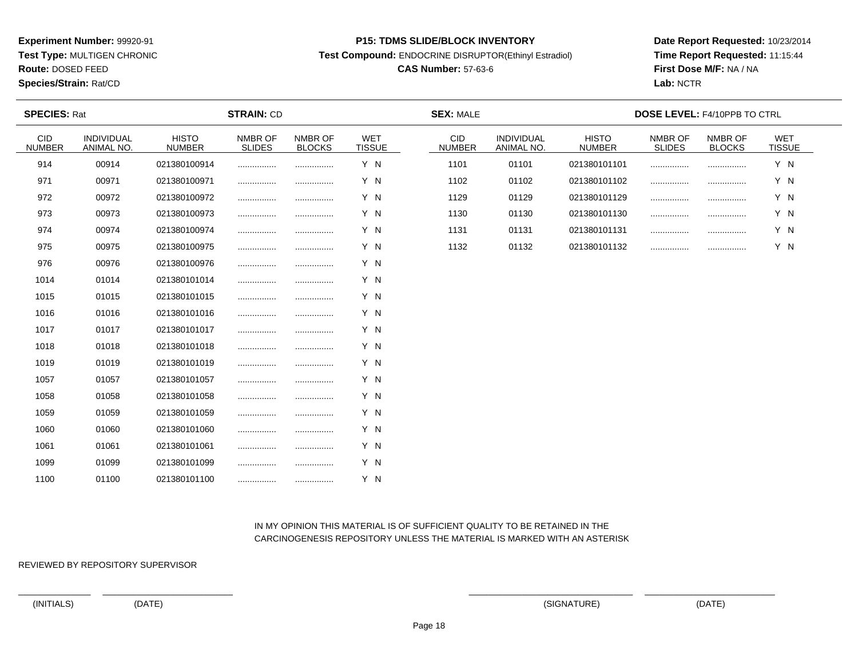**Test Type:** MULTIGEN CHRONIC

**Route:** DOSED FEED

**Species/Strain:** Rat/CD

#### **P15: TDMS SLIDE/BLOCK INVENTORY**

**Test Compound:** ENDOCRINE DISRUPTOR(Ethinyl Estradiol)

# **CAS Number:** 57-63-6

**Date Report Requested:** 10/23/2014**Time Report Requested:** 11:15:44**First Dose M/F:** NA / NA**Lab:** NCTR

| <b>SPECIES: Rat</b>  |                          |                               | <b>STRAIN: CD</b>        |                          |                             | <b>SEX: MALE</b>            |                          |                               | <b>DOSE LEVEL: F4/10PPB TO CTRL</b> |                          |                      |  |
|----------------------|--------------------------|-------------------------------|--------------------------|--------------------------|-----------------------------|-----------------------------|--------------------------|-------------------------------|-------------------------------------|--------------------------|----------------------|--|
| CID<br><b>NUMBER</b> | INDIVIDUAL<br>ANIMAL NO. | <b>HISTO</b><br><b>NUMBER</b> | NMBR OF<br><b>SLIDES</b> | NMBR OF<br><b>BLOCKS</b> | <b>WET</b><br><b>TISSUE</b> | <b>CID</b><br><b>NUMBER</b> | INDIVIDUAL<br>ANIMAL NO. | <b>HISTO</b><br><b>NUMBER</b> | NMBR OF<br><b>SLIDES</b>            | NMBR OF<br><b>BLOCKS</b> | WET<br><b>TISSUE</b> |  |
| 914                  | 00914                    | 021380100914                  |                          |                          | Y N                         | 1101                        | 01101                    | 021380101101                  | .                                   |                          | Y N                  |  |
| 971                  | 00971                    | 021380100971                  | .                        |                          | Y N                         | 1102                        | 01102                    | 021380101102                  | .                                   |                          | Y N                  |  |
| 972                  | 00972                    | 021380100972                  |                          |                          | Y N                         | 1129                        | 01129                    | 021380101129                  | .                                   |                          | Y N                  |  |
| 973                  | 00973                    | 021380100973                  |                          |                          | Y N                         | 1130                        | 01130                    | 021380101130                  |                                     |                          | Y N                  |  |
| 974                  | 00974                    | 021380100974                  |                          |                          | Y N                         | 1131                        | 01131                    | 021380101131                  |                                     |                          | Y N                  |  |
| 975                  | 00975                    | 021380100975                  |                          |                          | Y N                         | 1132                        | 01132                    | 021380101132                  |                                     |                          | Y N                  |  |
| 976                  | 00976                    | 021380100976                  |                          |                          | Y N                         |                             |                          |                               |                                     |                          |                      |  |
| 1014                 | 01014                    | 021380101014                  |                          |                          | Y N                         |                             |                          |                               |                                     |                          |                      |  |
| 1015                 | 01015                    | 021380101015                  | .                        |                          | Y N                         |                             |                          |                               |                                     |                          |                      |  |
| 1016                 | 01016                    | 021380101016                  |                          |                          | Y N                         |                             |                          |                               |                                     |                          |                      |  |
| 1017                 | 01017                    | 021380101017                  | .                        |                          | Y N                         |                             |                          |                               |                                     |                          |                      |  |
| 1018                 | 01018                    | 021380101018                  | .                        |                          | Y N                         |                             |                          |                               |                                     |                          |                      |  |
| 1019                 | 01019                    | 021380101019                  |                          |                          | Y N                         |                             |                          |                               |                                     |                          |                      |  |
| 1057                 | 01057                    | 021380101057                  |                          |                          | Y N                         |                             |                          |                               |                                     |                          |                      |  |
| 1058                 | 01058                    | 021380101058                  |                          |                          | Y N                         |                             |                          |                               |                                     |                          |                      |  |
| 1059                 | 01059                    | 021380101059                  |                          |                          | Y N                         |                             |                          |                               |                                     |                          |                      |  |
| 1060                 | 01060                    | 021380101060                  |                          |                          | Y N                         |                             |                          |                               |                                     |                          |                      |  |
| 1061                 | 01061                    | 021380101061                  |                          |                          | Y N                         |                             |                          |                               |                                     |                          |                      |  |
| 1099                 | 01099                    | 021380101099                  |                          |                          | Y N                         |                             |                          |                               |                                     |                          |                      |  |
| 1100                 | 01100                    | 021380101100                  |                          |                          | Y N                         |                             |                          |                               |                                     |                          |                      |  |

# IN MY OPINION THIS MATERIAL IS OF SUFFICIENT QUALITY TO BE RETAINED IN THECARCINOGENESIS REPOSITORY UNLESS THE MATERIAL IS MARKED WITH AN ASTERISK

REVIEWED BY REPOSITORY SUPERVISOR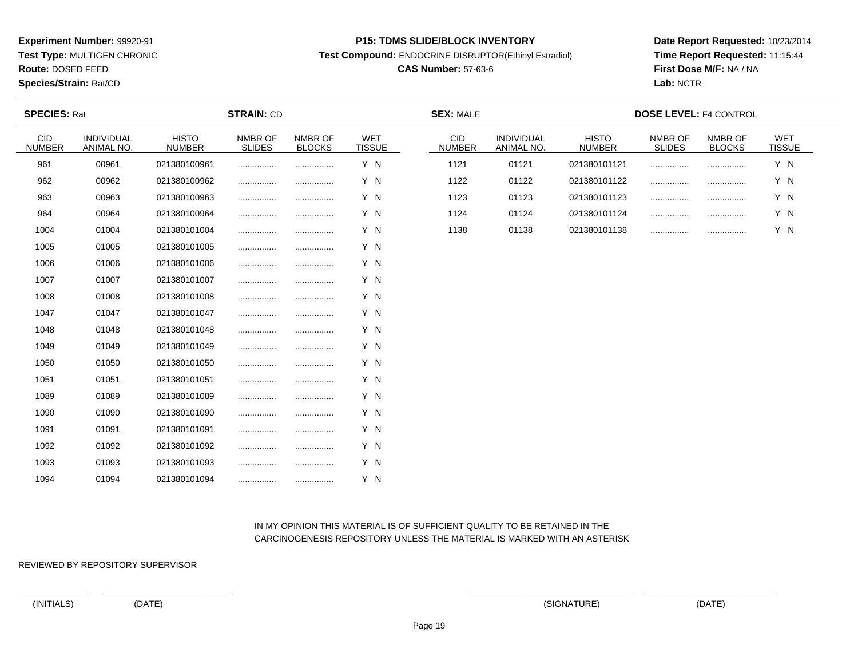**Test Type:** MULTIGEN CHRONIC

**Route:** DOSED FEED

**Species/Strain:** Rat/CD

#### **P15: TDMS SLIDE/BLOCK INVENTORY**

**Test Compound:** ENDOCRINE DISRUPTOR(Ethinyl Estradiol)

# **CAS Number:** 57-63-6

**Date Report Requested:** 10/23/2014**Time Report Requested:** 11:15:44**First Dose M/F:** NA / NA**Lab:** NCTR

| <b>SPECIES: Rat</b>         |                          |                               | <b>STRAIN: CD</b>        |                          |                             | <b>SEX: MALE</b>     |                          |                               | <b>DOSE LEVEL: F4 CONTROL</b> |                          |                             |
|-----------------------------|--------------------------|-------------------------------|--------------------------|--------------------------|-----------------------------|----------------------|--------------------------|-------------------------------|-------------------------------|--------------------------|-----------------------------|
| <b>CID</b><br><b>NUMBER</b> | INDIVIDUAL<br>ANIMAL NO. | <b>HISTO</b><br><b>NUMBER</b> | NMBR OF<br><b>SLIDES</b> | NMBR OF<br><b>BLOCKS</b> | <b>WET</b><br><b>TISSUE</b> | CID<br><b>NUMBER</b> | INDIVIDUAL<br>ANIMAL NO. | <b>HISTO</b><br><b>NUMBER</b> | NMBR OF<br><b>SLIDES</b>      | NMBR OF<br><b>BLOCKS</b> | <b>WET</b><br><b>TISSUE</b> |
| 961                         | 00961                    | 021380100961                  | .                        |                          | Y N                         | 1121                 | 01121                    | 021380101121                  |                               |                          | Y N                         |
| 962                         | 00962                    | 021380100962                  | .                        |                          | Y N                         | 1122                 | 01122                    | 021380101122                  |                               | .                        | Y N                         |
| 963                         | 00963                    | 021380100963                  |                          |                          | Y N                         | 1123                 | 01123                    | 021380101123                  |                               | .                        | Y N                         |
| 964                         | 00964                    | 021380100964                  | .                        |                          | Y N                         | 1124                 | 01124                    | 021380101124                  |                               |                          | Y N                         |
| 1004                        | 01004                    | 021380101004                  | .                        |                          | Y N                         | 1138                 | 01138                    | 021380101138                  |                               |                          | Y N                         |
| 1005                        | 01005                    | 021380101005                  |                          |                          | Y N                         |                      |                          |                               |                               |                          |                             |
| 1006                        | 01006                    | 021380101006                  | .                        |                          | Y N                         |                      |                          |                               |                               |                          |                             |
| 1007                        | 01007                    | 021380101007                  |                          |                          | Y N                         |                      |                          |                               |                               |                          |                             |
| 1008                        | 01008                    | 021380101008                  |                          |                          | Y N                         |                      |                          |                               |                               |                          |                             |
| 1047                        | 01047                    | 021380101047                  | .                        |                          | Y N                         |                      |                          |                               |                               |                          |                             |
| 1048                        | 01048                    | 021380101048                  | .                        |                          | Y N                         |                      |                          |                               |                               |                          |                             |
| 1049                        | 01049                    | 021380101049                  |                          |                          | Y N                         |                      |                          |                               |                               |                          |                             |
| 1050                        | 01050                    | 021380101050                  | .                        |                          | Y N                         |                      |                          |                               |                               |                          |                             |
| 1051                        | 01051                    | 021380101051                  | .                        |                          | Y N                         |                      |                          |                               |                               |                          |                             |
| 1089                        | 01089                    | 021380101089                  | .                        |                          | Y N                         |                      |                          |                               |                               |                          |                             |
| 1090                        | 01090                    | 021380101090                  | .                        |                          | Y N                         |                      |                          |                               |                               |                          |                             |
| 1091                        | 01091                    | 021380101091                  | .                        |                          | Y N                         |                      |                          |                               |                               |                          |                             |
| 1092                        | 01092                    | 021380101092                  | .                        |                          | Y N                         |                      |                          |                               |                               |                          |                             |
| 1093                        | 01093                    | 021380101093                  | .                        |                          | Y N                         |                      |                          |                               |                               |                          |                             |
| 1094                        | 01094                    | 021380101094                  |                          |                          | Y N                         |                      |                          |                               |                               |                          |                             |

# IN MY OPINION THIS MATERIAL IS OF SUFFICIENT QUALITY TO BE RETAINED IN THECARCINOGENESIS REPOSITORY UNLESS THE MATERIAL IS MARKED WITH AN ASTERISK

REVIEWED BY REPOSITORY SUPERVISOR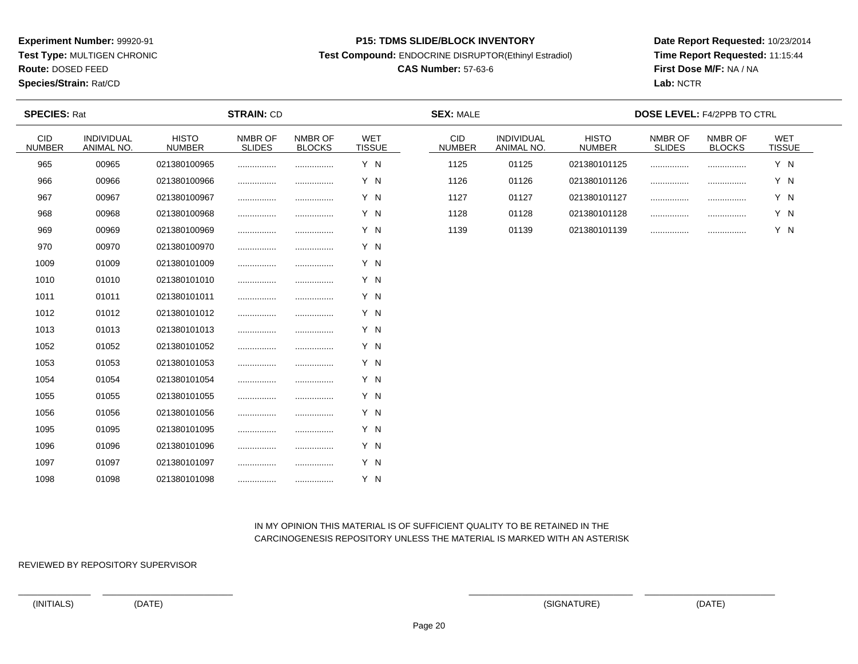**Test Type:** MULTIGEN CHRONIC

**Route:** DOSED FEED

**Species/Strain:** Rat/CD

#### **P15: TDMS SLIDE/BLOCK INVENTORY**

**Test Compound:** ENDOCRINE DISRUPTOR(Ethinyl Estradiol)

# **CAS Number:** 57-63-6

**Date Report Requested:** 10/23/2014**Time Report Requested:** 11:15:44**First Dose M/F:** NA / NA**Lab:** NCTR

| <b>SPECIES: Rat</b>         |                          |                               | <b>STRAIN: CD</b>        |                          |                             | <b>SEX: MALE</b>            |                          |                               | <b>DOSE LEVEL: F4/2PPB TO CTRL</b> |                          |                      |
|-----------------------------|--------------------------|-------------------------------|--------------------------|--------------------------|-----------------------------|-----------------------------|--------------------------|-------------------------------|------------------------------------|--------------------------|----------------------|
| <b>CID</b><br><b>NUMBER</b> | INDIVIDUAL<br>ANIMAL NO. | <b>HISTO</b><br><b>NUMBER</b> | NMBR OF<br><b>SLIDES</b> | NMBR OF<br><b>BLOCKS</b> | <b>WET</b><br><b>TISSUE</b> | <b>CID</b><br><b>NUMBER</b> | INDIVIDUAL<br>ANIMAL NO. | <b>HISTO</b><br><b>NUMBER</b> | NMBR OF<br><b>SLIDES</b>           | NMBR OF<br><b>BLOCKS</b> | WET<br><b>TISSUE</b> |
| 965                         | 00965                    | 021380100965                  |                          |                          | Y N                         | 1125                        | 01125                    | 021380101125                  |                                    |                          | Y N                  |
| 966                         | 00966                    | 021380100966                  |                          |                          | Y N                         | 1126                        | 01126                    | 021380101126                  |                                    |                          | Y N                  |
| 967                         | 00967                    | 021380100967                  |                          |                          | Y N                         | 1127                        | 01127                    | 021380101127                  |                                    | .                        | Y N                  |
| 968                         | 00968                    | 021380100968                  |                          | .                        | Y N                         | 1128                        | 01128                    | 021380101128                  |                                    |                          | Y N                  |
| 969                         | 00969                    | 021380100969                  | .                        |                          | Y N                         | 1139                        | 01139                    | 021380101139                  |                                    |                          | Y N                  |
| 970                         | 00970                    | 021380100970                  |                          |                          | Y N                         |                             |                          |                               |                                    |                          |                      |
| 1009                        | 01009                    | 021380101009                  |                          |                          | Y N                         |                             |                          |                               |                                    |                          |                      |
| 1010                        | 01010                    | 021380101010                  |                          |                          | Y N                         |                             |                          |                               |                                    |                          |                      |
| 1011                        | 01011                    | 021380101011                  |                          |                          | Y N                         |                             |                          |                               |                                    |                          |                      |
| 1012                        | 01012                    | 021380101012                  |                          |                          | Y N                         |                             |                          |                               |                                    |                          |                      |
| 1013                        | 01013                    | 021380101013                  |                          |                          | Y N                         |                             |                          |                               |                                    |                          |                      |
| 1052                        | 01052                    | 021380101052                  |                          |                          | Y N                         |                             |                          |                               |                                    |                          |                      |
| 1053                        | 01053                    | 021380101053                  |                          |                          | Y N                         |                             |                          |                               |                                    |                          |                      |
| 1054                        | 01054                    | 021380101054                  |                          |                          | Y N                         |                             |                          |                               |                                    |                          |                      |
| 1055                        | 01055                    | 021380101055                  |                          |                          | Y N                         |                             |                          |                               |                                    |                          |                      |
| 1056                        | 01056                    | 021380101056                  |                          | .                        | Y N                         |                             |                          |                               |                                    |                          |                      |
| 1095                        | 01095                    | 021380101095                  |                          |                          | Y N                         |                             |                          |                               |                                    |                          |                      |
| 1096                        | 01096                    | 021380101096                  |                          |                          | Y N                         |                             |                          |                               |                                    |                          |                      |
| 1097                        | 01097                    | 021380101097                  |                          |                          | Y N                         |                             |                          |                               |                                    |                          |                      |
| 1098                        | 01098                    | 021380101098                  |                          |                          | Y N                         |                             |                          |                               |                                    |                          |                      |

# IN MY OPINION THIS MATERIAL IS OF SUFFICIENT QUALITY TO BE RETAINED IN THECARCINOGENESIS REPOSITORY UNLESS THE MATERIAL IS MARKED WITH AN ASTERISK

REVIEWED BY REPOSITORY SUPERVISOR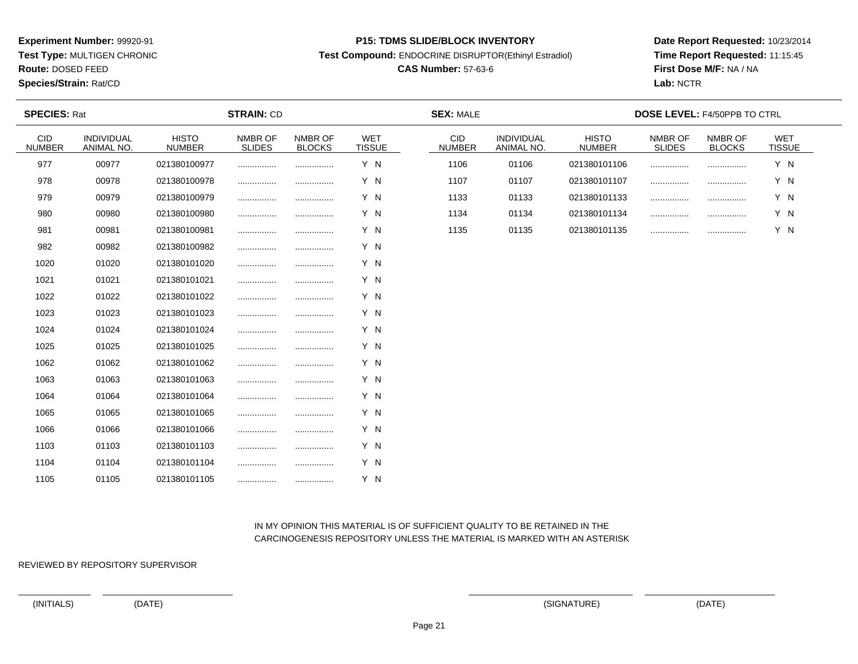**Test Type:** MULTIGEN CHRONIC

**Route:** DOSED FEED

**Species/Strain:** Rat/CD

#### **P15: TDMS SLIDE/BLOCK INVENTORY**

**Test Compound:** ENDOCRINE DISRUPTOR(Ethinyl Estradiol)

# **CAS Number:** 57-63-6

**Date Report Requested:** 10/23/2014**Time Report Requested:** 11:15:45**First Dose M/F:** NA / NA**Lab:** NCTR

| <b>SPECIES: Rat</b>  |                          |                               | <b>STRAIN: CD</b>        |                          |                             | <b>SEX: MALE</b>     |                                 |                               |                          | <b>DOSE LEVEL: F4/50PPB TO CTRL</b> |                      |  |
|----------------------|--------------------------|-------------------------------|--------------------------|--------------------------|-----------------------------|----------------------|---------------------------------|-------------------------------|--------------------------|-------------------------------------|----------------------|--|
| CID<br><b>NUMBER</b> | INDIVIDUAL<br>ANIMAL NO. | <b>HISTO</b><br><b>NUMBER</b> | NMBR OF<br><b>SLIDES</b> | NMBR OF<br><b>BLOCKS</b> | <b>WET</b><br><b>TISSUE</b> | CID<br><b>NUMBER</b> | <b>INDIVIDUAL</b><br>ANIMAL NO. | <b>HISTO</b><br><b>NUMBER</b> | NMBR OF<br><b>SLIDES</b> | NMBR OF<br><b>BLOCKS</b>            | WET<br><b>TISSUE</b> |  |
| 977                  | 00977                    | 021380100977                  |                          |                          | Y N                         | 1106                 | 01106                           | 021380101106                  | .                        |                                     | Y N                  |  |
| 978                  | 00978                    | 021380100978                  |                          |                          | Y N                         | 1107                 | 01107                           | 021380101107                  |                          |                                     | Y N                  |  |
| 979                  | 00979                    | 021380100979                  |                          |                          | Y N                         | 1133                 | 01133                           | 021380101133                  |                          |                                     | Y N                  |  |
| 980                  | 00980                    | 021380100980                  |                          |                          | Y N                         | 1134                 | 01134                           | 021380101134                  | .                        |                                     | Y N                  |  |
| 981                  | 00981                    | 021380100981                  |                          |                          | Y N                         | 1135                 | 01135                           | 021380101135                  |                          |                                     | Y N                  |  |
| 982                  | 00982                    | 021380100982                  |                          |                          | Y N                         |                      |                                 |                               |                          |                                     |                      |  |
| 1020                 | 01020                    | 021380101020                  |                          |                          | Y N                         |                      |                                 |                               |                          |                                     |                      |  |
| 1021                 | 01021                    | 021380101021                  |                          |                          | Y N                         |                      |                                 |                               |                          |                                     |                      |  |
| 1022                 | 01022                    | 021380101022                  |                          |                          | Y N                         |                      |                                 |                               |                          |                                     |                      |  |
| 1023                 | 01023                    | 021380101023                  | .                        |                          | Y N                         |                      |                                 |                               |                          |                                     |                      |  |
| 1024                 | 01024                    | 021380101024                  |                          |                          | Y N                         |                      |                                 |                               |                          |                                     |                      |  |
| 1025                 | 01025                    | 021380101025                  |                          |                          | Y N                         |                      |                                 |                               |                          |                                     |                      |  |
| 1062                 | 01062                    | 021380101062                  | .                        |                          | Y N                         |                      |                                 |                               |                          |                                     |                      |  |
| 1063                 | 01063                    | 021380101063                  |                          |                          | Y N                         |                      |                                 |                               |                          |                                     |                      |  |
| 1064                 | 01064                    | 021380101064                  | .                        |                          | Y N                         |                      |                                 |                               |                          |                                     |                      |  |
| 1065                 | 01065                    | 021380101065                  | .                        |                          | Y N                         |                      |                                 |                               |                          |                                     |                      |  |
| 1066                 | 01066                    | 021380101066                  |                          |                          | Y N                         |                      |                                 |                               |                          |                                     |                      |  |
| 1103                 | 01103                    | 021380101103                  |                          |                          | Y N                         |                      |                                 |                               |                          |                                     |                      |  |
| 1104                 | 01104                    | 021380101104                  | .                        |                          | Y N                         |                      |                                 |                               |                          |                                     |                      |  |
| 1105                 | 01105                    | 021380101105                  |                          |                          | Y N                         |                      |                                 |                               |                          |                                     |                      |  |

# IN MY OPINION THIS MATERIAL IS OF SUFFICIENT QUALITY TO BE RETAINED IN THECARCINOGENESIS REPOSITORY UNLESS THE MATERIAL IS MARKED WITH AN ASTERISK

REVIEWED BY REPOSITORY SUPERVISOR

(INITIALS) (DATE) (SIGNATURE) (DATE)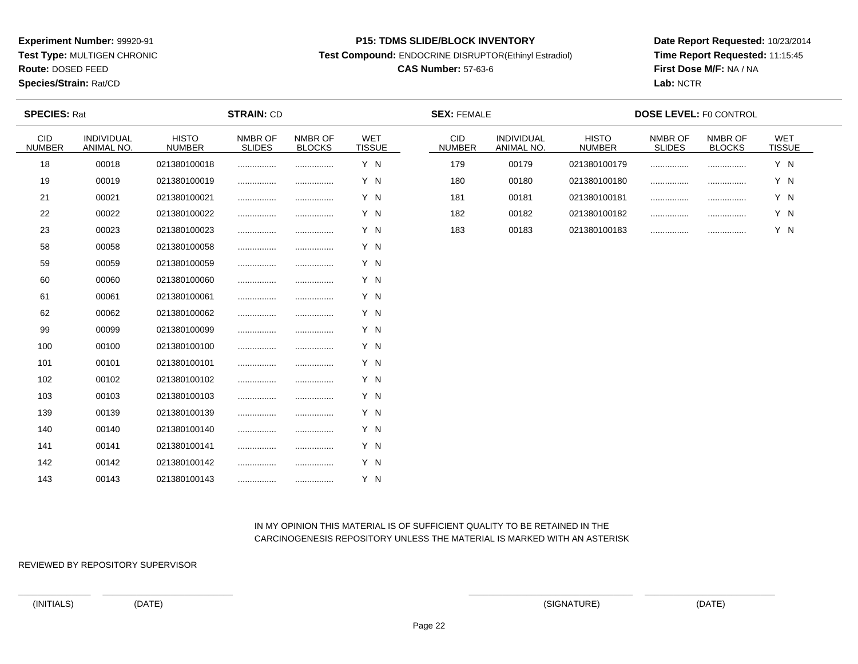**Test Type:** MULTIGEN CHRONIC

**Route:** DOSED FEED

**Species/Strain:** Rat/CD

#### **P15: TDMS SLIDE/BLOCK INVENTORY**

**Test Compound:** ENDOCRINE DISRUPTOR(Ethinyl Estradiol)

# **CAS Number:** 57-63-6

**Date Report Requested:** 10/23/2014**Time Report Requested:** 11:15:45**First Dose M/F:** NA / NA**Lab:** NCTR

| <b>SPECIES: Rat</b>         |                          |                               | <b>STRAIN: CD</b>        |                          |                             | <b>SEX: FEMALE</b>          |                          |                               | <b>DOSE LEVEL: F0 CONTROL</b> |                          |                             |  |
|-----------------------------|--------------------------|-------------------------------|--------------------------|--------------------------|-----------------------------|-----------------------------|--------------------------|-------------------------------|-------------------------------|--------------------------|-----------------------------|--|
| <b>CID</b><br><b>NUMBER</b> | INDIVIDUAL<br>ANIMAL NO. | <b>HISTO</b><br><b>NUMBER</b> | NMBR OF<br><b>SLIDES</b> | NMBR OF<br><b>BLOCKS</b> | <b>WET</b><br><b>TISSUE</b> | <b>CID</b><br><b>NUMBER</b> | INDIVIDUAL<br>ANIMAL NO. | <b>HISTO</b><br><b>NUMBER</b> | NMBR OF<br><b>SLIDES</b>      | NMBR OF<br><b>BLOCKS</b> | <b>WET</b><br><b>TISSUE</b> |  |
| 18                          | 00018                    | 021380100018                  |                          |                          | Y N                         | 179                         | 00179                    | 021380100179                  |                               |                          | Y N                         |  |
| 19                          | 00019                    | 021380100019                  |                          |                          | Y N                         | 180                         | 00180                    | 021380100180                  |                               |                          | Y N                         |  |
| 21                          | 00021                    | 021380100021                  | .                        |                          | Y N                         | 181                         | 00181                    | 021380100181                  |                               | .                        | Y N                         |  |
| 22                          | 00022                    | 021380100022                  | .                        |                          | Y N                         | 182                         | 00182                    | 021380100182                  |                               |                          | Y N                         |  |
| 23                          | 00023                    | 021380100023                  |                          |                          | Y N                         | 183                         | 00183                    | 021380100183                  |                               |                          | Y N                         |  |
| 58                          | 00058                    | 021380100058                  |                          |                          | Y N                         |                             |                          |                               |                               |                          |                             |  |
| 59                          | 00059                    | 021380100059                  |                          |                          | Y N                         |                             |                          |                               |                               |                          |                             |  |
| 60                          | 00060                    | 021380100060                  |                          |                          | Y N                         |                             |                          |                               |                               |                          |                             |  |
| 61                          | 00061                    | 021380100061                  |                          |                          | Y N                         |                             |                          |                               |                               |                          |                             |  |
| 62                          | 00062                    | 021380100062                  | .                        | .                        | Y N                         |                             |                          |                               |                               |                          |                             |  |
| 99                          | 00099                    | 021380100099                  |                          |                          | Y N                         |                             |                          |                               |                               |                          |                             |  |
| 100                         | 00100                    | 021380100100                  |                          |                          | Y N                         |                             |                          |                               |                               |                          |                             |  |
| 101                         | 00101                    | 021380100101                  | .                        |                          | Y N                         |                             |                          |                               |                               |                          |                             |  |
| 102                         | 00102                    | 021380100102                  |                          |                          | Y N                         |                             |                          |                               |                               |                          |                             |  |
| 103                         | 00103                    | 021380100103                  |                          | .                        | Y N                         |                             |                          |                               |                               |                          |                             |  |
| 139                         | 00139                    | 021380100139                  |                          |                          | Y N                         |                             |                          |                               |                               |                          |                             |  |
| 140                         | 00140                    | 021380100140                  |                          |                          | Y N                         |                             |                          |                               |                               |                          |                             |  |
| 141                         | 00141                    | 021380100141                  | .                        |                          | Y N                         |                             |                          |                               |                               |                          |                             |  |
| 142                         | 00142                    | 021380100142                  | .                        | .                        | Y N                         |                             |                          |                               |                               |                          |                             |  |
| 143                         | 00143                    | 021380100143                  |                          |                          | Y N                         |                             |                          |                               |                               |                          |                             |  |

# IN MY OPINION THIS MATERIAL IS OF SUFFICIENT QUALITY TO BE RETAINED IN THECARCINOGENESIS REPOSITORY UNLESS THE MATERIAL IS MARKED WITH AN ASTERISK

REVIEWED BY REPOSITORY SUPERVISOR

(INITIALS) (DATE) (SIGNATURE) (DATE)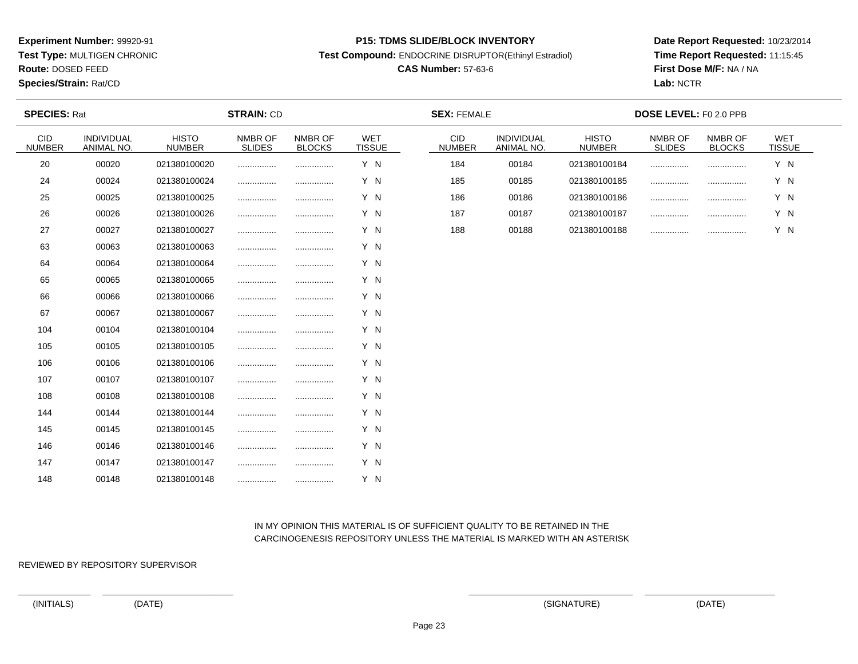**Test Type:** MULTIGEN CHRONIC

**Route:** DOSED FEED

**Species/Strain:** Rat/CD

#### **P15: TDMS SLIDE/BLOCK INVENTORY**

**Test Compound:** ENDOCRINE DISRUPTOR(Ethinyl Estradiol)

# **CAS Number:** 57-63-6

**Date Report Requested:** 10/23/2014**Time Report Requested:** 11:15:45**First Dose M/F:** NA / NA**Lab:** NCTR

| <b>SPECIES: Rat</b>  |                          |                               | <b>STRAIN: CD</b>        |                          |                             | <b>SEX: FEMALE</b>          |                          |                               | DOSE LEVEL: F0 2.0 PPB   |                          |                             |
|----------------------|--------------------------|-------------------------------|--------------------------|--------------------------|-----------------------------|-----------------------------|--------------------------|-------------------------------|--------------------------|--------------------------|-----------------------------|
| CID<br><b>NUMBER</b> | INDIVIDUAL<br>ANIMAL NO. | <b>HISTO</b><br><b>NUMBER</b> | NMBR OF<br><b>SLIDES</b> | NMBR OF<br><b>BLOCKS</b> | <b>WET</b><br><b>TISSUE</b> | <b>CID</b><br><b>NUMBER</b> | INDIVIDUAL<br>ANIMAL NO. | <b>HISTO</b><br><b>NUMBER</b> | NMBR OF<br><b>SLIDES</b> | NMBR OF<br><b>BLOCKS</b> | <b>WET</b><br><b>TISSUE</b> |
| 20                   | 00020                    | 021380100020                  |                          |                          | Y N                         | 184                         | 00184                    | 021380100184                  |                          |                          | Y N                         |
| 24                   | 00024                    | 021380100024                  |                          |                          | Y N                         | 185                         | 00185                    | 021380100185                  |                          | .                        | Y N                         |
| 25                   | 00025                    | 021380100025                  |                          |                          | Y N                         | 186                         | 00186                    | 021380100186                  |                          |                          | Y N                         |
| 26                   | 00026                    | 021380100026                  |                          |                          | Y N                         | 187                         | 00187                    | 021380100187                  |                          |                          | Y N                         |
| 27                   | 00027                    | 021380100027                  |                          |                          | Y N                         | 188                         | 00188                    | 021380100188                  |                          |                          | Y N                         |
| 63                   | 00063                    | 021380100063                  |                          | .                        | Y N                         |                             |                          |                               |                          |                          |                             |
| 64                   | 00064                    | 021380100064                  |                          |                          | Y N                         |                             |                          |                               |                          |                          |                             |
| 65                   | 00065                    | 021380100065                  |                          |                          | Y N                         |                             |                          |                               |                          |                          |                             |
| 66                   | 00066                    | 021380100066                  |                          |                          | Y N                         |                             |                          |                               |                          |                          |                             |
| 67                   | 00067                    | 021380100067                  |                          |                          | Y N                         |                             |                          |                               |                          |                          |                             |
| 104                  | 00104                    | 021380100104                  |                          |                          | Y N                         |                             |                          |                               |                          |                          |                             |
| 105                  | 00105                    | 021380100105                  |                          |                          | Y N                         |                             |                          |                               |                          |                          |                             |
| 106                  | 00106                    | 021380100106                  |                          |                          | Y N                         |                             |                          |                               |                          |                          |                             |
| 107                  | 00107                    | 021380100107                  |                          |                          | Y N                         |                             |                          |                               |                          |                          |                             |
| 108                  | 00108                    | 021380100108                  |                          | .                        | Y N                         |                             |                          |                               |                          |                          |                             |
| 144                  | 00144                    | 021380100144                  |                          |                          | Y N                         |                             |                          |                               |                          |                          |                             |
| 145                  | 00145                    | 021380100145                  |                          | .                        | Y N                         |                             |                          |                               |                          |                          |                             |
| 146                  | 00146                    | 021380100146                  |                          | .                        | Y N                         |                             |                          |                               |                          |                          |                             |
| 147                  | 00147                    | 021380100147                  |                          |                          | Y N                         |                             |                          |                               |                          |                          |                             |
| 148                  | 00148                    | 021380100148                  |                          |                          | Y N                         |                             |                          |                               |                          |                          |                             |

# IN MY OPINION THIS MATERIAL IS OF SUFFICIENT QUALITY TO BE RETAINED IN THECARCINOGENESIS REPOSITORY UNLESS THE MATERIAL IS MARKED WITH AN ASTERISK

REVIEWED BY REPOSITORY SUPERVISOR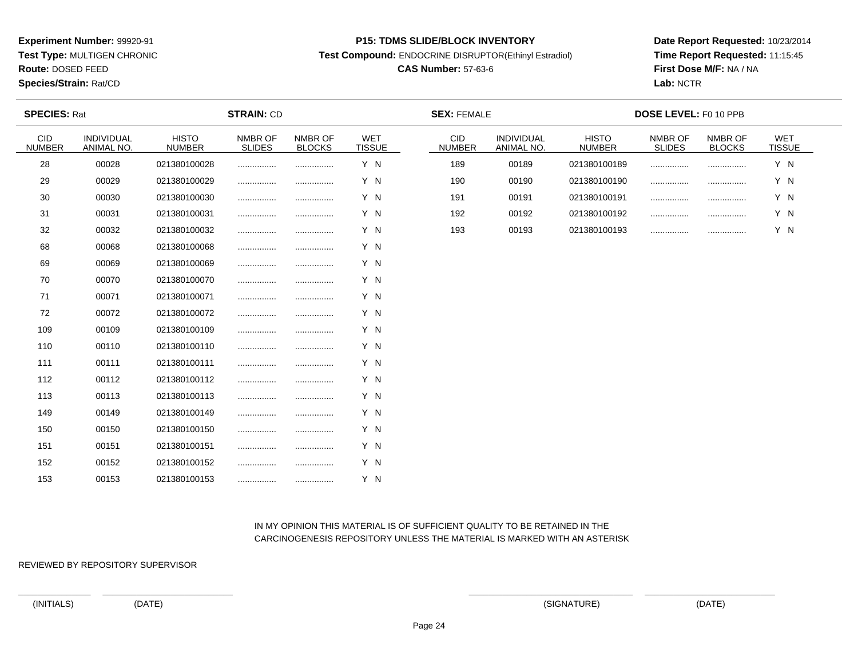**Test Type:** MULTIGEN CHRONIC

**Route:** DOSED FEED

**Species/Strain:** Rat/CD

#### **P15: TDMS SLIDE/BLOCK INVENTORY**

**Test Compound:** ENDOCRINE DISRUPTOR(Ethinyl Estradiol)

# **CAS Number:** 57-63-6

**Date Report Requested:** 10/23/2014**Time Report Requested:** 11:15:45**First Dose M/F:** NA / NA**Lab:** NCTR

| <b>SPECIES: Rat</b>  |                          |                               | <b>STRAIN: CD</b>        |                          |                             | <b>SEX: FEMALE</b>   |                                 |                               | DOSE LEVEL: F0 10 PPB    |                          |                      |  |
|----------------------|--------------------------|-------------------------------|--------------------------|--------------------------|-----------------------------|----------------------|---------------------------------|-------------------------------|--------------------------|--------------------------|----------------------|--|
| CID<br><b>NUMBER</b> | INDIVIDUAL<br>ANIMAL NO. | <b>HISTO</b><br><b>NUMBER</b> | NMBR OF<br><b>SLIDES</b> | NMBR OF<br><b>BLOCKS</b> | <b>WET</b><br><b>TISSUE</b> | CID<br><b>NUMBER</b> | <b>INDIVIDUAL</b><br>ANIMAL NO. | <b>HISTO</b><br><b>NUMBER</b> | NMBR OF<br><b>SLIDES</b> | NMBR OF<br><b>BLOCKS</b> | WET<br><b>TISSUE</b> |  |
| 28                   | 00028                    | 021380100028                  |                          |                          | Y N                         | 189                  | 00189                           | 021380100189                  | .                        |                          | Y N                  |  |
| 29                   | 00029                    | 021380100029                  |                          |                          | Y N                         | 190                  | 00190                           | 021380100190                  |                          |                          | Y N                  |  |
| 30                   | 00030                    | 021380100030                  |                          |                          | Y N                         | 191                  | 00191                           | 021380100191                  |                          |                          | Y N                  |  |
| 31                   | 00031                    | 021380100031                  |                          |                          | Y N                         | 192                  | 00192                           | 021380100192                  |                          |                          | Y N                  |  |
| 32                   | 00032                    | 021380100032                  |                          |                          | Y N                         | 193                  | 00193                           | 021380100193                  |                          |                          | Y N                  |  |
| 68                   | 00068                    | 021380100068                  |                          |                          | Y N                         |                      |                                 |                               |                          |                          |                      |  |
| 69                   | 00069                    | 021380100069                  |                          |                          | Y N                         |                      |                                 |                               |                          |                          |                      |  |
| 70                   | 00070                    | 021380100070                  |                          |                          | Y N                         |                      |                                 |                               |                          |                          |                      |  |
| 71                   | 00071                    | 021380100071                  |                          |                          | Y N                         |                      |                                 |                               |                          |                          |                      |  |
| 72                   | 00072                    | 021380100072                  | .                        |                          | Y N                         |                      |                                 |                               |                          |                          |                      |  |
| 109                  | 00109                    | 021380100109                  |                          |                          | Y N                         |                      |                                 |                               |                          |                          |                      |  |
| 110                  | 00110                    | 021380100110                  |                          |                          | Y N                         |                      |                                 |                               |                          |                          |                      |  |
| 111                  | 00111                    | 021380100111                  | .                        |                          | Y N                         |                      |                                 |                               |                          |                          |                      |  |
| 112                  | 00112                    | 021380100112                  |                          |                          | Y N                         |                      |                                 |                               |                          |                          |                      |  |
| 113                  | 00113                    | 021380100113                  | .                        |                          | Y N                         |                      |                                 |                               |                          |                          |                      |  |
| 149                  | 00149                    | 021380100149                  |                          |                          | Y N                         |                      |                                 |                               |                          |                          |                      |  |
| 150                  | 00150                    | 021380100150                  |                          |                          | Y N                         |                      |                                 |                               |                          |                          |                      |  |
| 151                  | 00151                    | 021380100151                  |                          |                          | Y N                         |                      |                                 |                               |                          |                          |                      |  |
| 152                  | 00152                    | 021380100152                  |                          |                          | Y N                         |                      |                                 |                               |                          |                          |                      |  |
| 153                  | 00153                    | 021380100153                  |                          |                          | Y N                         |                      |                                 |                               |                          |                          |                      |  |

 IN MY OPINION THIS MATERIAL IS OF SUFFICIENT QUALITY TO BE RETAINED IN THECARCINOGENESIS REPOSITORY UNLESS THE MATERIAL IS MARKED WITH AN ASTERISK

REVIEWED BY REPOSITORY SUPERVISOR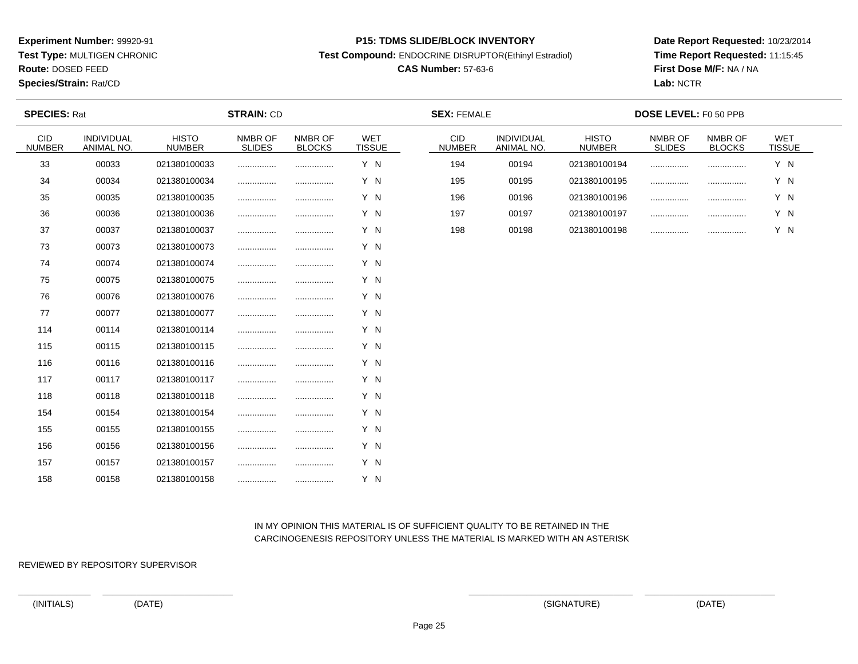**Test Type:** MULTIGEN CHRONIC

**Route:** DOSED FEED

**Species/Strain:** Rat/CD

#### **P15: TDMS SLIDE/BLOCK INVENTORY**

**Test Compound:** ENDOCRINE DISRUPTOR(Ethinyl Estradiol)

# **CAS Number:** 57-63-6

**Date Report Requested:** 10/23/2014**Time Report Requested:** 11:15:45**First Dose M/F:** NA / NA**Lab:** NCTR

| <b>SPECIES: Rat</b>  |                          |                               | <b>STRAIN: CD</b>        |                          |                             | <b>SEX: FEMALE</b>   |                                 |                               | <b>DOSE LEVEL: F0 50 PPB</b> |                          |                      |  |
|----------------------|--------------------------|-------------------------------|--------------------------|--------------------------|-----------------------------|----------------------|---------------------------------|-------------------------------|------------------------------|--------------------------|----------------------|--|
| CID<br><b>NUMBER</b> | INDIVIDUAL<br>ANIMAL NO. | <b>HISTO</b><br><b>NUMBER</b> | NMBR OF<br><b>SLIDES</b> | NMBR OF<br><b>BLOCKS</b> | <b>WET</b><br><b>TISSUE</b> | CID<br><b>NUMBER</b> | <b>INDIVIDUAL</b><br>ANIMAL NO. | <b>HISTO</b><br><b>NUMBER</b> | NMBR OF<br><b>SLIDES</b>     | NMBR OF<br><b>BLOCKS</b> | WET<br><b>TISSUE</b> |  |
| 33                   | 00033                    | 021380100033                  |                          |                          | Y N                         | 194                  | 00194                           | 021380100194                  | .                            |                          | Y N                  |  |
| 34                   | 00034                    | 021380100034                  |                          |                          | Y N                         | 195                  | 00195                           | 021380100195                  |                              |                          | Y N                  |  |
| 35                   | 00035                    | 021380100035                  |                          |                          | Y N                         | 196                  | 00196                           | 021380100196                  |                              |                          | Y N                  |  |
| 36                   | 00036                    | 021380100036                  |                          |                          | Y N                         | 197                  | 00197                           | 021380100197                  |                              |                          | Y N                  |  |
| 37                   | 00037                    | 021380100037                  |                          |                          | Y N                         | 198                  | 00198                           | 021380100198                  |                              |                          | Y N                  |  |
| 73                   | 00073                    | 021380100073                  | .                        |                          | Y N                         |                      |                                 |                               |                              |                          |                      |  |
| 74                   | 00074                    | 021380100074                  |                          |                          | Y N                         |                      |                                 |                               |                              |                          |                      |  |
| 75                   | 00075                    | 021380100075                  |                          |                          | Y N                         |                      |                                 |                               |                              |                          |                      |  |
| 76                   | 00076                    | 021380100076                  |                          |                          | Y N                         |                      |                                 |                               |                              |                          |                      |  |
| 77                   | 00077                    | 021380100077                  |                          |                          | Y N                         |                      |                                 |                               |                              |                          |                      |  |
| 114                  | 00114                    | 021380100114                  |                          |                          | Y N                         |                      |                                 |                               |                              |                          |                      |  |
| 115                  | 00115                    | 021380100115                  |                          |                          | Y N                         |                      |                                 |                               |                              |                          |                      |  |
| 116                  | 00116                    | 021380100116                  |                          |                          | Y N                         |                      |                                 |                               |                              |                          |                      |  |
| 117                  | 00117                    | 021380100117                  | .                        |                          | Y N                         |                      |                                 |                               |                              |                          |                      |  |
| 118                  | 00118                    | 021380100118                  | .                        |                          | Y N                         |                      |                                 |                               |                              |                          |                      |  |
| 154                  | 00154                    | 021380100154                  |                          |                          | Y N                         |                      |                                 |                               |                              |                          |                      |  |
| 155                  | 00155                    | 021380100155                  |                          |                          | Y N                         |                      |                                 |                               |                              |                          |                      |  |
| 156                  | 00156                    | 021380100156                  |                          |                          | Y N                         |                      |                                 |                               |                              |                          |                      |  |
| 157                  | 00157                    | 021380100157                  |                          |                          | Y N                         |                      |                                 |                               |                              |                          |                      |  |
| 158                  | 00158                    | 021380100158                  |                          |                          | Y N                         |                      |                                 |                               |                              |                          |                      |  |

# IN MY OPINION THIS MATERIAL IS OF SUFFICIENT QUALITY TO BE RETAINED IN THECARCINOGENESIS REPOSITORY UNLESS THE MATERIAL IS MARKED WITH AN ASTERISK

REVIEWED BY REPOSITORY SUPERVISOR

(INITIALS) (DATE) (SIGNATURE) (DATE)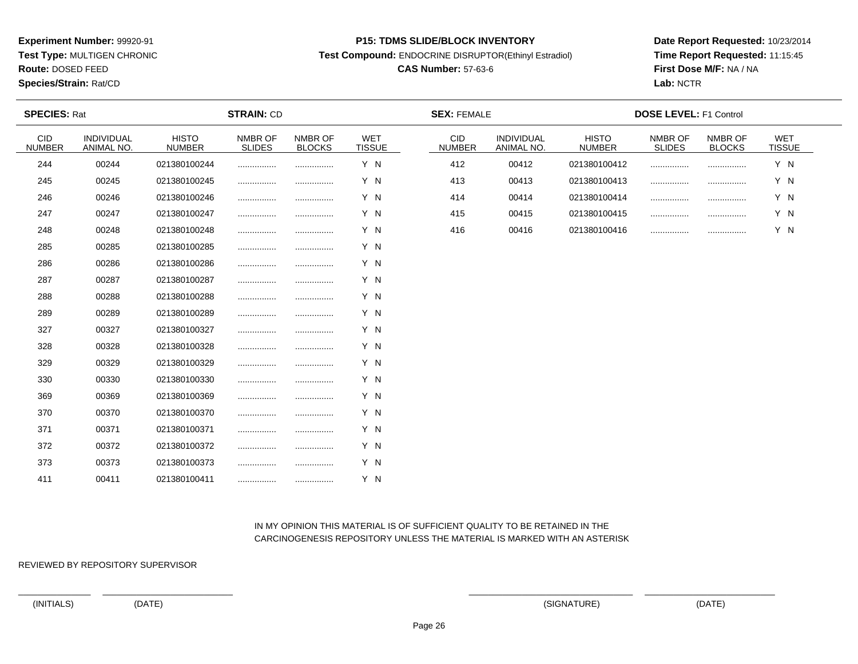**Test Type:** MULTIGEN CHRONIC

**Route:** DOSED FEED

**Species/Strain:** Rat/CD

#### **P15: TDMS SLIDE/BLOCK INVENTORY**

**Test Compound:** ENDOCRINE DISRUPTOR(Ethinyl Estradiol)

# **CAS Number:** 57-63-6

**Date Report Requested:** 10/23/2014**Time Report Requested:** 11:15:45**First Dose M/F:** NA / NA**Lab:** NCTR

| <b>SPECIES: Rat</b>  |                          |                               | <b>STRAIN: CD</b>        |                          |                             | <b>SEX: FEMALE</b>          |                          |                               | <b>DOSE LEVEL: F1 Control</b> |                          |                             |  |
|----------------------|--------------------------|-------------------------------|--------------------------|--------------------------|-----------------------------|-----------------------------|--------------------------|-------------------------------|-------------------------------|--------------------------|-----------------------------|--|
| CID<br><b>NUMBER</b> | INDIVIDUAL<br>ANIMAL NO. | <b>HISTO</b><br><b>NUMBER</b> | NMBR OF<br><b>SLIDES</b> | NMBR OF<br><b>BLOCKS</b> | <b>WET</b><br><b>TISSUE</b> | <b>CID</b><br><b>NUMBER</b> | INDIVIDUAL<br>ANIMAL NO. | <b>HISTO</b><br><b>NUMBER</b> | NMBR OF<br><b>SLIDES</b>      | NMBR OF<br><b>BLOCKS</b> | <b>WET</b><br><b>TISSUE</b> |  |
| 244                  | 00244                    | 021380100244                  |                          |                          | Y N                         | 412                         | 00412                    | 021380100412                  |                               |                          | Y N                         |  |
| 245                  | 00245                    | 021380100245                  |                          |                          | Y N                         | 413                         | 00413                    | 021380100413                  | .                             |                          | Y N                         |  |
| 246                  | 00246                    | 021380100246                  |                          |                          | Y N                         | 414                         | 00414                    | 021380100414                  |                               |                          | Y N                         |  |
| 247                  | 00247                    | 021380100247                  |                          |                          | Y N                         | 415                         | 00415                    | 021380100415                  |                               |                          | Y N                         |  |
| 248                  | 00248                    | 021380100248                  |                          |                          | Y N                         | 416                         | 00416                    | 021380100416                  |                               |                          | Y N                         |  |
| 285                  | 00285                    | 021380100285                  |                          |                          | Y N                         |                             |                          |                               |                               |                          |                             |  |
| 286                  | 00286                    | 021380100286                  |                          |                          | Y N                         |                             |                          |                               |                               |                          |                             |  |
| 287                  | 00287                    | 021380100287                  |                          |                          | Y N                         |                             |                          |                               |                               |                          |                             |  |
| 288                  | 00288                    | 021380100288                  |                          |                          | Y N                         |                             |                          |                               |                               |                          |                             |  |
| 289                  | 00289                    | 021380100289                  |                          |                          | Y N                         |                             |                          |                               |                               |                          |                             |  |
| 327                  | 00327                    | 021380100327                  |                          |                          | Y N                         |                             |                          |                               |                               |                          |                             |  |
| 328                  | 00328                    | 021380100328                  |                          |                          | Y N                         |                             |                          |                               |                               |                          |                             |  |
| 329                  | 00329                    | 021380100329                  |                          |                          | Y N                         |                             |                          |                               |                               |                          |                             |  |
| 330                  | 00330                    | 021380100330                  |                          |                          | Y N                         |                             |                          |                               |                               |                          |                             |  |
| 369                  | 00369                    | 021380100369                  |                          |                          | Y N                         |                             |                          |                               |                               |                          |                             |  |
| 370                  | 00370                    | 021380100370                  |                          |                          | Y N                         |                             |                          |                               |                               |                          |                             |  |
| 371                  | 00371                    | 021380100371                  |                          |                          | Y N                         |                             |                          |                               |                               |                          |                             |  |
| 372                  | 00372                    | 021380100372                  |                          |                          | Y N                         |                             |                          |                               |                               |                          |                             |  |
| 373                  | 00373                    | 021380100373                  |                          |                          | Y N                         |                             |                          |                               |                               |                          |                             |  |
| 411                  | 00411                    | 021380100411                  |                          |                          | Y N                         |                             |                          |                               |                               |                          |                             |  |

# IN MY OPINION THIS MATERIAL IS OF SUFFICIENT QUALITY TO BE RETAINED IN THECARCINOGENESIS REPOSITORY UNLESS THE MATERIAL IS MARKED WITH AN ASTERISK

REVIEWED BY REPOSITORY SUPERVISOR

(INITIALS) (DATE) (SIGNATURE) (DATE)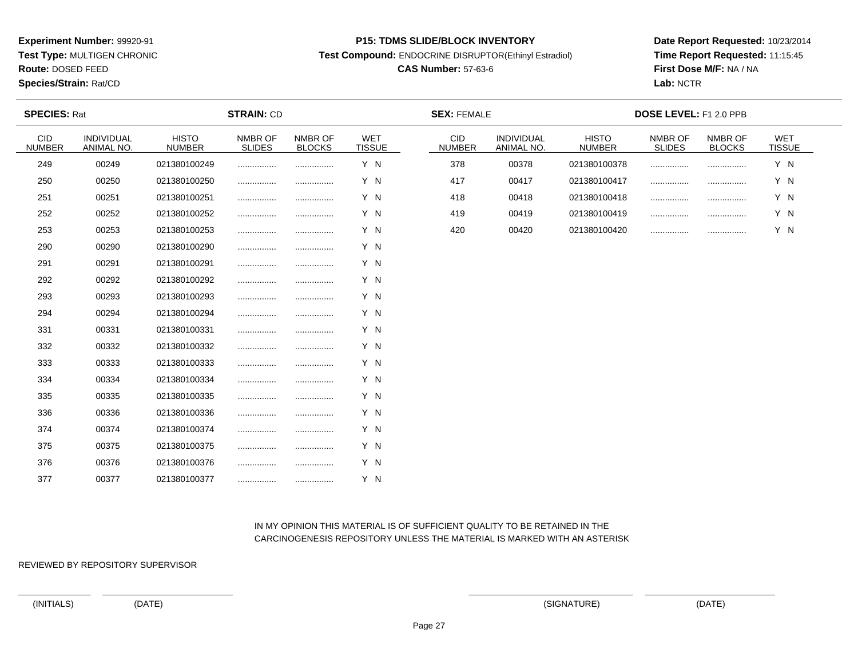**Test Type:** MULTIGEN CHRONIC

**Route:** DOSED FEED

**Species/Strain:** Rat/CD

#### **P15: TDMS SLIDE/BLOCK INVENTORY**

**Test Compound:** ENDOCRINE DISRUPTOR(Ethinyl Estradiol)

# **CAS Number:** 57-63-6

**Date Report Requested:** 10/23/2014**Time Report Requested:** 11:15:45**First Dose M/F:** NA / NA**Lab:** NCTR

| <b>SPECIES: Rat</b>         |                          |                               | <b>STRAIN: CD</b>        |                          |                             | <b>SEX: FEMALE</b>          |                          |                               | DOSE LEVEL: F1 2.0 PPB   |                          |                             |
|-----------------------------|--------------------------|-------------------------------|--------------------------|--------------------------|-----------------------------|-----------------------------|--------------------------|-------------------------------|--------------------------|--------------------------|-----------------------------|
| <b>CID</b><br><b>NUMBER</b> | INDIVIDUAL<br>ANIMAL NO. | <b>HISTO</b><br><b>NUMBER</b> | NMBR OF<br><b>SLIDES</b> | NMBR OF<br><b>BLOCKS</b> | <b>WET</b><br><b>TISSUE</b> | <b>CID</b><br><b>NUMBER</b> | INDIVIDUAL<br>ANIMAL NO. | <b>HISTO</b><br><b>NUMBER</b> | NMBR OF<br><b>SLIDES</b> | NMBR OF<br><b>BLOCKS</b> | <b>WET</b><br><b>TISSUE</b> |
| 249                         | 00249                    | 021380100249                  |                          |                          | Y N                         | 378                         | 00378                    | 021380100378                  |                          |                          | Y N                         |
| 250                         | 00250                    | 021380100250                  |                          |                          | Y N                         | 417                         | 00417                    | 021380100417                  |                          | .                        | Y N                         |
| 251                         | 00251                    | 021380100251                  |                          |                          | Y N                         | 418                         | 00418                    | 021380100418                  |                          |                          | Y N                         |
| 252                         | 00252                    | 021380100252                  |                          |                          | Y N                         | 419                         | 00419                    | 021380100419                  |                          |                          | Y N                         |
| 253                         | 00253                    | 021380100253                  |                          |                          | Y N                         | 420                         | 00420                    | 021380100420                  |                          |                          | Y N                         |
| 290                         | 00290                    | 021380100290                  |                          |                          | Y N                         |                             |                          |                               |                          |                          |                             |
| 291                         | 00291                    | 021380100291                  | .                        |                          | Y N                         |                             |                          |                               |                          |                          |                             |
| 292                         | 00292                    | 021380100292                  |                          |                          | Y N                         |                             |                          |                               |                          |                          |                             |
| 293                         | 00293                    | 021380100293                  |                          |                          | Y N                         |                             |                          |                               |                          |                          |                             |
| 294                         | 00294                    | 021380100294                  |                          |                          | Y N                         |                             |                          |                               |                          |                          |                             |
| 331                         | 00331                    | 021380100331                  |                          |                          | Y N                         |                             |                          |                               |                          |                          |                             |
| 332                         | 00332                    | 021380100332                  |                          |                          | Y N                         |                             |                          |                               |                          |                          |                             |
| 333                         | 00333                    | 021380100333                  |                          |                          | Y N                         |                             |                          |                               |                          |                          |                             |
| 334                         | 00334                    | 021380100334                  | .                        |                          | Y N                         |                             |                          |                               |                          |                          |                             |
| 335                         | 00335                    | 021380100335                  | .                        |                          | Y N                         |                             |                          |                               |                          |                          |                             |
| 336                         | 00336                    | 021380100336                  |                          |                          | Y N                         |                             |                          |                               |                          |                          |                             |
| 374                         | 00374                    | 021380100374                  |                          |                          | Y N                         |                             |                          |                               |                          |                          |                             |
| 375                         | 00375                    | 021380100375                  | .                        | .                        | Y N                         |                             |                          |                               |                          |                          |                             |
| 376                         | 00376                    | 021380100376                  | .                        | .                        | Y N                         |                             |                          |                               |                          |                          |                             |
| 377                         | 00377                    | 021380100377                  |                          |                          | Y N                         |                             |                          |                               |                          |                          |                             |

# IN MY OPINION THIS MATERIAL IS OF SUFFICIENT QUALITY TO BE RETAINED IN THECARCINOGENESIS REPOSITORY UNLESS THE MATERIAL IS MARKED WITH AN ASTERISK

REVIEWED BY REPOSITORY SUPERVISOR

(INITIALS) (DATE) (SIGNATURE) (DATE)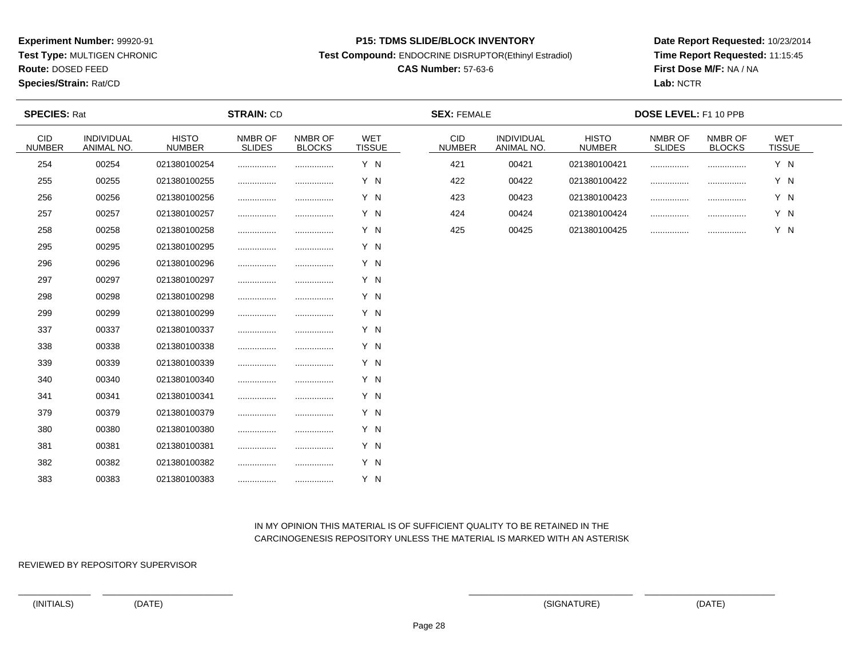**Test Type:** MULTIGEN CHRONIC

**Route:** DOSED FEED

**Species/Strain:** Rat/CD

#### **P15: TDMS SLIDE/BLOCK INVENTORY**

**Test Compound:** ENDOCRINE DISRUPTOR(Ethinyl Estradiol)

# **CAS Number:** 57-63-6

**Date Report Requested:** 10/23/2014**Time Report Requested:** 11:15:45**First Dose M/F:** NA / NA**Lab:** NCTR

| <b>SPECIES: Rat</b>         |                          |                               | <b>STRAIN: CD</b>        |                          |                             | <b>SEX: FEMALE</b>          |                          |                               | DOSE LEVEL: F1 10 PPB    |                          |                      |  |
|-----------------------------|--------------------------|-------------------------------|--------------------------|--------------------------|-----------------------------|-----------------------------|--------------------------|-------------------------------|--------------------------|--------------------------|----------------------|--|
| <b>CID</b><br><b>NUMBER</b> | INDIVIDUAL<br>ANIMAL NO. | <b>HISTO</b><br><b>NUMBER</b> | NMBR OF<br><b>SLIDES</b> | NMBR OF<br><b>BLOCKS</b> | <b>WET</b><br><b>TISSUE</b> | <b>CID</b><br><b>NUMBER</b> | INDIVIDUAL<br>ANIMAL NO. | <b>HISTO</b><br><b>NUMBER</b> | NMBR OF<br><b>SLIDES</b> | NMBR OF<br><b>BLOCKS</b> | WET<br><b>TISSUE</b> |  |
| 254                         | 00254                    | 021380100254                  |                          |                          | Y N                         | 421                         | 00421                    | 021380100421                  |                          |                          | Y N                  |  |
| 255                         | 00255                    | 021380100255                  |                          |                          | Y N                         | 422                         | 00422                    | 021380100422                  |                          | .                        | Y N                  |  |
| 256                         | 00256                    | 021380100256                  |                          |                          | Y N                         | 423                         | 00423                    | 021380100423                  |                          |                          | Y N                  |  |
| 257                         | 00257                    | 021380100257                  |                          |                          | Y N                         | 424                         | 00424                    | 021380100424                  |                          |                          | Y N                  |  |
| 258                         | 00258                    | 021380100258                  |                          |                          | Y N                         | 425                         | 00425                    | 021380100425                  |                          |                          | Y N                  |  |
| 295                         | 00295                    | 021380100295                  |                          |                          | Y N                         |                             |                          |                               |                          |                          |                      |  |
| 296                         | 00296                    | 021380100296                  |                          |                          | Y N                         |                             |                          |                               |                          |                          |                      |  |
| 297                         | 00297                    | 021380100297                  |                          |                          | Y N                         |                             |                          |                               |                          |                          |                      |  |
| 298                         | 00298                    | 021380100298                  |                          |                          | Y N                         |                             |                          |                               |                          |                          |                      |  |
| 299                         | 00299                    | 021380100299                  |                          |                          | Y N                         |                             |                          |                               |                          |                          |                      |  |
| 337                         | 00337                    | 021380100337                  |                          |                          | Y N                         |                             |                          |                               |                          |                          |                      |  |
| 338                         | 00338                    | 021380100338                  |                          |                          | Y N                         |                             |                          |                               |                          |                          |                      |  |
| 339                         | 00339                    | 021380100339                  |                          |                          | Y N                         |                             |                          |                               |                          |                          |                      |  |
| 340                         | 00340                    | 021380100340                  |                          |                          | Y N                         |                             |                          |                               |                          |                          |                      |  |
| 341                         | 00341                    | 021380100341                  |                          |                          | Y N                         |                             |                          |                               |                          |                          |                      |  |
| 379                         | 00379                    | 021380100379                  |                          |                          | Y N                         |                             |                          |                               |                          |                          |                      |  |
| 380                         | 00380                    | 021380100380                  |                          |                          | Y N                         |                             |                          |                               |                          |                          |                      |  |
| 381                         | 00381                    | 021380100381                  |                          |                          | Y N                         |                             |                          |                               |                          |                          |                      |  |
| 382                         | 00382                    | 021380100382                  |                          |                          | Y N                         |                             |                          |                               |                          |                          |                      |  |
| 383                         | 00383                    | 021380100383                  |                          |                          | Y N                         |                             |                          |                               |                          |                          |                      |  |

# IN MY OPINION THIS MATERIAL IS OF SUFFICIENT QUALITY TO BE RETAINED IN THECARCINOGENESIS REPOSITORY UNLESS THE MATERIAL IS MARKED WITH AN ASTERISK

REVIEWED BY REPOSITORY SUPERVISOR

(INITIALS) (DATE) (SIGNATURE) (DATE)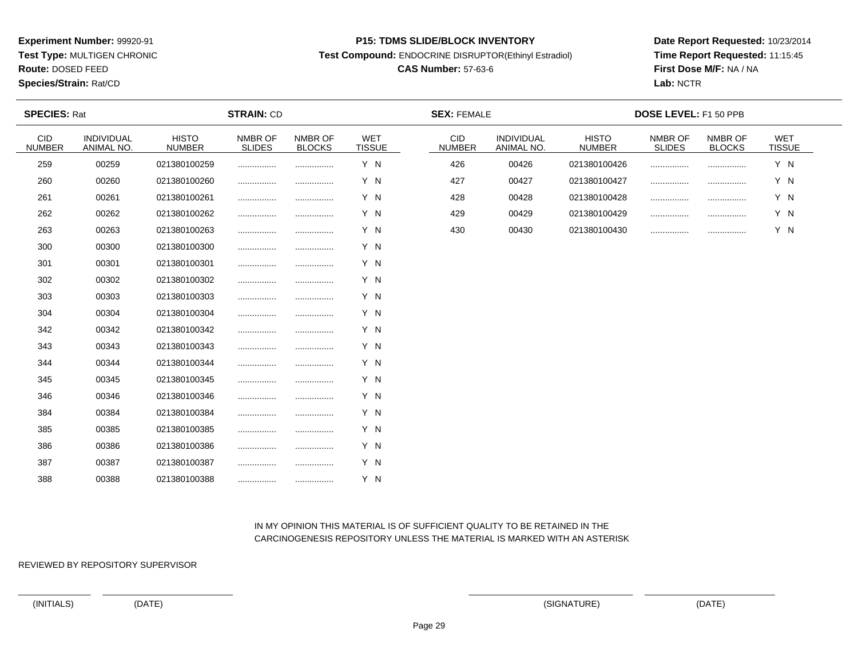**Test Type:** MULTIGEN CHRONIC

**Route:** DOSED FEED

**Species/Strain:** Rat/CD

#### **P15: TDMS SLIDE/BLOCK INVENTORY**

**Test Compound:** ENDOCRINE DISRUPTOR(Ethinyl Estradiol)

# **CAS Number:** 57-63-6

**Date Report Requested:** 10/23/2014**Time Report Requested:** 11:15:45**First Dose M/F:** NA / NA**Lab:** NCTR

| <b>SPECIES: Rat</b>  |                          |                               | <b>STRAIN: CD</b>        |                          |                             | <b>SEX: FEMALE</b>   |                          |                               | <b>DOSE LEVEL: F1 50 PPB</b> |                          |                      |  |
|----------------------|--------------------------|-------------------------------|--------------------------|--------------------------|-----------------------------|----------------------|--------------------------|-------------------------------|------------------------------|--------------------------|----------------------|--|
| CID<br><b>NUMBER</b> | INDIVIDUAL<br>ANIMAL NO. | <b>HISTO</b><br><b>NUMBER</b> | NMBR OF<br><b>SLIDES</b> | NMBR OF<br><b>BLOCKS</b> | <b>WET</b><br><b>TISSUE</b> | CID<br><b>NUMBER</b> | INDIVIDUAL<br>ANIMAL NO. | <b>HISTO</b><br><b>NUMBER</b> | NMBR OF<br><b>SLIDES</b>     | NMBR OF<br><b>BLOCKS</b> | WET<br><b>TISSUE</b> |  |
| 259                  | 00259                    | 021380100259                  |                          |                          | Y N                         | 426                  | 00426                    | 021380100426                  |                              |                          | Y N                  |  |
| 260                  | 00260                    | 021380100260                  |                          |                          | Y N                         | 427                  | 00427                    | 021380100427                  |                              |                          | Y N                  |  |
| 261                  | 00261                    | 021380100261                  |                          |                          | Y N                         | 428                  | 00428                    | 021380100428                  | .                            |                          | Y N                  |  |
| 262                  | 00262                    | 021380100262                  |                          |                          | Y N                         | 429                  | 00429                    | 021380100429                  |                              |                          | Y N                  |  |
| 263                  | 00263                    | 021380100263                  |                          |                          | Y N                         | 430                  | 00430                    | 021380100430                  |                              |                          | Y N                  |  |
| 300                  | 00300                    | 021380100300                  |                          |                          | Y N                         |                      |                          |                               |                              |                          |                      |  |
| 301                  | 00301                    | 021380100301                  |                          |                          | Y N                         |                      |                          |                               |                              |                          |                      |  |
| 302                  | 00302                    | 021380100302                  |                          |                          | Y N                         |                      |                          |                               |                              |                          |                      |  |
| 303                  | 00303                    | 021380100303                  |                          |                          | Y N                         |                      |                          |                               |                              |                          |                      |  |
| 304                  | 00304                    | 021380100304                  |                          |                          | Y N                         |                      |                          |                               |                              |                          |                      |  |
| 342                  | 00342                    | 021380100342                  |                          |                          | Y N                         |                      |                          |                               |                              |                          |                      |  |
| 343                  | 00343                    | 021380100343                  |                          |                          | Y N                         |                      |                          |                               |                              |                          |                      |  |
| 344                  | 00344                    | 021380100344                  |                          |                          | Y N                         |                      |                          |                               |                              |                          |                      |  |
| 345                  | 00345                    | 021380100345                  |                          |                          | Y N                         |                      |                          |                               |                              |                          |                      |  |
| 346                  | 00346                    | 021380100346                  | .                        |                          | Y N                         |                      |                          |                               |                              |                          |                      |  |
| 384                  | 00384                    | 021380100384                  |                          |                          | Y N                         |                      |                          |                               |                              |                          |                      |  |
| 385                  | 00385                    | 021380100385                  |                          |                          | Y N                         |                      |                          |                               |                              |                          |                      |  |
| 386                  | 00386                    | 021380100386                  |                          |                          | Y N                         |                      |                          |                               |                              |                          |                      |  |
| 387                  | 00387                    | 021380100387                  | .                        |                          | Y N                         |                      |                          |                               |                              |                          |                      |  |
| 388                  | 00388                    | 021380100388                  |                          |                          | Y N                         |                      |                          |                               |                              |                          |                      |  |

# IN MY OPINION THIS MATERIAL IS OF SUFFICIENT QUALITY TO BE RETAINED IN THECARCINOGENESIS REPOSITORY UNLESS THE MATERIAL IS MARKED WITH AN ASTERISK

REVIEWED BY REPOSITORY SUPERVISOR

(INITIALS) (DATE) (SIGNATURE) (DATE)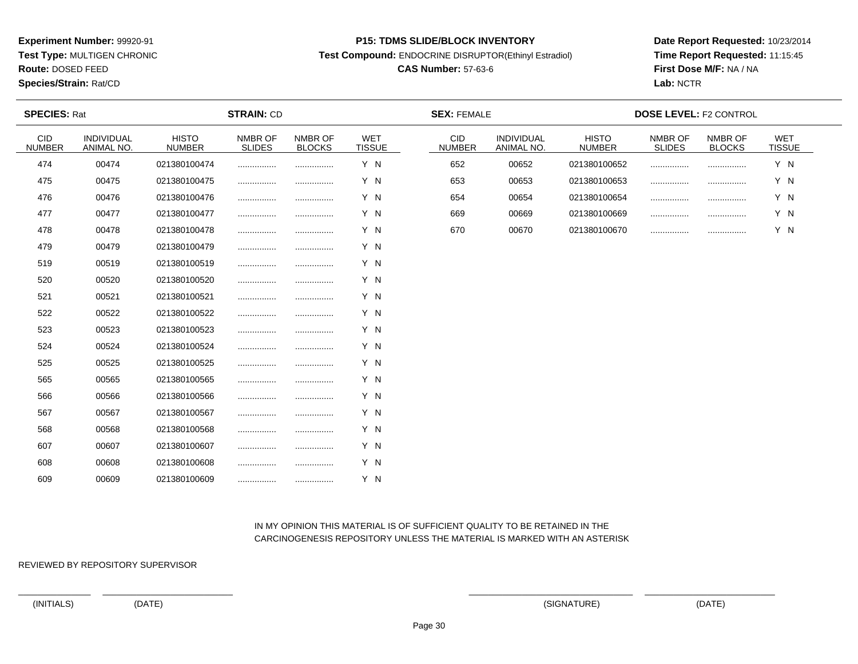**Test Type:** MULTIGEN CHRONIC

**Route:** DOSED FEED

**Species/Strain:** Rat/CD

#### **P15: TDMS SLIDE/BLOCK INVENTORY**

**Test Compound:** ENDOCRINE DISRUPTOR(Ethinyl Estradiol)

# **CAS Number:** 57-63-6

**Date Report Requested:** 10/23/2014**Time Report Requested:** 11:15:45**First Dose M/F:** NA / NA**Lab:** NCTR

| <b>SPECIES: Rat</b>         |                          |                               | <b>STRAIN: CD</b>        |                          |                             | <b>SEX: FEMALE</b>          |                          |                               | <b>DOSE LEVEL: F2 CONTROL</b> |                          |                             |
|-----------------------------|--------------------------|-------------------------------|--------------------------|--------------------------|-----------------------------|-----------------------------|--------------------------|-------------------------------|-------------------------------|--------------------------|-----------------------------|
| <b>CID</b><br><b>NUMBER</b> | INDIVIDUAL<br>ANIMAL NO. | <b>HISTO</b><br><b>NUMBER</b> | NMBR OF<br><b>SLIDES</b> | NMBR OF<br><b>BLOCKS</b> | <b>WET</b><br><b>TISSUE</b> | <b>CID</b><br><b>NUMBER</b> | INDIVIDUAL<br>ANIMAL NO. | <b>HISTO</b><br><b>NUMBER</b> | NMBR OF<br><b>SLIDES</b>      | NMBR OF<br><b>BLOCKS</b> | <b>WET</b><br><b>TISSUE</b> |
| 474                         | 00474                    | 021380100474                  |                          |                          | Y N                         | 652                         | 00652                    | 021380100652                  |                               |                          | Y N                         |
| 475                         | 00475                    | 021380100475                  |                          |                          | Y N                         | 653                         | 00653                    | 021380100653                  |                               |                          | Y N                         |
| 476                         | 00476                    | 021380100476                  |                          |                          | Y N                         | 654                         | 00654                    | 021380100654                  |                               |                          | Y N                         |
| 477                         | 00477                    | 021380100477                  |                          | .                        | Y N                         | 669                         | 00669                    | 021380100669                  |                               |                          | Y N                         |
| 478                         | 00478                    | 021380100478                  |                          |                          | Y N                         | 670                         | 00670                    | 021380100670                  |                               |                          | Y N                         |
| 479                         | 00479                    | 021380100479                  |                          |                          | Y N                         |                             |                          |                               |                               |                          |                             |
| 519                         | 00519                    | 021380100519                  |                          |                          | Y N                         |                             |                          |                               |                               |                          |                             |
| 520                         | 00520                    | 021380100520                  |                          |                          | Y N                         |                             |                          |                               |                               |                          |                             |
| 521                         | 00521                    | 021380100521                  |                          |                          | Y N                         |                             |                          |                               |                               |                          |                             |
| 522                         | 00522                    | 021380100522                  |                          |                          | Y N                         |                             |                          |                               |                               |                          |                             |
| 523                         | 00523                    | 021380100523                  |                          |                          | Y N                         |                             |                          |                               |                               |                          |                             |
| 524                         | 00524                    | 021380100524                  |                          |                          | Y N                         |                             |                          |                               |                               |                          |                             |
| 525                         | 00525                    | 021380100525                  |                          | .                        | Y N                         |                             |                          |                               |                               |                          |                             |
| 565                         | 00565                    | 021380100565                  |                          |                          | Y N                         |                             |                          |                               |                               |                          |                             |
| 566                         | 00566                    | 021380100566                  |                          | .                        | Y N                         |                             |                          |                               |                               |                          |                             |
| 567                         | 00567                    | 021380100567                  |                          |                          | Y N                         |                             |                          |                               |                               |                          |                             |
| 568                         | 00568                    | 021380100568                  |                          |                          | Y N                         |                             |                          |                               |                               |                          |                             |
| 607                         | 00607                    | 021380100607                  |                          |                          | Y N                         |                             |                          |                               |                               |                          |                             |
| 608                         | 00608                    | 021380100608                  |                          |                          | Y N                         |                             |                          |                               |                               |                          |                             |
| 609                         | 00609                    | 021380100609                  |                          |                          | Y N                         |                             |                          |                               |                               |                          |                             |

# IN MY OPINION THIS MATERIAL IS OF SUFFICIENT QUALITY TO BE RETAINED IN THECARCINOGENESIS REPOSITORY UNLESS THE MATERIAL IS MARKED WITH AN ASTERISK

REVIEWED BY REPOSITORY SUPERVISOR

(INITIALS) (DATE) (SIGNATURE) (DATE)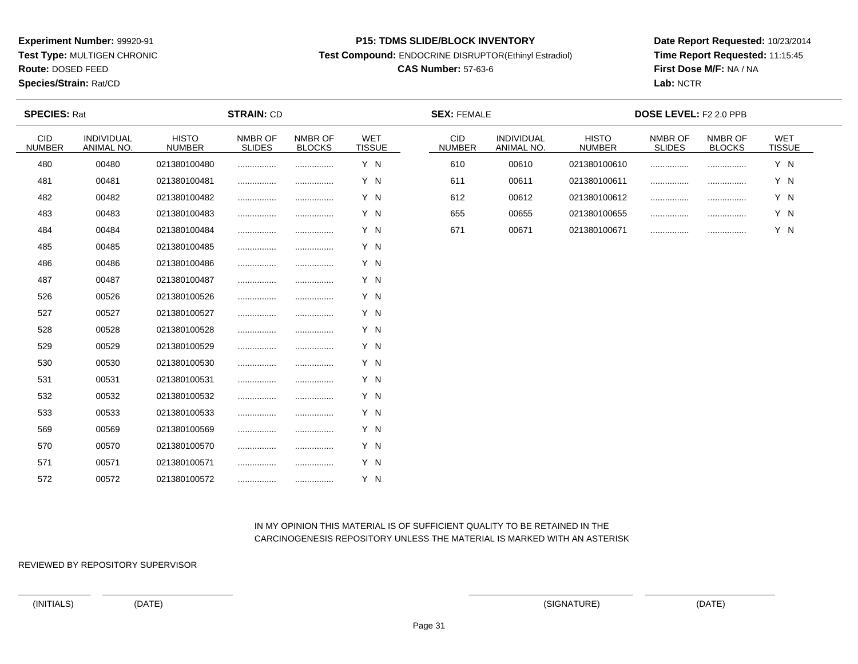**Test Type:** MULTIGEN CHRONIC

**Route:** DOSED FEED

**Species/Strain:** Rat/CD

#### **P15: TDMS SLIDE/BLOCK INVENTORY**

**Test Compound:** ENDOCRINE DISRUPTOR(Ethinyl Estradiol)

# **CAS Number:** 57-63-6

**Date Report Requested:** 10/23/2014**Time Report Requested:** 11:15:45**First Dose M/F:** NA / NA**Lab:** NCTR

| <b>SPECIES: Rat</b>         |                          |                               | <b>STRAIN: CD</b>        |                          |                             | <b>SEX: FEMALE</b>          |                          |                               | <b>DOSE LEVEL: F2 2.0 PPB</b> |                          |                             |
|-----------------------------|--------------------------|-------------------------------|--------------------------|--------------------------|-----------------------------|-----------------------------|--------------------------|-------------------------------|-------------------------------|--------------------------|-----------------------------|
| <b>CID</b><br><b>NUMBER</b> | INDIVIDUAL<br>ANIMAL NO. | <b>HISTO</b><br><b>NUMBER</b> | NMBR OF<br><b>SLIDES</b> | NMBR OF<br><b>BLOCKS</b> | <b>WET</b><br><b>TISSUE</b> | <b>CID</b><br><b>NUMBER</b> | INDIVIDUAL<br>ANIMAL NO. | <b>HISTO</b><br><b>NUMBER</b> | NMBR OF<br><b>SLIDES</b>      | NMBR OF<br><b>BLOCKS</b> | <b>WET</b><br><b>TISSUE</b> |
| 480                         | 00480                    | 021380100480                  |                          |                          | Y N                         | 610                         | 00610                    | 021380100610                  |                               |                          | Y N                         |
| 481                         | 00481                    | 021380100481                  |                          |                          | Y N                         | 611                         | 00611                    | 021380100611                  |                               | .                        | Y N                         |
| 482                         | 00482                    | 021380100482                  |                          |                          | Y N                         | 612                         | 00612                    | 021380100612                  |                               |                          | Y N                         |
| 483                         | 00483                    | 021380100483                  |                          | .                        | Y N                         | 655                         | 00655                    | 021380100655                  |                               |                          | Y N                         |
| 484                         | 00484                    | 021380100484                  |                          |                          | Y N                         | 671                         | 00671                    | 021380100671                  |                               |                          | Y N                         |
| 485                         | 00485                    | 021380100485                  |                          |                          | Y N                         |                             |                          |                               |                               |                          |                             |
| 486                         | 00486                    | 021380100486                  |                          |                          | Y N                         |                             |                          |                               |                               |                          |                             |
| 487                         | 00487                    | 021380100487                  |                          |                          | Y N                         |                             |                          |                               |                               |                          |                             |
| 526                         | 00526                    | 021380100526                  |                          |                          | Y N                         |                             |                          |                               |                               |                          |                             |
| 527                         | 00527                    | 021380100527                  |                          |                          | Y N                         |                             |                          |                               |                               |                          |                             |
| 528                         | 00528                    | 021380100528                  |                          |                          | Y N                         |                             |                          |                               |                               |                          |                             |
| 529                         | 00529                    | 021380100529                  |                          |                          | Y N                         |                             |                          |                               |                               |                          |                             |
| 530                         | 00530                    | 021380100530                  |                          |                          | Y N                         |                             |                          |                               |                               |                          |                             |
| 531                         | 00531                    | 021380100531                  |                          |                          | Y N                         |                             |                          |                               |                               |                          |                             |
| 532                         | 00532                    | 021380100532                  |                          |                          | Y N                         |                             |                          |                               |                               |                          |                             |
| 533                         | 00533                    | 021380100533                  |                          |                          | Y N                         |                             |                          |                               |                               |                          |                             |
| 569                         | 00569                    | 021380100569                  |                          | .                        | Y N                         |                             |                          |                               |                               |                          |                             |
| 570                         | 00570                    | 021380100570                  |                          |                          | Y N                         |                             |                          |                               |                               |                          |                             |
| 571                         | 00571                    | 021380100571                  |                          |                          | Y N                         |                             |                          |                               |                               |                          |                             |
| 572                         | 00572                    | 021380100572                  |                          | .                        | Y N                         |                             |                          |                               |                               |                          |                             |

# IN MY OPINION THIS MATERIAL IS OF SUFFICIENT QUALITY TO BE RETAINED IN THECARCINOGENESIS REPOSITORY UNLESS THE MATERIAL IS MARKED WITH AN ASTERISK

REVIEWED BY REPOSITORY SUPERVISOR

(INITIALS) (DATE) (SIGNATURE) (DATE)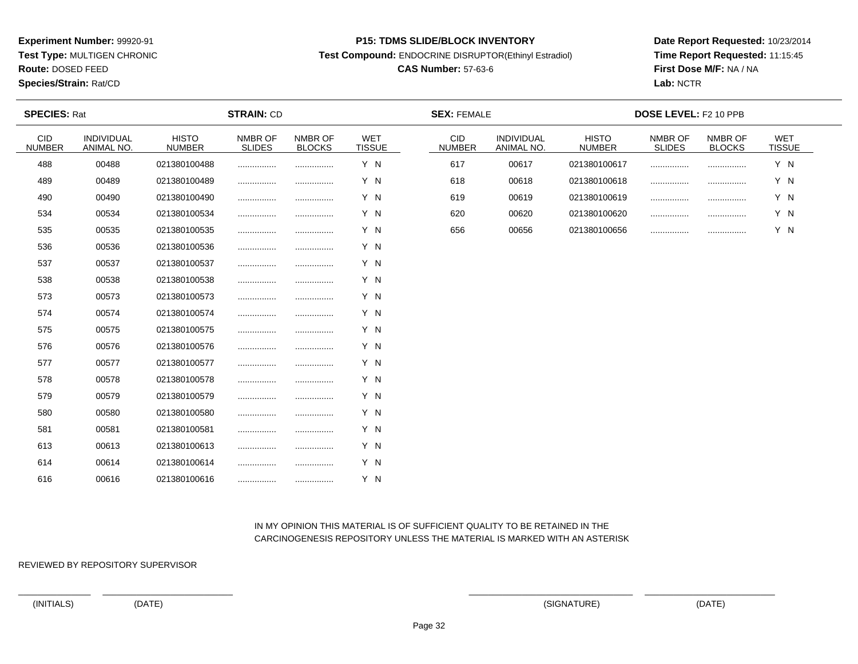**Test Type:** MULTIGEN CHRONIC

**Route:** DOSED FEED

**Species/Strain:** Rat/CD

#### **P15: TDMS SLIDE/BLOCK INVENTORY**

**Test Compound:** ENDOCRINE DISRUPTOR(Ethinyl Estradiol)

# **CAS Number:** 57-63-6

**Date Report Requested:** 10/23/2014**Time Report Requested:** 11:15:45**First Dose M/F:** NA / NA**Lab:** NCTR

| <b>SPECIES: Rat</b>         |                          |                               | <b>STRAIN: CD</b>        |                          |                             | <b>SEX: FEMALE</b>          |                          |                               | DOSE LEVEL: F2 10 PPB    |                          |                      |  |
|-----------------------------|--------------------------|-------------------------------|--------------------------|--------------------------|-----------------------------|-----------------------------|--------------------------|-------------------------------|--------------------------|--------------------------|----------------------|--|
| <b>CID</b><br><b>NUMBER</b> | INDIVIDUAL<br>ANIMAL NO. | <b>HISTO</b><br><b>NUMBER</b> | NMBR OF<br><b>SLIDES</b> | NMBR OF<br><b>BLOCKS</b> | <b>WET</b><br><b>TISSUE</b> | <b>CID</b><br><b>NUMBER</b> | INDIVIDUAL<br>ANIMAL NO. | <b>HISTO</b><br><b>NUMBER</b> | NMBR OF<br><b>SLIDES</b> | NMBR OF<br><b>BLOCKS</b> | WET<br><b>TISSUE</b> |  |
| 488                         | 00488                    | 021380100488                  |                          |                          | Y N                         | 617                         | 00617                    | 021380100617                  |                          |                          | Y N                  |  |
| 489                         | 00489                    | 021380100489                  |                          |                          | Y N                         | 618                         | 00618                    | 021380100618                  |                          | .                        | Y N                  |  |
| 490                         | 00490                    | 021380100490                  |                          |                          | Y N                         | 619                         | 00619                    | 021380100619                  |                          |                          | Y N                  |  |
| 534                         | 00534                    | 021380100534                  |                          |                          | Y N                         | 620                         | 00620                    | 021380100620                  |                          |                          | Y N                  |  |
| 535                         | 00535                    | 021380100535                  |                          |                          | Y N                         | 656                         | 00656                    | 021380100656                  |                          |                          | Y N                  |  |
| 536                         | 00536                    | 021380100536                  |                          |                          | Y N                         |                             |                          |                               |                          |                          |                      |  |
| 537                         | 00537                    | 021380100537                  |                          |                          | Y N                         |                             |                          |                               |                          |                          |                      |  |
| 538                         | 00538                    | 021380100538                  |                          |                          | Y N                         |                             |                          |                               |                          |                          |                      |  |
| 573                         | 00573                    | 021380100573                  |                          |                          | Y N                         |                             |                          |                               |                          |                          |                      |  |
| 574                         | 00574                    | 021380100574                  |                          |                          | Y N                         |                             |                          |                               |                          |                          |                      |  |
| 575                         | 00575                    | 021380100575                  |                          |                          | Y N                         |                             |                          |                               |                          |                          |                      |  |
| 576                         | 00576                    | 021380100576                  |                          |                          | Y N                         |                             |                          |                               |                          |                          |                      |  |
| 577                         | 00577                    | 021380100577                  |                          |                          | Y N                         |                             |                          |                               |                          |                          |                      |  |
| 578                         | 00578                    | 021380100578                  |                          |                          | Y N                         |                             |                          |                               |                          |                          |                      |  |
| 579                         | 00579                    | 021380100579                  |                          |                          | Y N                         |                             |                          |                               |                          |                          |                      |  |
| 580                         | 00580                    | 021380100580                  |                          |                          | Y N                         |                             |                          |                               |                          |                          |                      |  |
| 581                         | 00581                    | 021380100581                  |                          |                          | Y N                         |                             |                          |                               |                          |                          |                      |  |
| 613                         | 00613                    | 021380100613                  |                          |                          | Y N                         |                             |                          |                               |                          |                          |                      |  |
| 614                         | 00614                    | 021380100614                  |                          |                          | Y N                         |                             |                          |                               |                          |                          |                      |  |
| 616                         | 00616                    | 021380100616                  |                          |                          | Y N                         |                             |                          |                               |                          |                          |                      |  |

# IN MY OPINION THIS MATERIAL IS OF SUFFICIENT QUALITY TO BE RETAINED IN THECARCINOGENESIS REPOSITORY UNLESS THE MATERIAL IS MARKED WITH AN ASTERISK

REVIEWED BY REPOSITORY SUPERVISOR

(INITIALS) (DATE) (SIGNATURE) (DATE)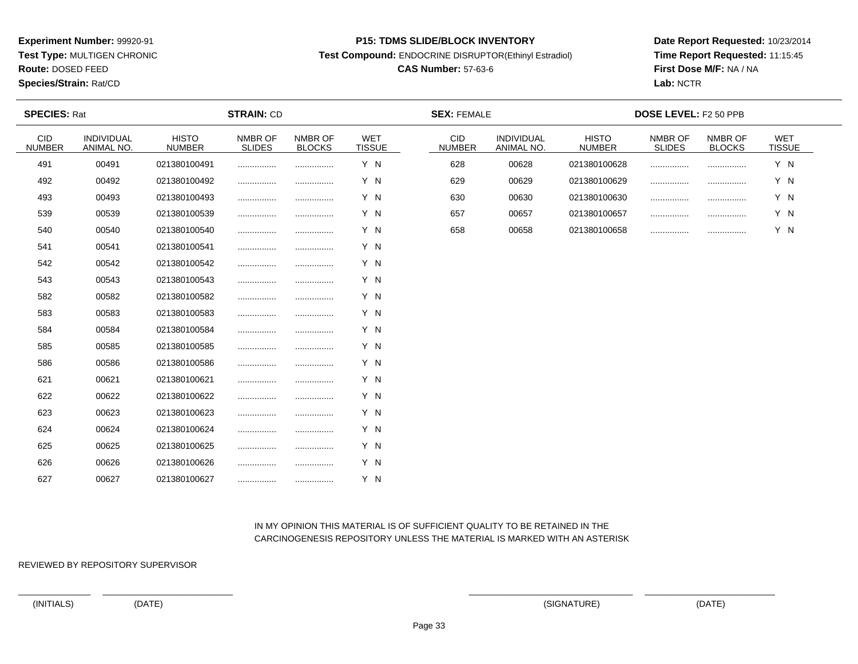**Test Type:** MULTIGEN CHRONIC

**Route:** DOSED FEED

**Species/Strain:** Rat/CD

#### **P15: TDMS SLIDE/BLOCK INVENTORY**

**Test Compound:** ENDOCRINE DISRUPTOR(Ethinyl Estradiol)

# **CAS Number:** 57-63-6

**Date Report Requested:** 10/23/2014**Time Report Requested:** 11:15:45**First Dose M/F:** NA / NA**Lab:** NCTR

| <b>SPECIES: Rat</b>  |                          |                               | <b>STRAIN: CD</b>        |                          |                             | <b>SEX: FEMALE</b>          |                          |                               | DOSE LEVEL: F2 50 PPB    |                          |                             |  |
|----------------------|--------------------------|-------------------------------|--------------------------|--------------------------|-----------------------------|-----------------------------|--------------------------|-------------------------------|--------------------------|--------------------------|-----------------------------|--|
| CID<br><b>NUMBER</b> | INDIVIDUAL<br>ANIMAL NO. | <b>HISTO</b><br><b>NUMBER</b> | NMBR OF<br><b>SLIDES</b> | NMBR OF<br><b>BLOCKS</b> | <b>WET</b><br><b>TISSUE</b> | <b>CID</b><br><b>NUMBER</b> | INDIVIDUAL<br>ANIMAL NO. | <b>HISTO</b><br><b>NUMBER</b> | NMBR OF<br><b>SLIDES</b> | NMBR OF<br><b>BLOCKS</b> | <b>WET</b><br><b>TISSUE</b> |  |
| 491                  | 00491                    | 021380100491                  |                          |                          | Y N                         | 628                         | 00628                    | 021380100628                  |                          |                          | Y N                         |  |
| 492                  | 00492                    | 021380100492                  |                          |                          | Y N                         | 629                         | 00629                    | 021380100629                  | .                        |                          | Y N                         |  |
| 493                  | 00493                    | 021380100493                  |                          |                          | Y N                         | 630                         | 00630                    | 021380100630                  |                          |                          | Y N                         |  |
| 539                  | 00539                    | 021380100539                  |                          |                          | Y N                         | 657                         | 00657                    | 021380100657                  |                          |                          | Y N                         |  |
| 540                  | 00540                    | 021380100540                  |                          |                          | Y N                         | 658                         | 00658                    | 021380100658                  |                          |                          | Y N                         |  |
| 541                  | 00541                    | 021380100541                  |                          |                          | Y N                         |                             |                          |                               |                          |                          |                             |  |
| 542                  | 00542                    | 021380100542                  |                          |                          | Y N                         |                             |                          |                               |                          |                          |                             |  |
| 543                  | 00543                    | 021380100543                  |                          |                          | Y N                         |                             |                          |                               |                          |                          |                             |  |
| 582                  | 00582                    | 021380100582                  |                          |                          | Y N                         |                             |                          |                               |                          |                          |                             |  |
| 583                  | 00583                    | 021380100583                  |                          |                          | Y N                         |                             |                          |                               |                          |                          |                             |  |
| 584                  | 00584                    | 021380100584                  |                          |                          | Y N                         |                             |                          |                               |                          |                          |                             |  |
| 585                  | 00585                    | 021380100585                  |                          |                          | Y N                         |                             |                          |                               |                          |                          |                             |  |
| 586                  | 00586                    | 021380100586                  |                          |                          | Y N                         |                             |                          |                               |                          |                          |                             |  |
| 621                  | 00621                    | 021380100621                  |                          |                          | Y N                         |                             |                          |                               |                          |                          |                             |  |
| 622                  | 00622                    | 021380100622                  |                          |                          | Y N                         |                             |                          |                               |                          |                          |                             |  |
| 623                  | 00623                    | 021380100623                  |                          |                          | Y N                         |                             |                          |                               |                          |                          |                             |  |
| 624                  | 00624                    | 021380100624                  |                          |                          | Y N                         |                             |                          |                               |                          |                          |                             |  |
| 625                  | 00625                    | 021380100625                  |                          |                          | Y N                         |                             |                          |                               |                          |                          |                             |  |
| 626                  | 00626                    | 021380100626                  |                          |                          | Y N                         |                             |                          |                               |                          |                          |                             |  |
| 627                  | 00627                    | 021380100627                  |                          |                          | Y N                         |                             |                          |                               |                          |                          |                             |  |

# IN MY OPINION THIS MATERIAL IS OF SUFFICIENT QUALITY TO BE RETAINED IN THECARCINOGENESIS REPOSITORY UNLESS THE MATERIAL IS MARKED WITH AN ASTERISK

REVIEWED BY REPOSITORY SUPERVISOR

(INITIALS) (DATE) (SIGNATURE) (DATE)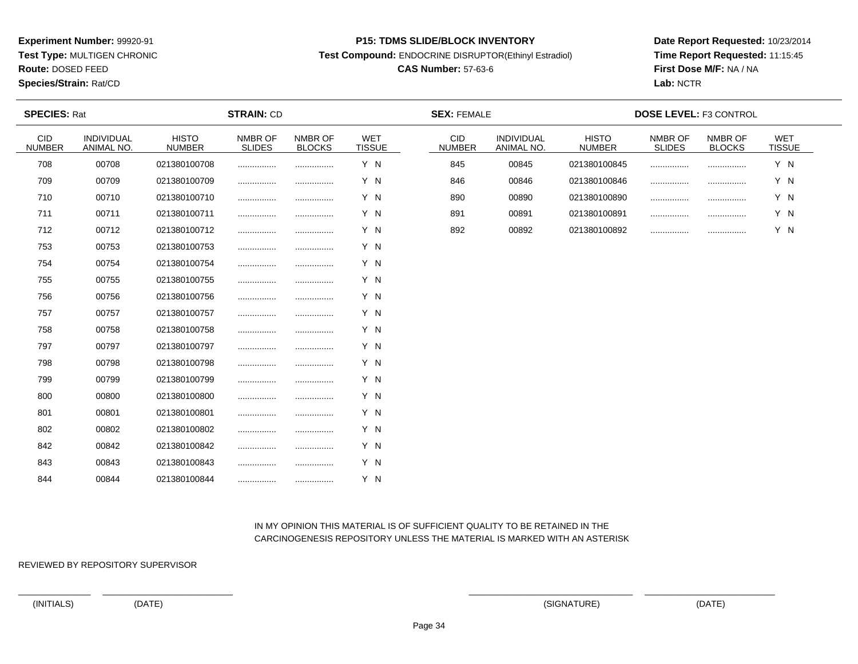**Test Type:** MULTIGEN CHRONIC

**Route:** DOSED FEED

**Species/Strain:** Rat/CD

#### **P15: TDMS SLIDE/BLOCK INVENTORY**

**Test Compound:** ENDOCRINE DISRUPTOR(Ethinyl Estradiol)

# **CAS Number:** 57-63-6

**Date Report Requested:** 10/23/2014**Time Report Requested:** 11:15:45**First Dose M/F:** NA / NA**Lab:** NCTR

| <b>SPECIES: Rat</b>         |                          |                               | <b>STRAIN: CD</b>        |                          |                             | <b>SEX: FEMALE</b>   |                          |                               | <b>DOSE LEVEL: F3 CONTROL</b> |                          |                             |
|-----------------------------|--------------------------|-------------------------------|--------------------------|--------------------------|-----------------------------|----------------------|--------------------------|-------------------------------|-------------------------------|--------------------------|-----------------------------|
| <b>CID</b><br><b>NUMBER</b> | INDIVIDUAL<br>ANIMAL NO. | <b>HISTO</b><br><b>NUMBER</b> | NMBR OF<br><b>SLIDES</b> | NMBR OF<br><b>BLOCKS</b> | <b>WET</b><br><b>TISSUE</b> | CID<br><b>NUMBER</b> | INDIVIDUAL<br>ANIMAL NO. | <b>HISTO</b><br><b>NUMBER</b> | NMBR OF<br><b>SLIDES</b>      | NMBR OF<br><b>BLOCKS</b> | <b>WET</b><br><b>TISSUE</b> |
| 708                         | 00708                    | 021380100708                  |                          |                          | Y N                         | 845                  | 00845                    | 021380100845                  |                               |                          | Y N                         |
| 709                         | 00709                    | 021380100709                  |                          |                          | Y N                         | 846                  | 00846                    | 021380100846                  |                               |                          | Y N                         |
| 710                         | 00710                    | 021380100710                  |                          |                          | Y N                         | 890                  | 00890                    | 021380100890                  |                               | .                        | Y N                         |
| 711                         | 00711                    | 021380100711                  |                          | .                        | Y N                         | 891                  | 00891                    | 021380100891                  |                               |                          | Y N                         |
| 712                         | 00712                    | 021380100712                  |                          |                          | Y N                         | 892                  | 00892                    | 021380100892                  |                               |                          | Y N                         |
| 753                         | 00753                    | 021380100753                  |                          |                          | Y N                         |                      |                          |                               |                               |                          |                             |
| 754                         | 00754                    | 021380100754                  |                          |                          | Y N                         |                      |                          |                               |                               |                          |                             |
| 755                         | 00755                    | 021380100755                  |                          |                          | Y N                         |                      |                          |                               |                               |                          |                             |
| 756                         | 00756                    | 021380100756                  |                          |                          | Y N                         |                      |                          |                               |                               |                          |                             |
| 757                         | 00757                    | 021380100757                  |                          |                          | Y N                         |                      |                          |                               |                               |                          |                             |
| 758                         | 00758                    | 021380100758                  |                          |                          | Y N                         |                      |                          |                               |                               |                          |                             |
| 797                         | 00797                    | 021380100797                  |                          |                          | Y N                         |                      |                          |                               |                               |                          |                             |
| 798                         | 00798                    | 021380100798                  |                          |                          | Y N                         |                      |                          |                               |                               |                          |                             |
| 799                         | 00799                    | 021380100799                  |                          |                          | Y N                         |                      |                          |                               |                               |                          |                             |
| 800                         | 00800                    | 021380100800                  |                          | .                        | Y N                         |                      |                          |                               |                               |                          |                             |
| 801                         | 00801                    | 021380100801                  |                          |                          | Y N                         |                      |                          |                               |                               |                          |                             |
| 802                         | 00802                    | 021380100802                  |                          |                          | Y N                         |                      |                          |                               |                               |                          |                             |
| 842                         | 00842                    | 021380100842                  |                          |                          | Y N                         |                      |                          |                               |                               |                          |                             |
| 843                         | 00843                    | 021380100843                  |                          |                          | Y N                         |                      |                          |                               |                               |                          |                             |
| 844                         | 00844                    | 021380100844                  |                          |                          | Y N                         |                      |                          |                               |                               |                          |                             |

# IN MY OPINION THIS MATERIAL IS OF SUFFICIENT QUALITY TO BE RETAINED IN THECARCINOGENESIS REPOSITORY UNLESS THE MATERIAL IS MARKED WITH AN ASTERISK

REVIEWED BY REPOSITORY SUPERVISOR

(INITIALS) (DATE) (SIGNATURE) (DATE)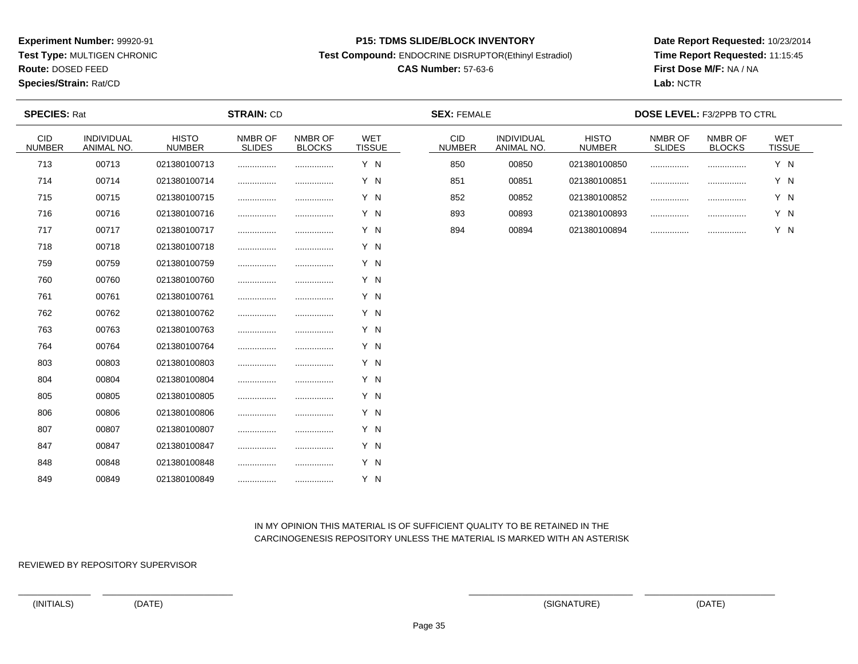**Test Type:** MULTIGEN CHRONIC

**Route:** DOSED FEED

**Species/Strain:** Rat/CD

#### **P15: TDMS SLIDE/BLOCK INVENTORY**

**Test Compound:** ENDOCRINE DISRUPTOR(Ethinyl Estradiol)

# **CAS Number:** 57-63-6

**Date Report Requested:** 10/23/2014**Time Report Requested:** 11:15:45**First Dose M/F:** NA / NA**Lab:** NCTR

| <b>SPECIES: Rat</b>  |                          |                               | <b>STRAIN: CD</b>        |                          |                             | <b>SEX: FEMALE</b>          |                          |                               | <b>DOSE LEVEL: F3/2PPB TO CTRL</b> |                          |                             |  |
|----------------------|--------------------------|-------------------------------|--------------------------|--------------------------|-----------------------------|-----------------------------|--------------------------|-------------------------------|------------------------------------|--------------------------|-----------------------------|--|
| CID<br><b>NUMBER</b> | INDIVIDUAL<br>ANIMAL NO. | <b>HISTO</b><br><b>NUMBER</b> | NMBR OF<br><b>SLIDES</b> | NMBR OF<br><b>BLOCKS</b> | <b>WET</b><br><b>TISSUE</b> | <b>CID</b><br><b>NUMBER</b> | INDIVIDUAL<br>ANIMAL NO. | <b>HISTO</b><br><b>NUMBER</b> | NMBR OF<br><b>SLIDES</b>           | NMBR OF<br><b>BLOCKS</b> | <b>WET</b><br><b>TISSUE</b> |  |
| 713                  | 00713                    | 021380100713                  |                          |                          | Y N                         | 850                         | 00850                    | 021380100850                  |                                    |                          | Y N                         |  |
| 714                  | 00714                    | 021380100714                  |                          |                          | Y N                         | 851                         | 00851                    | 021380100851                  | .                                  |                          | Y N                         |  |
| 715                  | 00715                    | 021380100715                  |                          |                          | Y N                         | 852                         | 00852                    | 021380100852                  |                                    |                          | Y N                         |  |
| 716                  | 00716                    | 021380100716                  |                          |                          | Y N                         | 893                         | 00893                    | 021380100893                  |                                    |                          | Y N                         |  |
| 717                  | 00717                    | 021380100717                  |                          |                          | Y N                         | 894                         | 00894                    | 021380100894                  |                                    |                          | Y N                         |  |
| 718                  | 00718                    | 021380100718                  |                          |                          | Y N                         |                             |                          |                               |                                    |                          |                             |  |
| 759                  | 00759                    | 021380100759                  |                          |                          | Y N                         |                             |                          |                               |                                    |                          |                             |  |
| 760                  | 00760                    | 021380100760                  |                          |                          | Y N                         |                             |                          |                               |                                    |                          |                             |  |
| 761                  | 00761                    | 021380100761                  |                          |                          | Y N                         |                             |                          |                               |                                    |                          |                             |  |
| 762                  | 00762                    | 021380100762                  |                          |                          | Y N                         |                             |                          |                               |                                    |                          |                             |  |
| 763                  | 00763                    | 021380100763                  |                          |                          | Y N                         |                             |                          |                               |                                    |                          |                             |  |
| 764                  | 00764                    | 021380100764                  |                          |                          | Y N                         |                             |                          |                               |                                    |                          |                             |  |
| 803                  | 00803                    | 021380100803                  |                          |                          | Y N                         |                             |                          |                               |                                    |                          |                             |  |
| 804                  | 00804                    | 021380100804                  |                          |                          | Y N                         |                             |                          |                               |                                    |                          |                             |  |
| 805                  | 00805                    | 021380100805                  |                          |                          | Y N                         |                             |                          |                               |                                    |                          |                             |  |
| 806                  | 00806                    | 021380100806                  |                          |                          | Y N                         |                             |                          |                               |                                    |                          |                             |  |
| 807                  | 00807                    | 021380100807                  |                          |                          | Y N                         |                             |                          |                               |                                    |                          |                             |  |
| 847                  | 00847                    | 021380100847                  |                          |                          | Y N                         |                             |                          |                               |                                    |                          |                             |  |
| 848                  | 00848                    | 021380100848                  |                          |                          | Y N                         |                             |                          |                               |                                    |                          |                             |  |
| 849                  | 00849                    | 021380100849                  |                          |                          | Y N                         |                             |                          |                               |                                    |                          |                             |  |

## IN MY OPINION THIS MATERIAL IS OF SUFFICIENT QUALITY TO BE RETAINED IN THECARCINOGENESIS REPOSITORY UNLESS THE MATERIAL IS MARKED WITH AN ASTERISK

REVIEWED BY REPOSITORY SUPERVISOR

(INITIALS) (DATE) (SIGNATURE) (DATE)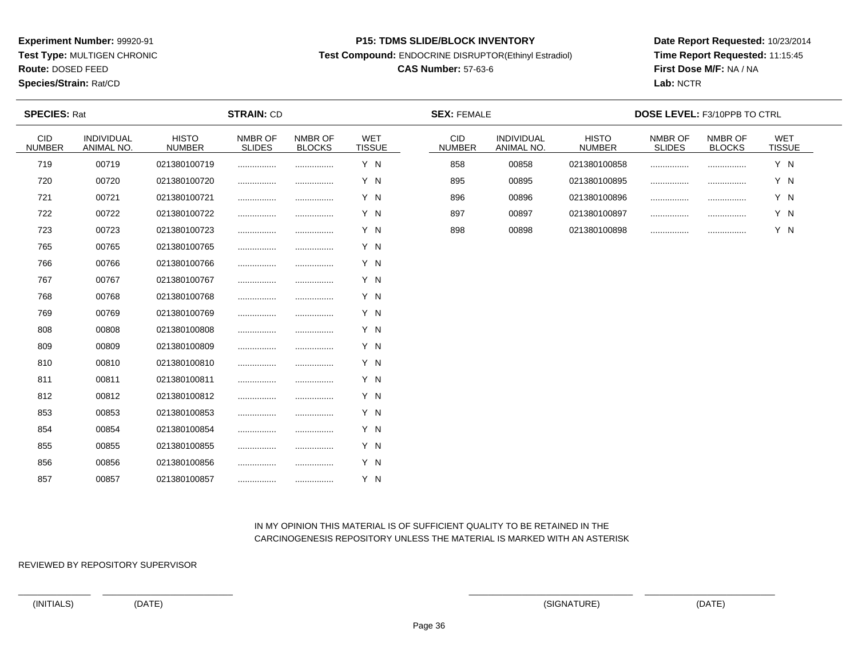**Test Type:** MULTIGEN CHRONIC

**Route:** DOSED FEED

**Species/Strain:** Rat/CD

#### **P15: TDMS SLIDE/BLOCK INVENTORY**

**Test Compound:** ENDOCRINE DISRUPTOR(Ethinyl Estradiol)

# **CAS Number:** 57-63-6

**Date Report Requested:** 10/23/2014**Time Report Requested:** 11:15:45**First Dose M/F:** NA / NA**Lab:** NCTR

| <b>SPECIES: Rat</b>  |                          | <b>STRAIN: CD</b>             |                          |                          |                      | <b>SEX: FEMALE</b>          |                          | <b>DOSE LEVEL: F3/10PPB TO CTRL</b> |                          |                          |                             |  |
|----------------------|--------------------------|-------------------------------|--------------------------|--------------------------|----------------------|-----------------------------|--------------------------|-------------------------------------|--------------------------|--------------------------|-----------------------------|--|
| CID<br><b>NUMBER</b> | INDIVIDUAL<br>ANIMAL NO. | <b>HISTO</b><br><b>NUMBER</b> | NMBR OF<br><b>SLIDES</b> | NMBR OF<br><b>BLOCKS</b> | WET<br><b>TISSUE</b> | <b>CID</b><br><b>NUMBER</b> | INDIVIDUAL<br>ANIMAL NO. | <b>HISTO</b><br><b>NUMBER</b>       | NMBR OF<br><b>SLIDES</b> | NMBR OF<br><b>BLOCKS</b> | <b>WET</b><br><b>TISSUE</b> |  |
| 719                  | 00719                    | 021380100719                  |                          |                          | Y N                  | 858                         | 00858                    | 021380100858                        |                          |                          | Y N                         |  |
| 720                  | 00720                    | 021380100720                  |                          |                          | Y N                  | 895                         | 00895                    | 021380100895                        | .                        |                          | Y N                         |  |
| 721                  | 00721                    | 021380100721                  |                          |                          | Y N                  | 896                         | 00896                    | 021380100896                        | .                        |                          | Y N                         |  |
| 722                  | 00722                    | 021380100722                  |                          |                          | Y N                  | 897                         | 00897                    | 021380100897                        |                          |                          | Y N                         |  |
| 723                  | 00723                    | 021380100723                  |                          |                          | Y N                  | 898                         | 00898                    | 021380100898                        |                          |                          | Y N                         |  |
| 765                  | 00765                    | 021380100765                  |                          |                          | Y N                  |                             |                          |                                     |                          |                          |                             |  |
| 766                  | 00766                    | 021380100766                  |                          |                          | Y N                  |                             |                          |                                     |                          |                          |                             |  |
| 767                  | 00767                    | 021380100767                  |                          |                          | Y N                  |                             |                          |                                     |                          |                          |                             |  |
| 768                  | 00768                    | 021380100768                  |                          |                          | Y N                  |                             |                          |                                     |                          |                          |                             |  |
| 769                  | 00769                    | 021380100769                  |                          |                          | Y N                  |                             |                          |                                     |                          |                          |                             |  |
| 808                  | 00808                    | 021380100808                  |                          |                          | Y N                  |                             |                          |                                     |                          |                          |                             |  |
| 809                  | 00809                    | 021380100809                  |                          |                          | Y N                  |                             |                          |                                     |                          |                          |                             |  |
| 810                  | 00810                    | 021380100810                  |                          |                          | Y N                  |                             |                          |                                     |                          |                          |                             |  |
| 811                  | 00811                    | 021380100811                  |                          |                          | Y N                  |                             |                          |                                     |                          |                          |                             |  |
| 812                  | 00812                    | 021380100812                  |                          |                          | Y N                  |                             |                          |                                     |                          |                          |                             |  |
| 853                  | 00853                    | 021380100853                  |                          |                          | Y N                  |                             |                          |                                     |                          |                          |                             |  |
| 854                  | 00854                    | 021380100854                  |                          |                          | Y N                  |                             |                          |                                     |                          |                          |                             |  |
| 855                  | 00855                    | 021380100855                  |                          |                          | Y N                  |                             |                          |                                     |                          |                          |                             |  |
| 856                  | 00856                    | 021380100856                  |                          |                          | Y N                  |                             |                          |                                     |                          |                          |                             |  |
| 857                  | 00857                    | 021380100857                  |                          |                          | Y N                  |                             |                          |                                     |                          |                          |                             |  |

 IN MY OPINION THIS MATERIAL IS OF SUFFICIENT QUALITY TO BE RETAINED IN THECARCINOGENESIS REPOSITORY UNLESS THE MATERIAL IS MARKED WITH AN ASTERISK

REVIEWED BY REPOSITORY SUPERVISOR

(INITIALS) (DATE) (SIGNATURE) (DATE)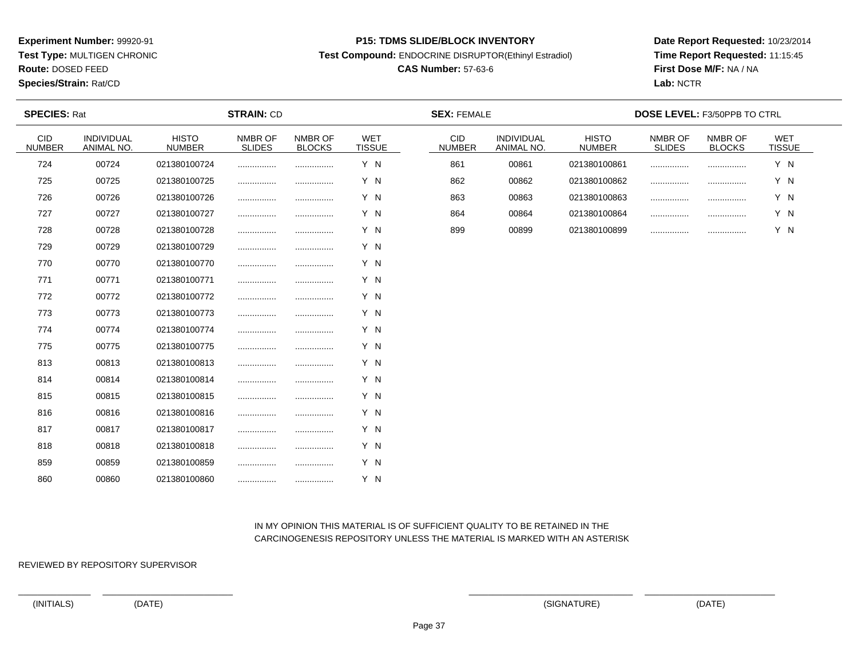**Test Type:** MULTIGEN CHRONIC

**Route:** DOSED FEED

**Species/Strain:** Rat/CD

#### **P15: TDMS SLIDE/BLOCK INVENTORY**

**Test Compound:** ENDOCRINE DISRUPTOR(Ethinyl Estradiol)

# **CAS Number:** 57-63-6

**Date Report Requested:** 10/23/2014**Time Report Requested:** 11:15:45**First Dose M/F:** NA / NA**Lab:** NCTR

| <b>SPECIES: Rat</b>         |                          |                               | <b>STRAIN: CD</b>        |                          |                             | <b>SEX: FEMALE</b>          |                          | <b>DOSE LEVEL: F3/50PPB TO CTRL</b> |                          |                          |                             |  |
|-----------------------------|--------------------------|-------------------------------|--------------------------|--------------------------|-----------------------------|-----------------------------|--------------------------|-------------------------------------|--------------------------|--------------------------|-----------------------------|--|
| <b>CID</b><br><b>NUMBER</b> | INDIVIDUAL<br>ANIMAL NO. | <b>HISTO</b><br><b>NUMBER</b> | NMBR OF<br><b>SLIDES</b> | NMBR OF<br><b>BLOCKS</b> | <b>WET</b><br><b>TISSUE</b> | <b>CID</b><br><b>NUMBER</b> | INDIVIDUAL<br>ANIMAL NO. | <b>HISTO</b><br><b>NUMBER</b>       | NMBR OF<br><b>SLIDES</b> | NMBR OF<br><b>BLOCKS</b> | <b>WET</b><br><b>TISSUE</b> |  |
| 724                         | 00724                    | 021380100724                  |                          |                          | Y N                         | 861                         | 00861                    | 021380100861                        | .                        |                          | Y N                         |  |
| 725                         | 00725                    | 021380100725                  |                          |                          | Y N                         | 862                         | 00862                    | 021380100862                        | .                        |                          | Y N                         |  |
| 726                         | 00726                    | 021380100726                  |                          |                          | Y N                         | 863                         | 00863                    | 021380100863                        | .                        |                          | Y N                         |  |
| 727                         | 00727                    | 021380100727                  |                          |                          | Y N                         | 864                         | 00864                    | 021380100864                        |                          |                          | Y N                         |  |
| 728                         | 00728                    | 021380100728                  |                          |                          | Y N                         | 899                         | 00899                    | 021380100899                        | .                        |                          | Y N                         |  |
| 729                         | 00729                    | 021380100729                  |                          |                          | Y N                         |                             |                          |                                     |                          |                          |                             |  |
| 770                         | 00770                    | 021380100770                  |                          |                          | Y N                         |                             |                          |                                     |                          |                          |                             |  |
| 771                         | 00771                    | 021380100771                  |                          |                          | Y N                         |                             |                          |                                     |                          |                          |                             |  |
| 772                         | 00772                    | 021380100772                  |                          |                          | Y N                         |                             |                          |                                     |                          |                          |                             |  |
| 773                         | 00773                    | 021380100773                  |                          |                          | Y N                         |                             |                          |                                     |                          |                          |                             |  |
| 774                         | 00774                    | 021380100774                  |                          |                          | Y N                         |                             |                          |                                     |                          |                          |                             |  |
| 775                         | 00775                    | 021380100775                  |                          |                          | Y N                         |                             |                          |                                     |                          |                          |                             |  |
| 813                         | 00813                    | 021380100813                  |                          |                          | Y N                         |                             |                          |                                     |                          |                          |                             |  |
| 814                         | 00814                    | 021380100814                  |                          |                          | Y N                         |                             |                          |                                     |                          |                          |                             |  |
| 815                         | 00815                    | 021380100815                  |                          |                          | Y N                         |                             |                          |                                     |                          |                          |                             |  |
| 816                         | 00816                    | 021380100816                  |                          |                          | Y N                         |                             |                          |                                     |                          |                          |                             |  |
| 817                         | 00817                    | 021380100817                  |                          |                          | Y N                         |                             |                          |                                     |                          |                          |                             |  |
| 818                         | 00818                    | 021380100818                  |                          |                          | Y N                         |                             |                          |                                     |                          |                          |                             |  |
| 859                         | 00859                    | 021380100859                  |                          |                          | Y N                         |                             |                          |                                     |                          |                          |                             |  |
| 860                         | 00860                    | 021380100860                  |                          |                          | Y N                         |                             |                          |                                     |                          |                          |                             |  |

 IN MY OPINION THIS MATERIAL IS OF SUFFICIENT QUALITY TO BE RETAINED IN THECARCINOGENESIS REPOSITORY UNLESS THE MATERIAL IS MARKED WITH AN ASTERISK

REVIEWED BY REPOSITORY SUPERVISOR

(INITIALS) (DATE) (SIGNATURE) (DATE)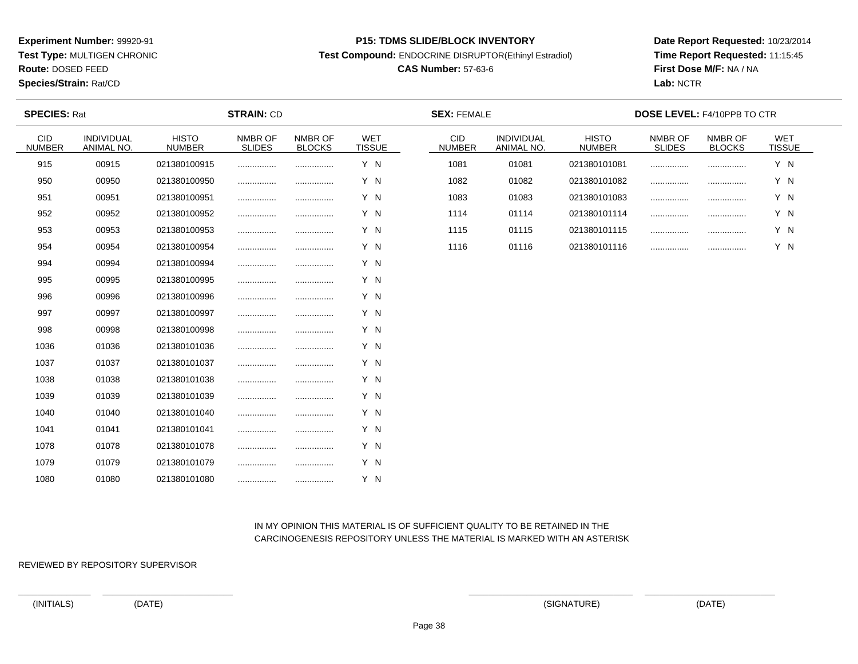**Test Type:** MULTIGEN CHRONIC

**Route:** DOSED FEED

**Species/Strain:** Rat/CD

#### **P15: TDMS SLIDE/BLOCK INVENTORY**

**Test Compound:** ENDOCRINE DISRUPTOR(Ethinyl Estradiol)

# **CAS Number:** 57-63-6

**Date Report Requested:** 10/23/2014**Time Report Requested:** 11:15:45**First Dose M/F:** NA / NA**Lab:** NCTR

| <b>SPECIES: Rat</b>  |                          |                               | <b>STRAIN: CD</b>        |                          | <b>SEX: FEMALE</b>   |                      |                          | <b>DOSE LEVEL: F4/10PPB TO CTR</b> |                          |                          |                      |  |
|----------------------|--------------------------|-------------------------------|--------------------------|--------------------------|----------------------|----------------------|--------------------------|------------------------------------|--------------------------|--------------------------|----------------------|--|
| CID<br><b>NUMBER</b> | INDIVIDUAL<br>ANIMAL NO. | <b>HISTO</b><br><b>NUMBER</b> | NMBR OF<br><b>SLIDES</b> | NMBR OF<br><b>BLOCKS</b> | WET<br><b>TISSUE</b> | CID<br><b>NUMBER</b> | INDIVIDUAL<br>ANIMAL NO. | <b>HISTO</b><br><b>NUMBER</b>      | NMBR OF<br><b>SLIDES</b> | NMBR OF<br><b>BLOCKS</b> | WET<br><b>TISSUE</b> |  |
| 915                  | 00915                    | 021380100915                  | .                        | .                        | Y N                  | 1081                 | 01081                    | 021380101081                       | .                        |                          | Y N                  |  |
| 950                  | 00950                    | 021380100950                  |                          |                          | Y N                  | 1082                 | 01082                    | 021380101082                       | .                        |                          | Y N                  |  |
| 951                  | 00951                    | 021380100951                  | .                        | .                        | Y N                  | 1083                 | 01083                    | 021380101083                       |                          | .                        | Y N                  |  |
| 952                  | 00952                    | 021380100952                  |                          |                          | Y N                  | 1114                 | 01114                    | 021380101114                       |                          |                          | Y N                  |  |
| 953                  | 00953                    | 021380100953                  | .                        |                          | Y N                  | 1115                 | 01115                    | 021380101115                       | .                        |                          | Y N                  |  |
| 954                  | 00954                    | 021380100954                  |                          | .                        | Y N                  | 1116                 | 01116                    | 021380101116                       |                          |                          | Y N                  |  |
| 994                  | 00994                    | 021380100994                  |                          |                          | Y N                  |                      |                          |                                    |                          |                          |                      |  |
| 995                  | 00995                    | 021380100995                  | .                        |                          | Y N                  |                      |                          |                                    |                          |                          |                      |  |
| 996                  | 00996                    | 021380100996                  |                          |                          | Y N                  |                      |                          |                                    |                          |                          |                      |  |
| 997                  | 00997                    | 021380100997                  |                          |                          | Y N                  |                      |                          |                                    |                          |                          |                      |  |
| 998                  | 00998                    | 021380100998                  | .                        |                          | Y N                  |                      |                          |                                    |                          |                          |                      |  |
| 1036                 | 01036                    | 021380101036                  |                          |                          | Y N                  |                      |                          |                                    |                          |                          |                      |  |
| 1037                 | 01037                    | 021380101037                  |                          |                          | Y N                  |                      |                          |                                    |                          |                          |                      |  |
| 1038                 | 01038                    | 021380101038                  | .                        | .                        | Y N                  |                      |                          |                                    |                          |                          |                      |  |
| 1039                 | 01039                    | 021380101039                  | .                        |                          | Y N                  |                      |                          |                                    |                          |                          |                      |  |
| 1040                 | 01040                    | 021380101040                  |                          |                          | Y N                  |                      |                          |                                    |                          |                          |                      |  |
| 1041                 | 01041                    | 021380101041                  | .                        |                          | Y N                  |                      |                          |                                    |                          |                          |                      |  |
| 1078                 | 01078                    | 021380101078                  | .                        |                          | Y N                  |                      |                          |                                    |                          |                          |                      |  |
| 1079                 | 01079                    | 021380101079                  |                          |                          | Y N                  |                      |                          |                                    |                          |                          |                      |  |
| 1080                 | 01080                    | 021380101080                  |                          | .                        | Y N                  |                      |                          |                                    |                          |                          |                      |  |

 IN MY OPINION THIS MATERIAL IS OF SUFFICIENT QUALITY TO BE RETAINED IN THECARCINOGENESIS REPOSITORY UNLESS THE MATERIAL IS MARKED WITH AN ASTERISK

REVIEWED BY REPOSITORY SUPERVISOR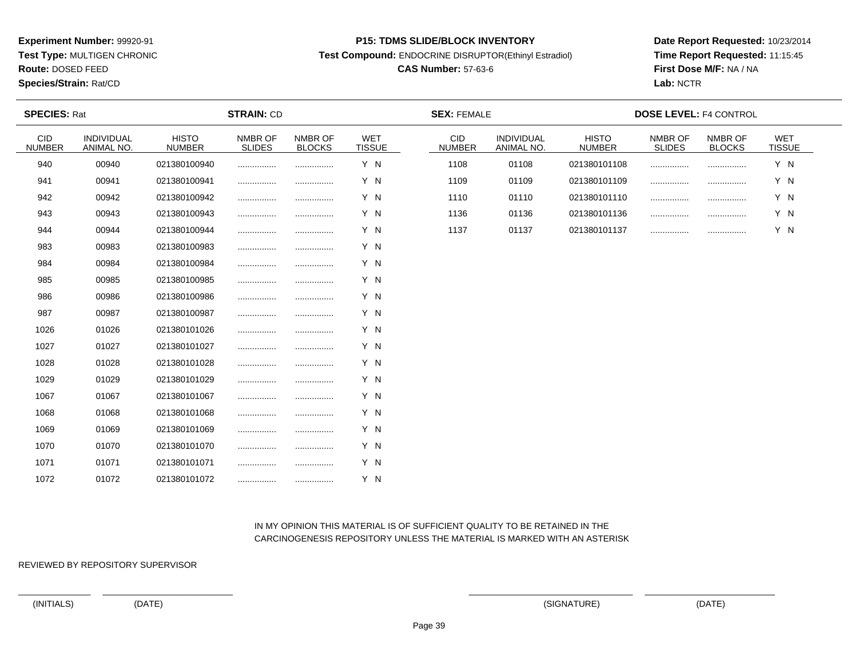**Test Type:** MULTIGEN CHRONIC

**Route:** DOSED FEED

**Species/Strain:** Rat/CD

#### **P15: TDMS SLIDE/BLOCK INVENTORY**

**Test Compound:** ENDOCRINE DISRUPTOR(Ethinyl Estradiol)

# **CAS Number:** 57-63-6

**Date Report Requested:** 10/23/2014**Time Report Requested:** 11:15:45**First Dose M/F:** NA / NA**Lab:** NCTR

| <b>SPECIES: Rat</b>         |                                 | <b>STRAIN: CD</b>             |                          |                          |                             | <b>SEX: FEMALE</b>          |                          | <b>DOSE LEVEL: F4 CONTROL</b> |                          |                          |                             |  |
|-----------------------------|---------------------------------|-------------------------------|--------------------------|--------------------------|-----------------------------|-----------------------------|--------------------------|-------------------------------|--------------------------|--------------------------|-----------------------------|--|
| <b>CID</b><br><b>NUMBER</b> | INDIVIDUAL<br><b>ANIMAL NO.</b> | <b>HISTO</b><br><b>NUMBER</b> | NMBR OF<br><b>SLIDES</b> | NMBR OF<br><b>BLOCKS</b> | <b>WET</b><br><b>TISSUE</b> | <b>CID</b><br><b>NUMBER</b> | INDIVIDUAL<br>ANIMAL NO. | <b>HISTO</b><br><b>NUMBER</b> | NMBR OF<br><b>SLIDES</b> | NMBR OF<br><b>BLOCKS</b> | <b>WET</b><br><b>TISSUE</b> |  |
| 940                         | 00940                           | 021380100940                  | .                        | .                        | Y N                         | 1108                        | 01108                    | 021380101108                  |                          |                          | Y N                         |  |
| 941                         | 00941                           | 021380100941                  |                          |                          | Y N                         | 1109                        | 01109                    | 021380101109                  |                          |                          | Y N                         |  |
| 942                         | 00942                           | 021380100942                  |                          |                          | Y N                         | 1110                        | 01110                    | 021380101110                  |                          |                          | Y N                         |  |
| 943                         | 00943                           | 021380100943                  |                          |                          | Y N                         | 1136                        | 01136                    | 021380101136                  |                          |                          | Y N                         |  |
| 944                         | 00944                           | 021380100944                  | .                        |                          | Y N                         | 1137                        | 01137                    | 021380101137                  |                          | .                        | Y N                         |  |
| 983                         | 00983                           | 021380100983                  |                          |                          | Y N                         |                             |                          |                               |                          |                          |                             |  |
| 984                         | 00984                           | 021380100984                  |                          |                          | Y N                         |                             |                          |                               |                          |                          |                             |  |
| 985                         | 00985                           | 021380100985                  |                          |                          | Y N                         |                             |                          |                               |                          |                          |                             |  |
| 986                         | 00986                           | 021380100986                  | .                        | .                        | Y N                         |                             |                          |                               |                          |                          |                             |  |
| 987                         | 00987                           | 021380100987                  |                          |                          | Y N                         |                             |                          |                               |                          |                          |                             |  |
| 1026                        | 01026                           | 021380101026                  | .                        | .                        | Y N                         |                             |                          |                               |                          |                          |                             |  |
| 1027                        | 01027                           | 021380101027                  | .                        |                          | Y N                         |                             |                          |                               |                          |                          |                             |  |
| 1028                        | 01028                           | 021380101028                  |                          |                          | Y N                         |                             |                          |                               |                          |                          |                             |  |
| 1029                        | 01029                           | 021380101029                  | .                        |                          | Y N                         |                             |                          |                               |                          |                          |                             |  |
| 1067                        | 01067                           | 021380101067                  | .                        |                          | Y N                         |                             |                          |                               |                          |                          |                             |  |
| 1068                        | 01068                           | 021380101068                  | .                        |                          | Y N                         |                             |                          |                               |                          |                          |                             |  |
| 1069                        | 01069                           | 021380101069                  |                          |                          | Y N                         |                             |                          |                               |                          |                          |                             |  |
| 1070                        | 01070                           | 021380101070                  |                          |                          | Y N                         |                             |                          |                               |                          |                          |                             |  |
| 1071                        | 01071                           | 021380101071                  | .                        | .                        | Y N                         |                             |                          |                               |                          |                          |                             |  |
| 1072                        | 01072                           | 021380101072                  |                          |                          | Y N                         |                             |                          |                               |                          |                          |                             |  |

# IN MY OPINION THIS MATERIAL IS OF SUFFICIENT QUALITY TO BE RETAINED IN THECARCINOGENESIS REPOSITORY UNLESS THE MATERIAL IS MARKED WITH AN ASTERISK

REVIEWED BY REPOSITORY SUPERVISOR

(INITIALS) (DATE) (SIGNATURE) (DATE)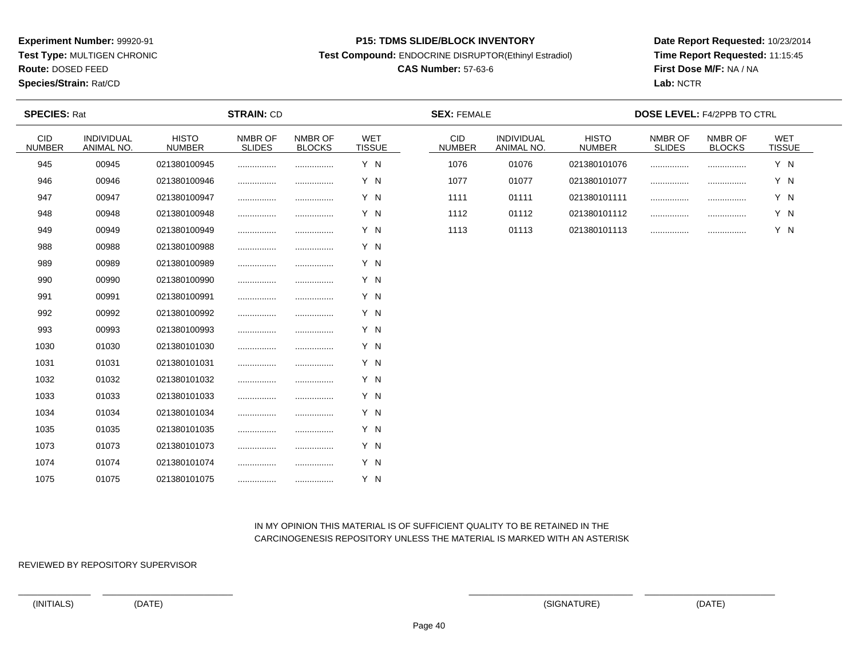**Test Type:** MULTIGEN CHRONIC

**Route:** DOSED FEED

**Species/Strain:** Rat/CD

#### **P15: TDMS SLIDE/BLOCK INVENTORY**

**Test Compound:** ENDOCRINE DISRUPTOR(Ethinyl Estradiol)

# **CAS Number:** 57-63-6

**Date Report Requested:** 10/23/2014**Time Report Requested:** 11:15:45**First Dose M/F:** NA / NA**Lab:** NCTR

| <b>SPECIES: Rat</b>         |                          |                               | <b>STRAIN: CD</b>        |                          | <b>SEX: FEMALE</b>          |                             |                                 | <b>DOSE LEVEL: F4/2PPB TO CTRL</b> |                          |                          |                             |  |
|-----------------------------|--------------------------|-------------------------------|--------------------------|--------------------------|-----------------------------|-----------------------------|---------------------------------|------------------------------------|--------------------------|--------------------------|-----------------------------|--|
| <b>CID</b><br><b>NUMBER</b> | INDIVIDUAL<br>ANIMAL NO. | <b>HISTO</b><br><b>NUMBER</b> | NMBR OF<br><b>SLIDES</b> | NMBR OF<br><b>BLOCKS</b> | <b>WET</b><br><b>TISSUE</b> | <b>CID</b><br><b>NUMBER</b> | <b>INDIVIDUAL</b><br>ANIMAL NO. | <b>HISTO</b><br><b>NUMBER</b>      | NMBR OF<br><b>SLIDES</b> | NMBR OF<br><b>BLOCKS</b> | <b>WET</b><br><b>TISSUE</b> |  |
| 945                         | 00945                    | 021380100945                  |                          |                          | Y N                         | 1076                        | 01076                           | 021380101076                       | .                        |                          | Y N                         |  |
| 946                         | 00946                    | 021380100946                  |                          |                          | Y N                         | 1077                        | 01077                           | 021380101077                       | .                        | .                        | Y N                         |  |
| 947                         | 00947                    | 021380100947                  | .                        |                          | Y N                         | 1111                        | 01111                           | 021380101111                       |                          | .                        | Y N                         |  |
| 948                         | 00948                    | 021380100948                  |                          |                          | Y N                         | 1112                        | 01112                           | 021380101112                       |                          |                          | Y N                         |  |
| 949                         | 00949                    | 021380100949                  | .                        |                          | Y N                         | 1113                        | 01113                           | 021380101113                       |                          | .                        | Y N                         |  |
| 988                         | 00988                    | 021380100988                  | .                        |                          | Y N                         |                             |                                 |                                    |                          |                          |                             |  |
| 989                         | 00989                    | 021380100989                  |                          |                          | Y N                         |                             |                                 |                                    |                          |                          |                             |  |
| 990                         | 00990                    | 021380100990                  |                          |                          | Y N                         |                             |                                 |                                    |                          |                          |                             |  |
| 991                         | 00991                    | 021380100991                  | .                        |                          | Y N                         |                             |                                 |                                    |                          |                          |                             |  |
| 992                         | 00992                    | 021380100992                  |                          |                          | Y N                         |                             |                                 |                                    |                          |                          |                             |  |
| 993                         | 00993                    | 021380100993                  |                          |                          | Y N                         |                             |                                 |                                    |                          |                          |                             |  |
| 1030                        | 01030                    | 021380101030                  |                          | .                        | Y N                         |                             |                                 |                                    |                          |                          |                             |  |
| 1031                        | 01031                    | 021380101031                  |                          |                          | Y N                         |                             |                                 |                                    |                          |                          |                             |  |
| 1032                        | 01032                    | 021380101032                  |                          |                          | Y N                         |                             |                                 |                                    |                          |                          |                             |  |
| 1033                        | 01033                    | 021380101033                  |                          |                          | Y N                         |                             |                                 |                                    |                          |                          |                             |  |
| 1034                        | 01034                    | 021380101034                  |                          |                          | Y N                         |                             |                                 |                                    |                          |                          |                             |  |
| 1035                        | 01035                    | 021380101035                  | .                        |                          | Y N                         |                             |                                 |                                    |                          |                          |                             |  |
| 1073                        | 01073                    | 021380101073                  |                          |                          | Y N                         |                             |                                 |                                    |                          |                          |                             |  |
| 1074                        | 01074                    | 021380101074                  |                          |                          | Y N                         |                             |                                 |                                    |                          |                          |                             |  |
| 1075                        | 01075                    | 021380101075                  |                          |                          | Y N                         |                             |                                 |                                    |                          |                          |                             |  |

# IN MY OPINION THIS MATERIAL IS OF SUFFICIENT QUALITY TO BE RETAINED IN THECARCINOGENESIS REPOSITORY UNLESS THE MATERIAL IS MARKED WITH AN ASTERISK

REVIEWED BY REPOSITORY SUPERVISOR